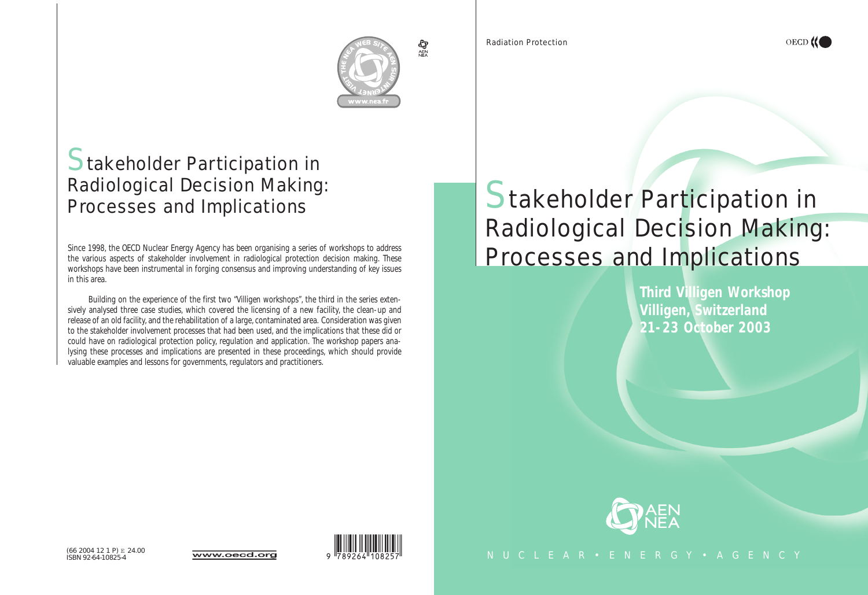Radiation Protection



# **Stakeholder Participation in** Radiological Decision Making: Processes and Implications

**Third Villigen Workshop Villigen, Switzerland 21-23 October 2003**



NUCLEAR•ENERGY•AGENCY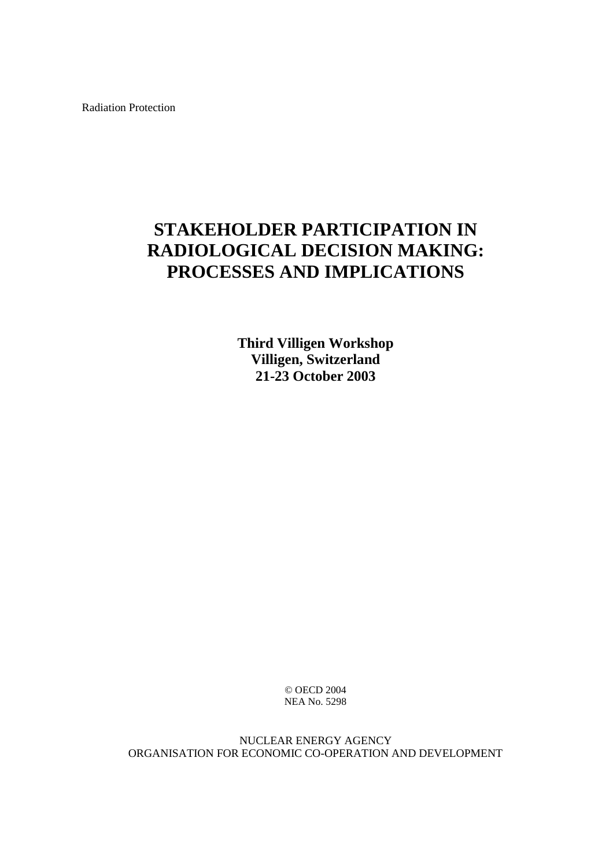Radiation Protection

# **STAKEHOLDER PARTICIPATION IN RADIOLOGICAL DECISION MAKING: PROCESSES AND IMPLICATIONS**

**Third Villigen Workshop Villigen, Switzerland 21-23 October 2003** 

> © OECD 2004 NEA No. 5298

NUCLEAR ENERGY AGENCY ORGANISATION FOR ECONOMIC CO-OPERATION AND DEVELOPMENT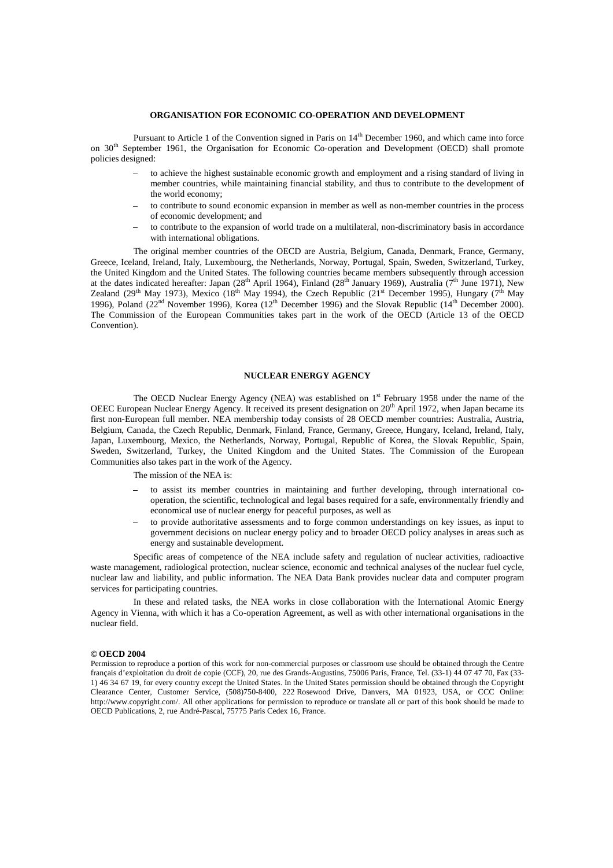#### **ORGANISATION FOR ECONOMIC CO-OPERATION AND DEVELOPMENT**

Pursuant to Article 1 of the Convention signed in Paris on 14<sup>th</sup> December 1960, and which came into force on 30<sup>th</sup> September 1961, the Organisation for Economic Co-operation and Development (OECD) shall promote policies designed:

- to achieve the highest sustainable economic growth and employment and a rising standard of living in member countries, while maintaining financial stability, and thus to contribute to the development of the world economy; Ī
- to contribute to sound economic expansion in member as well as non-member countries in the process of economic development; and
- to contribute to the expansion of world trade on a multilateral, non-discriminatory basis in accordance with international obligations.

 The original member countries of the OECD are Austria, Belgium, Canada, Denmark, France, Germany, Greece, Iceland, Ireland, Italy, Luxembourg, the Netherlands, Norway, Portugal, Spain, Sweden, Switzerland, Turkey, the United Kingdom and the United States. The following countries became members subsequently through accession at the dates indicated hereafter: Japan ( $28<sup>th</sup>$  April 1964), Finland ( $28<sup>th</sup>$  January 1969), Australia ( $7<sup>th</sup>$  June 1971), New Zealand (29<sup>th</sup> May 1973), Mexico (18<sup>th</sup> May 1994), the Czech Republic (21<sup>st</sup> December 1995), Hungary (7<sup>th</sup> May 1996), Poland (22<sup>nd</sup> November 1996), Korea (12<sup>th</sup> December 1996) and the Slovak Republic (14<sup>th</sup> December 2000). The Commission of the European Communities takes part in the work of the OECD (Article 13 of the OECD Convention).

#### **NUCLEAR ENERGY AGENCY**

The OECD Nuclear Energy Agency (NEA) was established on 1<sup>st</sup> February 1958 under the name of the OEEC European Nuclear Energy Agency. It received its present designation on 20<sup>th</sup> April 1972, when Japan became its first non-European full member. NEA membership today consists of 28 OECD member countries: Australia, Austria, Belgium, Canada, the Czech Republic, Denmark, Finland, France, Germany, Greece, Hungary, Iceland, Ireland, Italy, Japan, Luxembourg, Mexico, the Netherlands, Norway, Portugal, Republic of Korea, the Slovak Republic, Spain, Sweden, Switzerland, Turkey, the United Kingdom and the United States. The Commission of the European Communities also takes part in the work of the Agency.

The mission of the NEA is:

- to assist its member countries in maintaining and further developing, through international cooperation, the scientific, technological and legal bases required for a safe, environmentally friendly and economical use of nuclear energy for peaceful purposes, as well as
- to provide authoritative assessments and to forge common understandings on key issues, as input to government decisions on nuclear energy policy and to broader OECD policy analyses in areas such as energy and sustainable development.

 Specific areas of competence of the NEA include safety and regulation of nuclear activities, radioactive waste management, radiological protection, nuclear science, economic and technical analyses of the nuclear fuel cycle, nuclear law and liability, and public information. The NEA Data Bank provides nuclear data and computer program services for participating countries.

 In these and related tasks, the NEA works in close collaboration with the International Atomic Energy Agency in Vienna, with which it has a Co-operation Agreement, as well as with other international organisations in the nuclear field.

#### *©* **OECD 2004**

Permission to reproduce a portion of this work for non-commercial purposes or classroom use should be obtained through the Centre français d'exploitation du droit de copie (CCF), 20, rue des Grands-Augustins, 75006 Paris, France, Tel. (33-1) 44 07 47 70, Fax (33- 1) 46 34 67 19, for every country except the United States. In the United States permission should be obtained through the Copyright Clearance Center, Customer Service, (508)750-8400, 222 Rosewood Drive, Danvers, MA 01923, USA, or CCC Online: http://www.copyright.com/. All other applications for permission to reproduce or translate all or part of this book should be made to OECD Publications, 2, rue André-Pascal, 75775 Paris Cedex 16, France.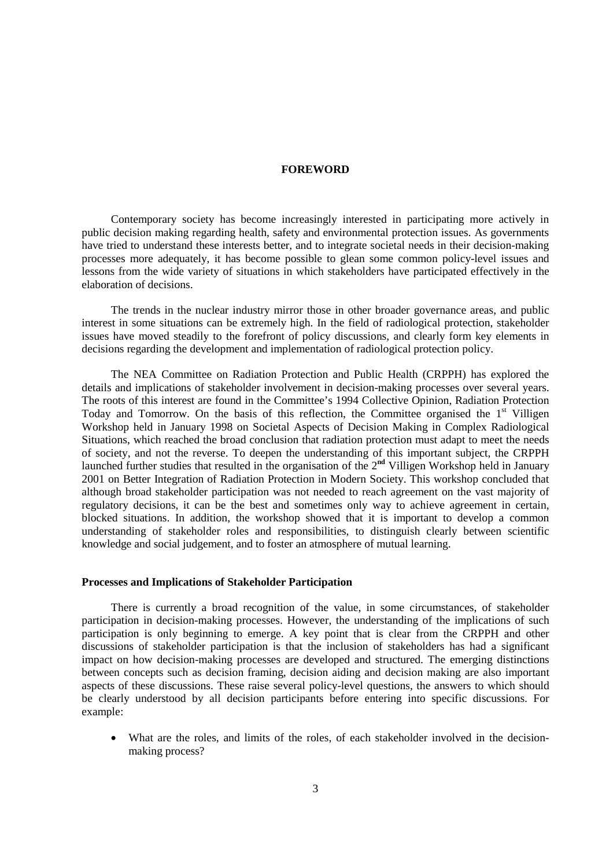#### **FOREWORD**

Contemporary society has become increasingly interested in participating more actively in public decision making regarding health, safety and environmental protection issues. As governments have tried to understand these interests better, and to integrate societal needs in their decision-making processes more adequately, it has become possible to glean some common policy-level issues and lessons from the wide variety of situations in which stakeholders have participated effectively in the elaboration of decisions.

The trends in the nuclear industry mirror those in other broader governance areas, and public interest in some situations can be extremely high. In the field of radiological protection, stakeholder issues have moved steadily to the forefront of policy discussions, and clearly form key elements in decisions regarding the development and implementation of radiological protection policy.

The NEA Committee on Radiation Protection and Public Health (CRPPH) has explored the details and implications of stakeholder involvement in decision-making processes over several years. The roots of this interest are found in the Committee's 1994 Collective Opinion, Radiation Protection Today and Tomorrow. On the basis of this reflection, the Committee organised the  $1<sup>st</sup>$  Villigen Workshop held in January 1998 on Societal Aspects of Decision Making in Complex Radiological Situations, which reached the broad conclusion that radiation protection must adapt to meet the needs of society, and not the reverse. To deepen the understanding of this important subject, the CRPPH launched further studies that resulted in the organisation of the 2**nd** Villigen Workshop held in January 2001 on Better Integration of Radiation Protection in Modern Society. This workshop concluded that although broad stakeholder participation was not needed to reach agreement on the vast majority of regulatory decisions, it can be the best and sometimes only way to achieve agreement in certain, blocked situations. In addition, the workshop showed that it is important to develop a common understanding of stakeholder roles and responsibilities, to distinguish clearly between scientific knowledge and social judgement, and to foster an atmosphere of mutual learning.

#### **Processes and Implications of Stakeholder Participation**

There is currently a broad recognition of the value, in some circumstances, of stakeholder participation in decision-making processes. However, the understanding of the implications of such participation is only beginning to emerge. A key point that is clear from the CRPPH and other discussions of stakeholder participation is that the inclusion of stakeholders has had a significant impact on how decision-making processes are developed and structured. The emerging distinctions between concepts such as decision framing, decision aiding and decision making are also important aspects of these discussions. These raise several policy-level questions, the answers to which should be clearly understood by all decision participants before entering into specific discussions. For example:

 What are the roles, and limits of the roles, of each stakeholder involved in the decisionmaking process?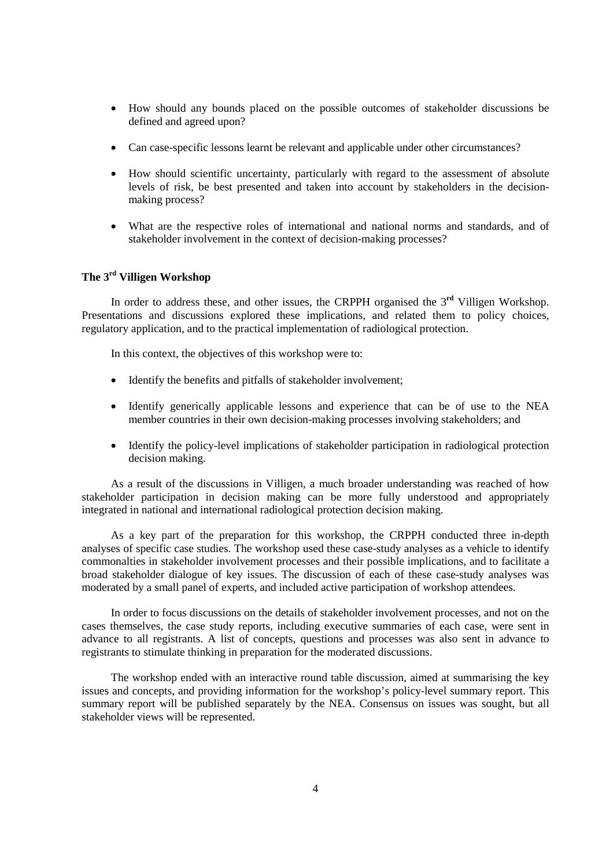- How should any bounds placed on the possible outcomes of stakeholder discussions be defined and agreed upon?
- Can case-specific lessons learnt be relevant and applicable under other circumstances?
- How should scientific uncertainty, particularly with regard to the assessment of absolute levels of risk, be best presented and taken into account by stakeholders in the decisionmaking process?
- What are the respective roles of international and national norms and standards, and of stakeholder involvement in the context of decision-making processes?

# **The 3rd Villigen Workshop**

In order to address these, and other issues, the CRPPH organised the 3**rd** Villigen Workshop. Presentations and discussions explored these implications, and related them to policy choices, regulatory application, and to the practical implementation of radiological protection.

In this context, the objectives of this workshop were to:

- Identify the benefits and pitfalls of stakeholder involvement;
- Identify generically applicable lessons and experience that can be of use to the NEA member countries in their own decision-making processes involving stakeholders; and
- Identify the policy-level implications of stakeholder participation in radiological protection decision making.

As a result of the discussions in Villigen, a much broader understanding was reached of how stakeholder participation in decision making can be more fully understood and appropriately integrated in national and international radiological protection decision making.

As a key part of the preparation for this workshop, the CRPPH conducted three in-depth analyses of specific case studies. The workshop used these case-study analyses as a vehicle to identify commonalties in stakeholder involvement processes and their possible implications, and to facilitate a broad stakeholder dialogue of key issues. The discussion of each of these case-study analyses was moderated by a small panel of experts, and included active participation of workshop attendees.

In order to focus discussions on the details of stakeholder involvement processes, and not on the cases themselves, the case study reports, including executive summaries of each case, were sent in advance to all registrants. A list of concepts, questions and processes was also sent in advance to registrants to stimulate thinking in preparation for the moderated discussions.

The workshop ended with an interactive round table discussion, aimed at summarising the key issues and concepts, and providing information for the workshop's policy-level summary report. This summary report will be published separately by the NEA. Consensus on issues was sought, but all stakeholder views will be represented.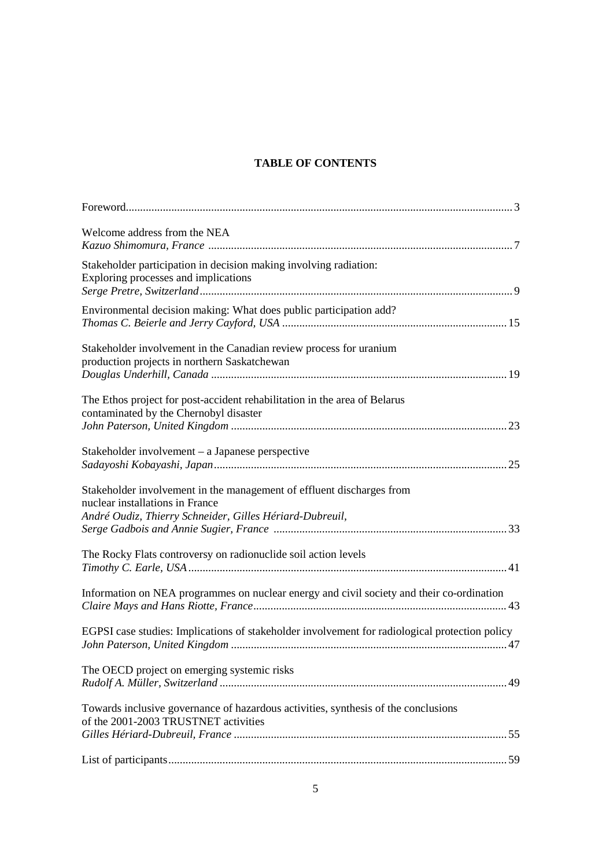# **TABLE OF CONTENTS**

| Welcome address from the NEA                                                                                                                                         |
|----------------------------------------------------------------------------------------------------------------------------------------------------------------------|
| Stakeholder participation in decision making involving radiation:<br>Exploring processes and implications                                                            |
| Environmental decision making: What does public participation add?                                                                                                   |
| Stakeholder involvement in the Canadian review process for uranium<br>production projects in northern Saskatchewan                                                   |
| The Ethos project for post-accident rehabilitation in the area of Belarus<br>contaminated by the Chernobyl disaster                                                  |
| Stakeholder involvement $-$ a Japanese perspective                                                                                                                   |
| Stakeholder involvement in the management of effluent discharges from<br>nuclear installations in France<br>André Oudiz, Thierry Schneider, Gilles Hériard-Dubreuil, |
| The Rocky Flats controversy on radionuclide soil action levels                                                                                                       |
| Information on NEA programmes on nuclear energy and civil society and their co-ordination                                                                            |
| EGPSI case studies: Implications of stakeholder involvement for radiological protection policy                                                                       |
| The OECD project on emerging systemic risks                                                                                                                          |
| Towards inclusive governance of hazardous activities, synthesis of the conclusions<br>of the 2001-2003 TRUSTNET activities                                           |
|                                                                                                                                                                      |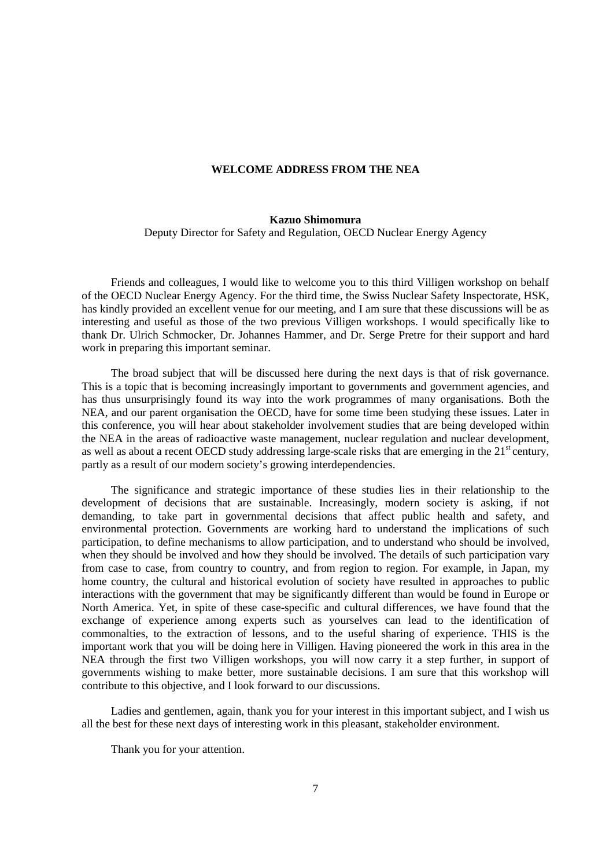#### **WELCOME ADDRESS FROM THE NEA**

#### **Kazuo Shimomura**

Deputy Director for Safety and Regulation, OECD Nuclear Energy Agency

Friends and colleagues, I would like to welcome you to this third Villigen workshop on behalf of the OECD Nuclear Energy Agency. For the third time, the Swiss Nuclear Safety Inspectorate, HSK, has kindly provided an excellent venue for our meeting, and I am sure that these discussions will be as interesting and useful as those of the two previous Villigen workshops. I would specifically like to thank Dr. Ulrich Schmocker, Dr. Johannes Hammer, and Dr. Serge Pretre for their support and hard work in preparing this important seminar.

The broad subject that will be discussed here during the next days is that of risk governance. This is a topic that is becoming increasingly important to governments and government agencies, and has thus unsurprisingly found its way into the work programmes of many organisations. Both the NEA, and our parent organisation the OECD, have for some time been studying these issues. Later in this conference, you will hear about stakeholder involvement studies that are being developed within the NEA in the areas of radioactive waste management, nuclear regulation and nuclear development, as well as about a recent OECD study addressing large-scale risks that are emerging in the 21<sup>st</sup> century, partly as a result of our modern society's growing interdependencies.

The significance and strategic importance of these studies lies in their relationship to the development of decisions that are sustainable. Increasingly, modern society is asking, if not demanding, to take part in governmental decisions that affect public health and safety, and environmental protection. Governments are working hard to understand the implications of such participation, to define mechanisms to allow participation, and to understand who should be involved, when they should be involved and how they should be involved. The details of such participation vary from case to case, from country to country, and from region to region. For example, in Japan, my home country, the cultural and historical evolution of society have resulted in approaches to public interactions with the government that may be significantly different than would be found in Europe or North America. Yet, in spite of these case-specific and cultural differences, we have found that the exchange of experience among experts such as yourselves can lead to the identification of commonalties, to the extraction of lessons, and to the useful sharing of experience. THIS is the important work that you will be doing here in Villigen. Having pioneered the work in this area in the NEA through the first two Villigen workshops, you will now carry it a step further, in support of governments wishing to make better, more sustainable decisions. I am sure that this workshop will contribute to this objective, and I look forward to our discussions.

Ladies and gentlemen, again, thank you for your interest in this important subject, and I wish us all the best for these next days of interesting work in this pleasant, stakeholder environment.

Thank you for your attention.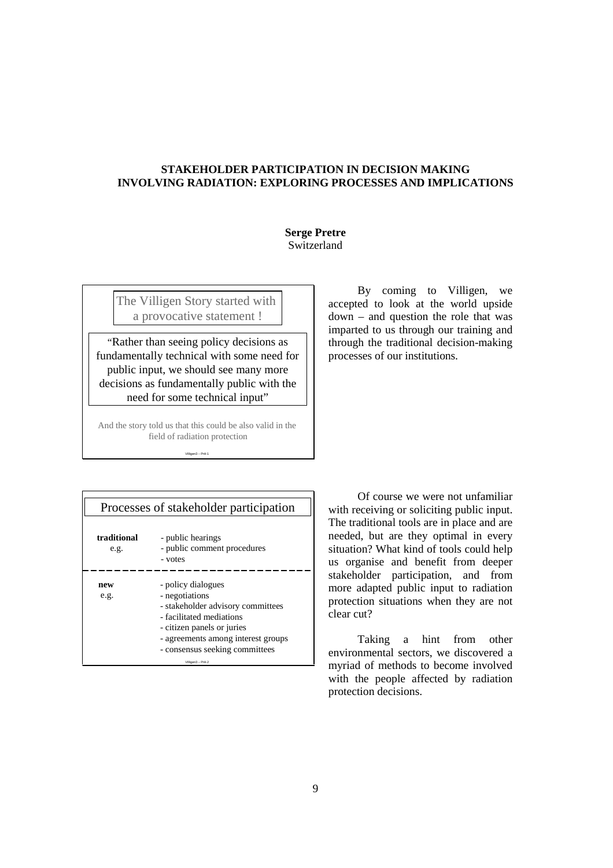#### **STAKEHOLDER PARTICIPATION IN DECISION MAKING INVOLVING RADIATION: EXPLORING PROCESSES AND IMPLICATIONS**

#### **Serge Pretre**  Switzerland

The Villigen Story started with a provocative statement !

"Rather than seeing policy decisions as fundamentally technical with some need for public input, we should see many more decisions as fundamentally public with the need for some technical input"

And the story told us that this could be also valid in the field of radiation protection

Villigen3 – Prê-1

By coming to Villigen, we accepted to look at the world upside down – and question the role that was imparted to us through our training and through the traditional decision-making processes of our institutions.

|             | Processes of stakeholder participation |
|-------------|----------------------------------------|
|             |                                        |
| traditional | - public hearings                      |
| e.g.        | - public comment procedures            |
|             | - votes                                |
|             |                                        |
| new         | - policy dialogues                     |
| e.g.        | - negotiations                         |
|             | - stakeholder advisory committees      |
|             | - facilitated mediations               |
|             | - citizen panels or juries             |
|             | - agreements among interest groups     |
|             | - consensus seeking committees         |
|             | Villigen3 - Prê-2                      |

Of course we were not unfamiliar with receiving or soliciting public input. The traditional tools are in place and are needed, but are they optimal in every situation? What kind of tools could help us organise and benefit from deeper stakeholder participation, and from more adapted public input to radiation protection situations when they are not clear cut?

Taking a hint from other environmental sectors, we discovered a myriad of methods to become involved with the people affected by radiation protection decisions.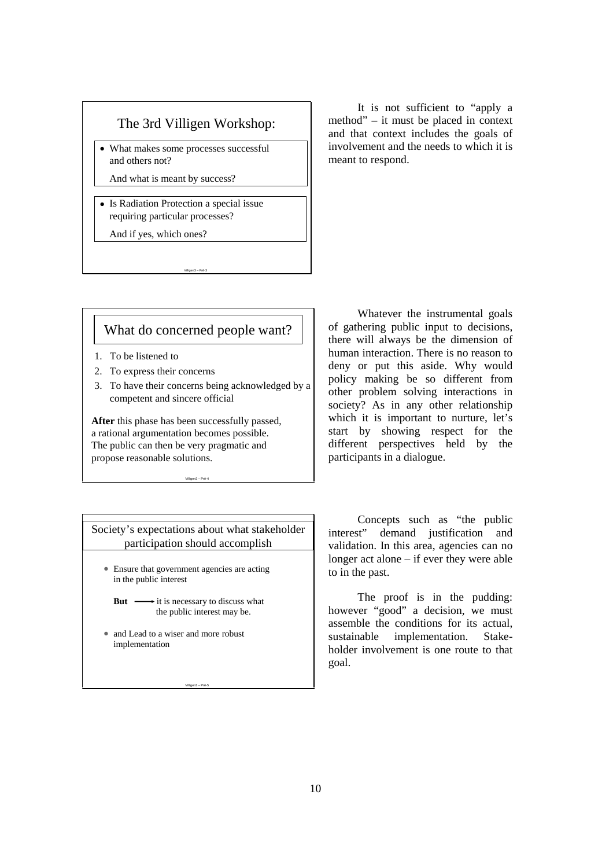# The 3rd Villigen Workshop:

What makes some processes successful and others not?

And what is meant by success?

• Is Radiation Protection a special issue requiring particular processes?

And if yes, which ones?

It is not sufficient to "apply a method" – it must be placed in context and that context includes the goals of involvement and the needs to which it is meant to respond.

# What do concerned people want?

Villigen3 – Prê-3

- 1. To be listened to
- 2. To express their concerns
- 3. To have their concerns being acknowledged by a competent and sincere official

**After** this phase has been successfully passed, a rational argumentation becomes possible. The public can then be very pragmatic and propose reasonable solutions.

Society's expectations about what stakeholder participation should accomplish

Villigen3 – Prê-4

Ensure that government agencies are acting in the public interest

But  $\longrightarrow$  it is necessary to discuss what the public interest may be.

Villigen3 – Prê-5

• and Lead to a wiser and more robust implementation

Whatever the instrumental goals of gathering public input to decisions, there will always be the dimension of human interaction. There is no reason to deny or put this aside. Why would policy making be so different from other problem solving interactions in society? As in any other relationship which it is important to nurture, let's start by showing respect for the different perspectives held by the participants in a dialogue.

Concepts such as "the public interest" demand justification and validation. In this area, agencies can no longer act alone – if ever they were able to in the past.

The proof is in the pudding: however "good" a decision, we must assemble the conditions for its actual, sustainable implementation. Stakeholder involvement is one route to that goal.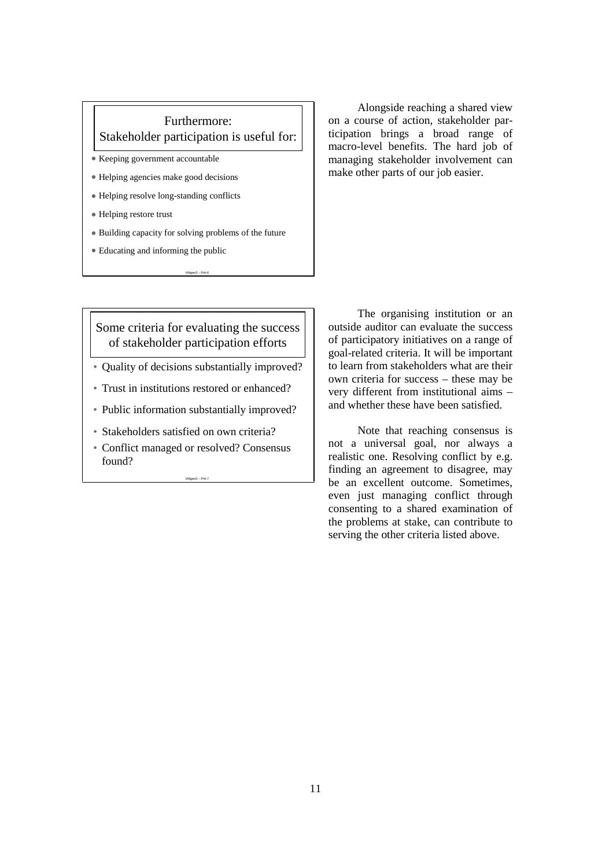# Furthermore: Stakeholder participation is useful for:

- Keeping government accountable
- Helping agencies make good decisions
- Helping resolve long-standing conflicts
- Helping restore trust
- Building capacity for solving problems of the future

Villigen3 – Prê-6

Educating and informing the public

Alongside reaching a shared view on a course of action, stakeholder participation brings a broad range of macro-level benefits. The hard job of managing stakeholder involvement can make other parts of our job easier.

Some criteria for evaluating the success of stakeholder participation efforts

- Quality of decisions substantially improved?
- Trust in institutions restored or enhanced?
- Public information substantially improved?
- Stakeholders satisfied on own criteria?
- Conflict managed or resolved? Consensus found?

Villigen3 – Prê-7

The organising institution or an outside auditor can evaluate the success of participatory initiatives on a range of goal-related criteria. It will be important to learn from stakeholders what are their own criteria for success – these may be very different from institutional aims – and whether these have been satisfied.

Note that reaching consensus is not a universal goal, nor always a realistic one. Resolving conflict by e.g. finding an agreement to disagree, may be an excellent outcome. Sometimes, even just managing conflict through consenting to a shared examination of the problems at stake, can contribute to serving the other criteria listed above.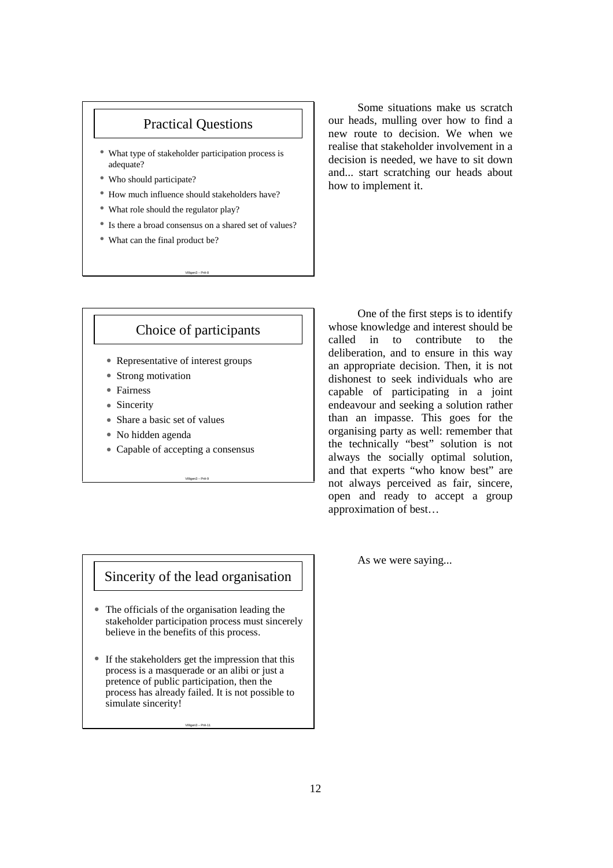# Practical Questions

- What type of stakeholder participation process is adequate?
- Who should participate?
- How much influence should stakeholders have?
- What role should the regulator play?
- Is there a broad consensus on a shared set of values?

Villigen3 – Prê-8

• What can the final product be?

Some situations make us scratch our heads, mulling over how to find a new route to decision. We when we realise that stakeholder involvement in a decision is needed, we have to sit down and... start scratching our heads about how to implement it.

# Choice of participants

- Representative of interest groups
- Strong motivation
- Fairness
- Sincerity
- Share a basic set of values
- No hidden agenda
- Capable of accepting a consensus

One of the first steps is to identify whose knowledge and interest should be called in to contribute to the deliberation, and to ensure in this way an appropriate decision. Then, it is not dishonest to seek individuals who are capable of participating in a joint endeavour and seeking a solution rather than an impasse. This goes for the organising party as well: remember that the technically "best" solution is not always the socially optimal solution, and that experts "who know best" are not always perceived as fair, sincere, open and ready to accept a group approximation of best…

As we were saying...

# Sincerity of the lead organisation

Villigen3 – Prê-9

- The officials of the organisation leading the stakeholder participation process must sincerely believe in the benefits of this process.  $\bullet$
- If the stakeholders get the impression that this process is a masquerade or an alibi or just a pretence of public participation, then the process has already failed. It is not possible to simulate sincerity!

Villigen3 – Prê-11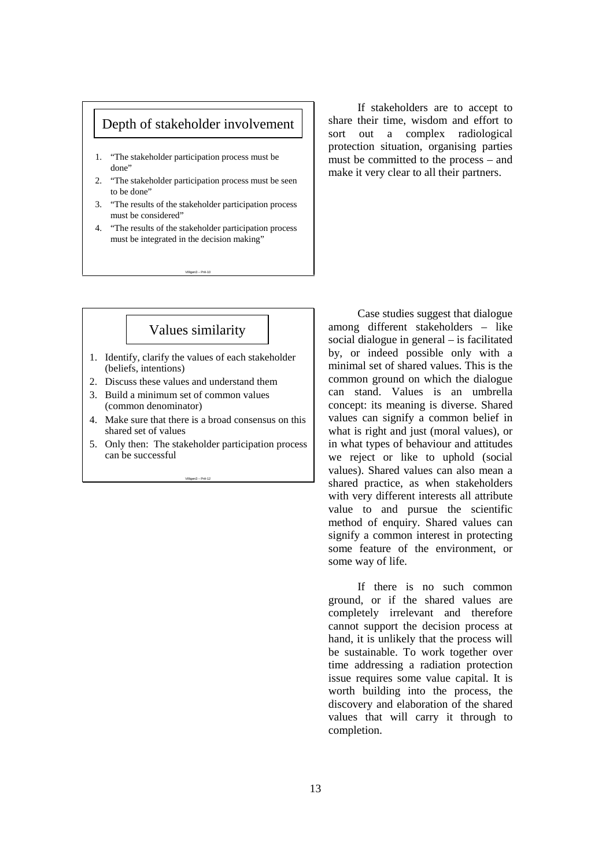# Depth of stakeholder involvement

- 1. "The stakeholder participation process must be done"
- 2. "The stakeholder participation process must be seen to be done"
- 3. "The results of the stakeholder participation process must be considered"
- 4. "The results of the stakeholder participation process must be integrated in the decision making"

Villigen3 – Prê-10

If stakeholders are to accept to share their time, wisdom and effort to sort out a complex radiological protection situation, organising parties must be committed to the process – and make it very clear to all their partners.

# Values similarity

- 1. Identify, clarify the values of each stakeholder (beliefs, intentions)
- 2. Discuss these values and understand them
- 3. Build a minimum set of common values (common denominator)
- 4. Make sure that there is a broad consensus on this shared set of values
- 5. Only then: The stakeholder participation process can be successful

Villigen3 – Prê-12

Case studies suggest that dialogue among different stakeholders – like social dialogue in general – is facilitated by, or indeed possible only with a minimal set of shared values. This is the common ground on which the dialogue can stand. Values is an umbrella concept: its meaning is diverse. Shared values can signify a common belief in what is right and just (moral values), or in what types of behaviour and attitudes we reject or like to uphold (social values). Shared values can also mean a shared practice, as when stakeholders with very different interests all attribute value to and pursue the scientific method of enquiry. Shared values can signify a common interest in protecting some feature of the environment, or some way of life.

If there is no such common ground, or if the shared values are completely irrelevant and therefore cannot support the decision process at hand, it is unlikely that the process will be sustainable. To work together over time addressing a radiation protection issue requires some value capital. It is worth building into the process, the discovery and elaboration of the shared values that will carry it through to completion.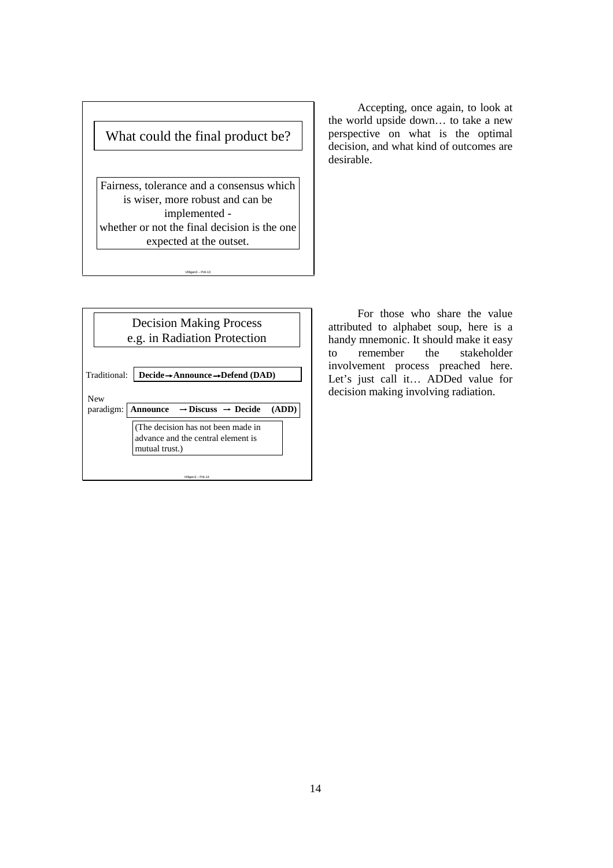

Accepting, once again, to look at the world upside down… to take a new perspective on what is the optimal decision, and what kind of outcomes are desirable.

|                         | <b>Decision Making Process</b><br>e.g. in Radiation Protection |       |
|-------------------------|----------------------------------------------------------------|-------|
| Traditional:            | Decide $\rightarrow$ Announce $\rightarrow$ Defend (DAD)       |       |
| <b>New</b><br>paradigm: | Announce $\rightarrow$ Discuss $\rightarrow$ Decide            | (ADD) |
|                         | (The decision has not been made in                             |       |

For those who share the value attributed to alphabet soup, here is a handy mnemonic. It should make it easy<br>to remember the stakeholder to remember the stakeholder involvement process preached here. Let's just call it... ADDed value for decision making involving radiation.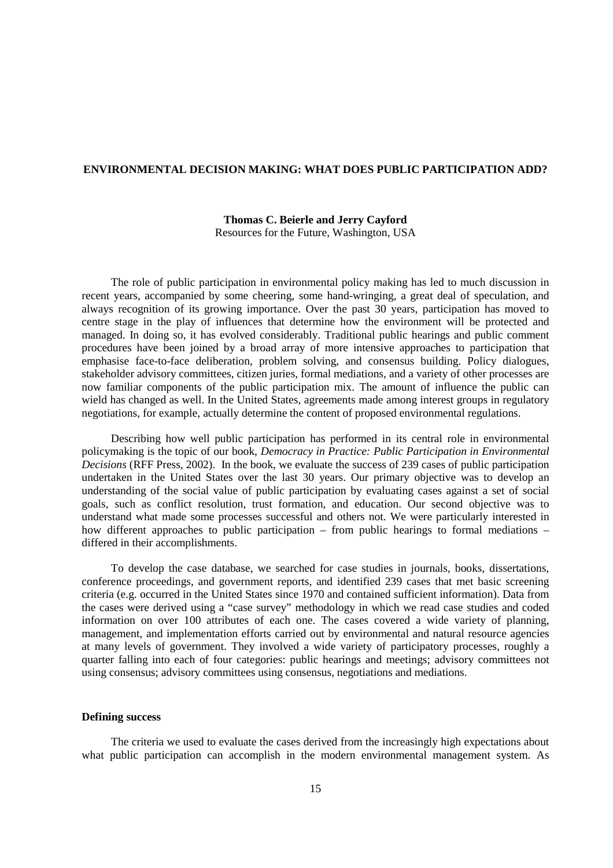#### **ENVIRONMENTAL DECISION MAKING: WHAT DOES PUBLIC PARTICIPATION ADD?**

#### **Thomas C. Beierle and Jerry Cayford**  Resources for the Future, Washington, USA

The role of public participation in environmental policy making has led to much discussion in recent years, accompanied by some cheering, some hand-wringing, a great deal of speculation, and always recognition of its growing importance. Over the past 30 years, participation has moved to centre stage in the play of influences that determine how the environment will be protected and managed. In doing so, it has evolved considerably. Traditional public hearings and public comment procedures have been joined by a broad array of more intensive approaches to participation that emphasise face-to-face deliberation, problem solving, and consensus building. Policy dialogues, stakeholder advisory committees, citizen juries, formal mediations, and a variety of other processes are now familiar components of the public participation mix. The amount of influence the public can wield has changed as well. In the United States, agreements made among interest groups in regulatory negotiations, for example, actually determine the content of proposed environmental regulations.

Describing how well public participation has performed in its central role in environmental policymaking is the topic of our book, *Democracy in Practice: Public Participation in Environmental Decisions* (RFF Press, 2002). In the book, we evaluate the success of 239 cases of public participation undertaken in the United States over the last 30 years. Our primary objective was to develop an understanding of the social value of public participation by evaluating cases against a set of social goals, such as conflict resolution, trust formation, and education. Our second objective was to understand what made some processes successful and others not. We were particularly interested in how different approaches to public participation – from public hearings to formal mediations – differed in their accomplishments.

To develop the case database, we searched for case studies in journals, books, dissertations, conference proceedings, and government reports, and identified 239 cases that met basic screening criteria (e.g. occurred in the United States since 1970 and contained sufficient information). Data from the cases were derived using a "case survey" methodology in which we read case studies and coded information on over 100 attributes of each one. The cases covered a wide variety of planning, management, and implementation efforts carried out by environmental and natural resource agencies at many levels of government. They involved a wide variety of participatory processes, roughly a quarter falling into each of four categories: public hearings and meetings; advisory committees not using consensus; advisory committees using consensus, negotiations and mediations.

#### **Defining success**

The criteria we used to evaluate the cases derived from the increasingly high expectations about what public participation can accomplish in the modern environmental management system. As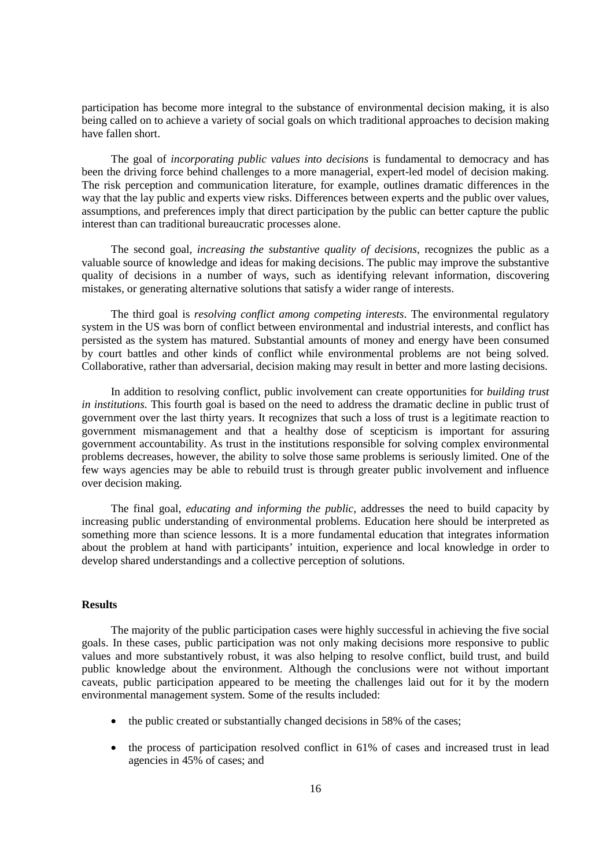participation has become more integral to the substance of environmental decision making, it is also being called on to achieve a variety of social goals on which traditional approaches to decision making have fallen short.

The goal of *incorporating public values into decisions* is fundamental to democracy and has been the driving force behind challenges to a more managerial, expert-led model of decision making. The risk perception and communication literature, for example, outlines dramatic differences in the way that the lay public and experts view risks. Differences between experts and the public over values, assumptions, and preferences imply that direct participation by the public can better capture the public interest than can traditional bureaucratic processes alone.

The second goal, *increasing the substantive quality of decisions*, recognizes the public as a valuable source of knowledge and ideas for making decisions. The public may improve the substantive quality of decisions in a number of ways, such as identifying relevant information, discovering mistakes, or generating alternative solutions that satisfy a wider range of interests.

The third goal is *resolving conflict among competing interests*. The environmental regulatory system in the US was born of conflict between environmental and industrial interests, and conflict has persisted as the system has matured. Substantial amounts of money and energy have been consumed by court battles and other kinds of conflict while environmental problems are not being solved. Collaborative, rather than adversarial, decision making may result in better and more lasting decisions.

In addition to resolving conflict, public involvement can create opportunities for *building trust in institutions.* This fourth goal is based on the need to address the dramatic decline in public trust of government over the last thirty years. It recognizes that such a loss of trust is a legitimate reaction to government mismanagement and that a healthy dose of scepticism is important for assuring government accountability. As trust in the institutions responsible for solving complex environmental problems decreases, however, the ability to solve those same problems is seriously limited. One of the few ways agencies may be able to rebuild trust is through greater public involvement and influence over decision making.

The final goal, *educating and informing the public,* addresses the need to build capacity by increasing public understanding of environmental problems. Education here should be interpreted as something more than science lessons. It is a more fundamental education that integrates information about the problem at hand with participants' intuition, experience and local knowledge in order to develop shared understandings and a collective perception of solutions.

#### **Results**

The majority of the public participation cases were highly successful in achieving the five social goals. In these cases, public participation was not only making decisions more responsive to public values and more substantively robust, it was also helping to resolve conflict, build trust, and build public knowledge about the environment. Although the conclusions were not without important caveats, public participation appeared to be meeting the challenges laid out for it by the modern environmental management system. Some of the results included:

- the public created or substantially changed decisions in 58% of the cases;
- the process of participation resolved conflict in 61% of cases and increased trust in lead agencies in 45% of cases; and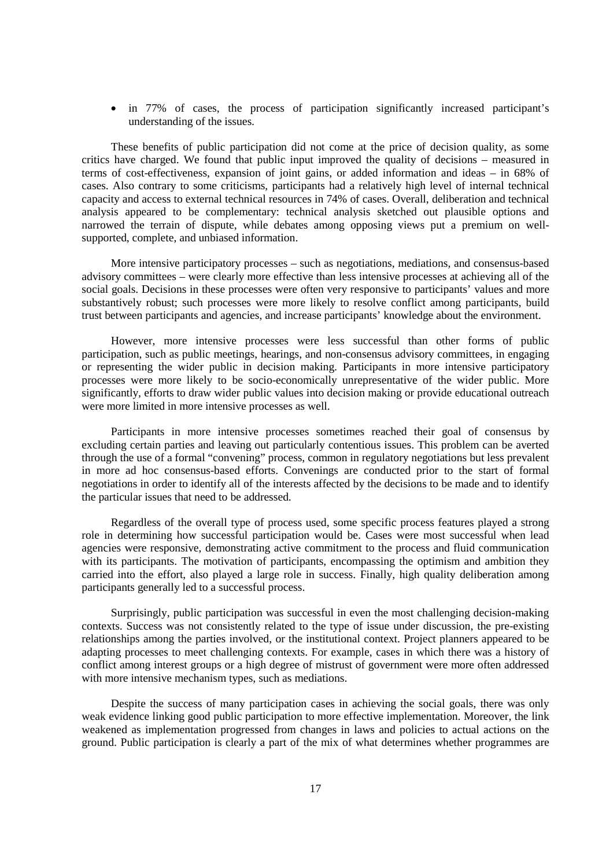in 77% of cases, the process of participation significantly increased participant's understanding of the issues.

These benefits of public participation did not come at the price of decision quality, as some critics have charged. We found that public input improved the quality of decisions – measured in terms of cost-effectiveness, expansion of joint gains, or added information and ideas – in 68% of cases. Also contrary to some criticisms, participants had a relatively high level of internal technical capacity and access to external technical resources in 74% of cases. Overall, deliberation and technical analysis appeared to be complementary: technical analysis sketched out plausible options and narrowed the terrain of dispute, while debates among opposing views put a premium on wellsupported, complete, and unbiased information.

More intensive participatory processes – such as negotiations, mediations, and consensus-based advisory committees – were clearly more effective than less intensive processes at achieving all of the social goals. Decisions in these processes were often very responsive to participants' values and more substantively robust; such processes were more likely to resolve conflict among participants, build trust between participants and agencies, and increase participants' knowledge about the environment.

However, more intensive processes were less successful than other forms of public participation, such as public meetings, hearings, and non-consensus advisory committees, in engaging or representing the wider public in decision making. Participants in more intensive participatory processes were more likely to be socio-economically unrepresentative of the wider public. More significantly, efforts to draw wider public values into decision making or provide educational outreach were more limited in more intensive processes as well.

Participants in more intensive processes sometimes reached their goal of consensus by excluding certain parties and leaving out particularly contentious issues. This problem can be averted through the use of a formal "convening" process, common in regulatory negotiations but less prevalent in more ad hoc consensus-based efforts. Convenings are conducted prior to the start of formal negotiations in order to identify all of the interests affected by the decisions to be made and to identify the particular issues that need to be addressed.

Regardless of the overall type of process used, some specific process features played a strong role in determining how successful participation would be. Cases were most successful when lead agencies were responsive, demonstrating active commitment to the process and fluid communication with its participants. The motivation of participants, encompassing the optimism and ambition they carried into the effort, also played a large role in success. Finally, high quality deliberation among participants generally led to a successful process.

Surprisingly, public participation was successful in even the most challenging decision-making contexts. Success was not consistently related to the type of issue under discussion, the pre-existing relationships among the parties involved, or the institutional context. Project planners appeared to be adapting processes to meet challenging contexts. For example, cases in which there was a history of conflict among interest groups or a high degree of mistrust of government were more often addressed with more intensive mechanism types, such as mediations.

Despite the success of many participation cases in achieving the social goals, there was only weak evidence linking good public participation to more effective implementation. Moreover, the link weakened as implementation progressed from changes in laws and policies to actual actions on the ground. Public participation is clearly a part of the mix of what determines whether programmes are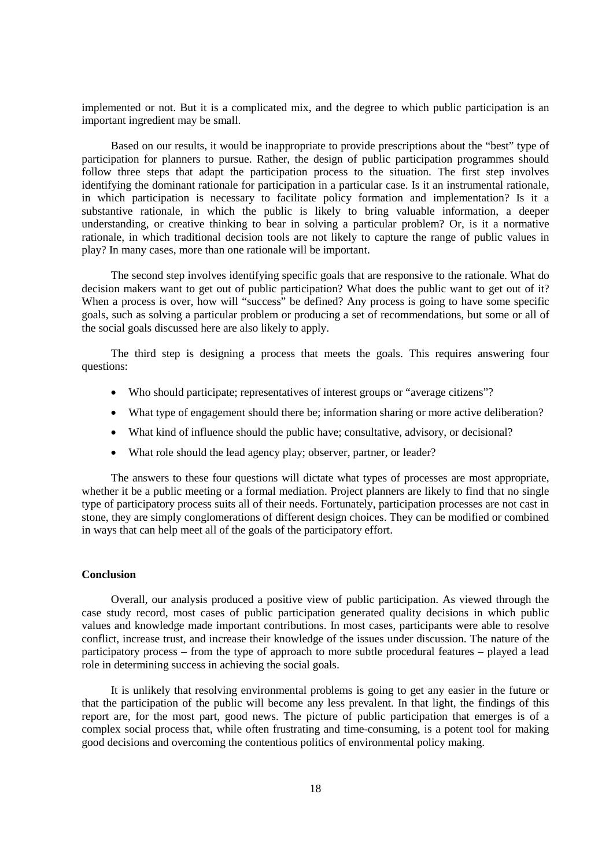implemented or not. But it is a complicated mix, and the degree to which public participation is an important ingredient may be small.

Based on our results, it would be inappropriate to provide prescriptions about the "best" type of participation for planners to pursue. Rather, the design of public participation programmes should follow three steps that adapt the participation process to the situation. The first step involves identifying the dominant rationale for participation in a particular case. Is it an instrumental rationale, in which participation is necessary to facilitate policy formation and implementation? Is it a substantive rationale, in which the public is likely to bring valuable information, a deeper understanding, or creative thinking to bear in solving a particular problem? Or, is it a normative rationale, in which traditional decision tools are not likely to capture the range of public values in play? In many cases, more than one rationale will be important.

The second step involves identifying specific goals that are responsive to the rationale. What do decision makers want to get out of public participation? What does the public want to get out of it? When a process is over, how will "success" be defined? Any process is going to have some specific goals, such as solving a particular problem or producing a set of recommendations, but some or all of the social goals discussed here are also likely to apply.

The third step is designing a process that meets the goals. This requires answering four questions:

- Who should participate; representatives of interest groups or "average citizens"?
- What type of engagement should there be; information sharing or more active deliberation?
- What kind of influence should the public have; consultative, advisory, or decisional?
- What role should the lead agency play; observer, partner, or leader?

The answers to these four questions will dictate what types of processes are most appropriate, whether it be a public meeting or a formal mediation. Project planners are likely to find that no single type of participatory process suits all of their needs. Fortunately, participation processes are not cast in stone, they are simply conglomerations of different design choices. They can be modified or combined in ways that can help meet all of the goals of the participatory effort.

#### **Conclusion**

Overall, our analysis produced a positive view of public participation. As viewed through the case study record, most cases of public participation generated quality decisions in which public values and knowledge made important contributions. In most cases, participants were able to resolve conflict, increase trust, and increase their knowledge of the issues under discussion. The nature of the participatory process – from the type of approach to more subtle procedural features – played a lead role in determining success in achieving the social goals.

It is unlikely that resolving environmental problems is going to get any easier in the future or that the participation of the public will become any less prevalent. In that light, the findings of this report are, for the most part, good news. The picture of public participation that emerges is of a complex social process that, while often frustrating and time-consuming, is a potent tool for making good decisions and overcoming the contentious politics of environmental policy making.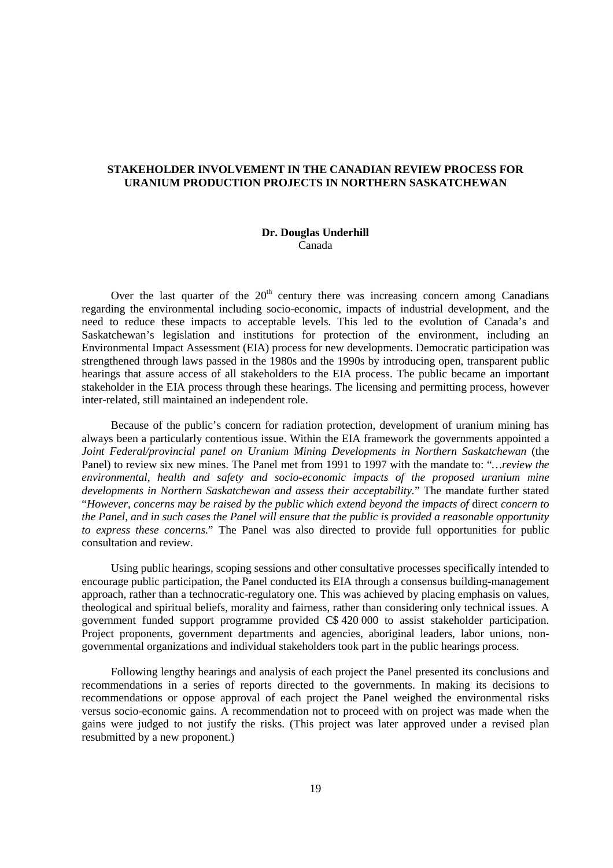#### **STAKEHOLDER INVOLVEMENT IN THE CANADIAN REVIEW PROCESS FOR URANIUM PRODUCTION PROJECTS IN NORTHERN SASKATCHEWAN**

#### **Dr. Douglas Underhill**  Canada

Over the last quarter of the  $20<sup>th</sup>$  century there was increasing concern among Canadians regarding the environmental including socio-economic, impacts of industrial development, and the need to reduce these impacts to acceptable levels. This led to the evolution of Canada's and Saskatchewan's legislation and institutions for protection of the environment, including an Environmental Impact Assessment (EIA) process for new developments. Democratic participation was strengthened through laws passed in the 1980s and the 1990s by introducing open, transparent public hearings that assure access of all stakeholders to the EIA process. The public became an important stakeholder in the EIA process through these hearings. The licensing and permitting process, however inter-related, still maintained an independent role.

Because of the public's concern for radiation protection, development of uranium mining has always been a particularly contentious issue. Within the EIA framework the governments appointed a *Joint Federal/provincial panel on Uranium Mining Developments in Northern Saskatchewan* (the Panel) to review six new mines. The Panel met from 1991 to 1997 with the mandate to: "*…review the environmental, health and safety and socio-economic impacts of the proposed uranium mine developments in Northern Saskatchewan and assess their acceptability.*" The mandate further stated "*However, concerns may be raised by the public which extend beyond the impacts of* direct *concern to the Panel, and in such cases the Panel will ensure that the public is provided a reasonable opportunity to express these concerns.*" The Panel was also directed to provide full opportunities for public consultation and review.

Using public hearings, scoping sessions and other consultative processes specifically intended to encourage public participation, the Panel conducted its EIA through a consensus building-management approach, rather than a technocratic-regulatory one. This was achieved by placing emphasis on values, theological and spiritual beliefs, morality and fairness, rather than considering only technical issues. A government funded support programme provided C\$ 420 000 to assist stakeholder participation. Project proponents, government departments and agencies, aboriginal leaders, labor unions, nongovernmental organizations and individual stakeholders took part in the public hearings process.

Following lengthy hearings and analysis of each project the Panel presented its conclusions and recommendations in a series of reports directed to the governments. In making its decisions to recommendations or oppose approval of each project the Panel weighed the environmental risks versus socio-economic gains. A recommendation not to proceed with on project was made when the gains were judged to not justify the risks. (This project was later approved under a revised plan resubmitted by a new proponent.)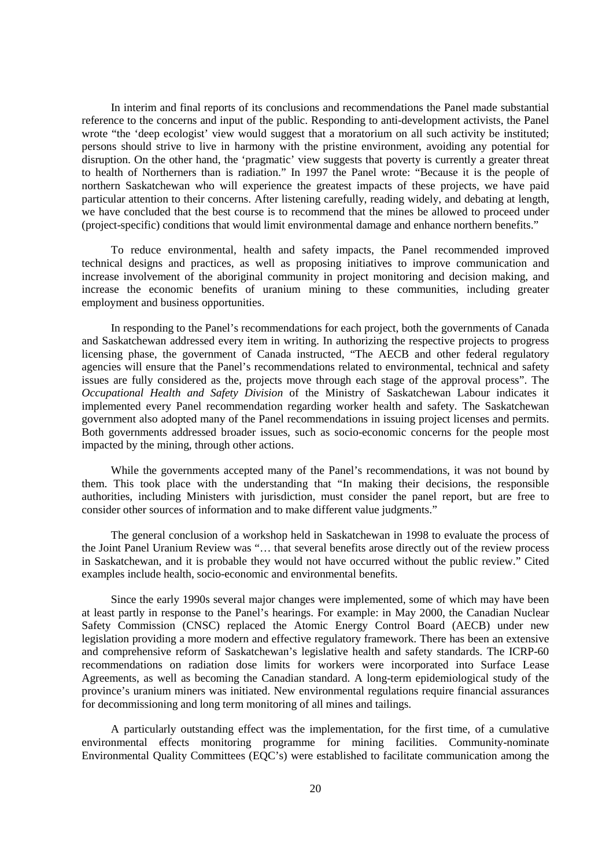In interim and final reports of its conclusions and recommendations the Panel made substantial reference to the concerns and input of the public. Responding to anti-development activists, the Panel wrote "the 'deep ecologist' view would suggest that a moratorium on all such activity be instituted; persons should strive to live in harmony with the pristine environment, avoiding any potential for disruption. On the other hand, the 'pragmatic' view suggests that poverty is currently a greater threat to health of Northerners than is radiation." In 1997 the Panel wrote: "Because it is the people of northern Saskatchewan who will experience the greatest impacts of these projects, we have paid particular attention to their concerns. After listening carefully, reading widely, and debating at length, we have concluded that the best course is to recommend that the mines be allowed to proceed under (project-specific) conditions that would limit environmental damage and enhance northern benefits."

To reduce environmental, health and safety impacts, the Panel recommended improved technical designs and practices, as well as proposing initiatives to improve communication and increase involvement of the aboriginal community in project monitoring and decision making, and increase the economic benefits of uranium mining to these communities, including greater employment and business opportunities.

In responding to the Panel's recommendations for each project, both the governments of Canada and Saskatchewan addressed every item in writing. In authorizing the respective projects to progress licensing phase, the government of Canada instructed, "The AECB and other federal regulatory agencies will ensure that the Panel's recommendations related to environmental, technical and safety issues are fully considered as the, projects move through each stage of the approval process". The *Occupational Health and Safety Division* of the Ministry of Saskatchewan Labour indicates it implemented every Panel recommendation regarding worker health and safety. The Saskatchewan government also adopted many of the Panel recommendations in issuing project licenses and permits. Both governments addressed broader issues, such as socio-economic concerns for the people most impacted by the mining, through other actions.

While the governments accepted many of the Panel's recommendations, it was not bound by them. This took place with the understanding that "In making their decisions, the responsible authorities, including Ministers with jurisdiction, must consider the panel report, but are free to consider other sources of information and to make different value judgments."

The general conclusion of a workshop held in Saskatchewan in 1998 to evaluate the process of the Joint Panel Uranium Review was "… that several benefits arose directly out of the review process in Saskatchewan, and it is probable they would not have occurred without the public review." Cited examples include health, socio-economic and environmental benefits.

Since the early 1990s several major changes were implemented, some of which may have been at least partly in response to the Panel's hearings. For example: in May 2000, the Canadian Nuclear Safety Commission (CNSC) replaced the Atomic Energy Control Board (AECB) under new legislation providing a more modern and effective regulatory framework. There has been an extensive and comprehensive reform of Saskatchewan's legislative health and safety standards. The ICRP-60 recommendations on radiation dose limits for workers were incorporated into Surface Lease Agreements, as well as becoming the Canadian standard. A long-term epidemiological study of the province's uranium miners was initiated. New environmental regulations require financial assurances for decommissioning and long term monitoring of all mines and tailings.

A particularly outstanding effect was the implementation, for the first time, of a cumulative environmental effects monitoring programme for mining facilities. Community-nominate Environmental Quality Committees (EQC's) were established to facilitate communication among the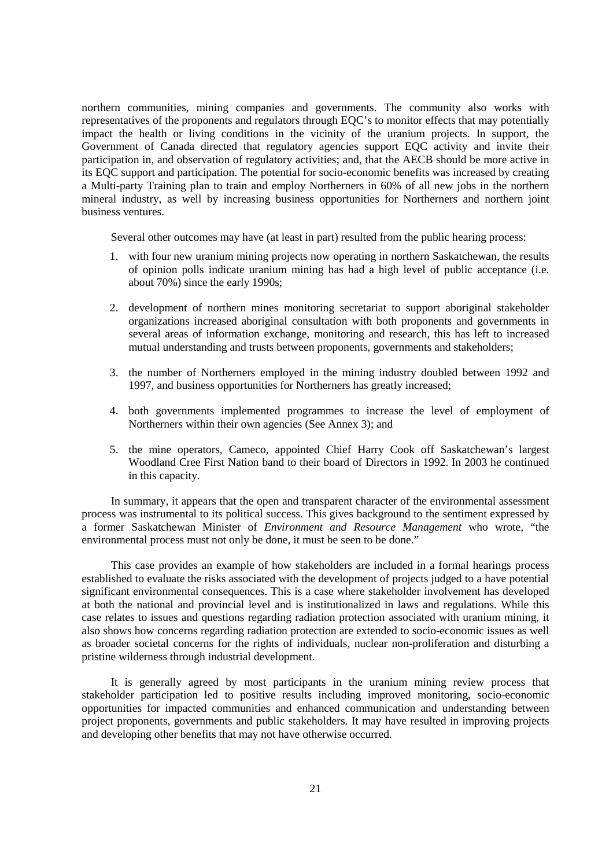northern communities, mining companies and governments. The community also works with representatives of the proponents and regulators through EQC's to monitor effects that may potentially impact the health or living conditions in the vicinity of the uranium projects. In support, the Government of Canada directed that regulatory agencies support EQC activity and invite their participation in, and observation of regulatory activities; and, that the AECB should be more active in its EQC support and participation. The potential for socio-economic benefits was increased by creating a Multi-party Training plan to train and employ Northerners in 60% of all new jobs in the northern mineral industry, as well by increasing business opportunities for Northerners and northern joint business ventures.

Several other outcomes may have (at least in part) resulted from the public hearing process:

- 1. with four new uranium mining projects now operating in northern Saskatchewan, the results of opinion polls indicate uranium mining has had a high level of public acceptance (i.e. about 70%) since the early 1990s;
- 2. development of northern mines monitoring secretariat to support aboriginal stakeholder organizations increased aboriginal consultation with both proponents and governments in several areas of information exchange, monitoring and research, this has left to increased mutual understanding and trusts between proponents, governments and stakeholders;
- 3. the number of Northerners employed in the mining industry doubled between 1992 and 1997, and business opportunities for Northerners has greatly increased;
- 4. both governments implemented programmes to increase the level of employment of Northerners within their own agencies (See Annex 3); and
- 5. the mine operators, Cameco, appointed Chief Harry Cook off Saskatchewan's largest Woodland Cree First Nation band to their board of Directors in 1992. In 2003 he continued in this capacity.

In summary, it appears that the open and transparent character of the environmental assessment process was instrumental to its political success. This gives background to the sentiment expressed by a former Saskatchewan Minister of *Environment and Resource Management* who wrote, "the environmental process must not only be done, it must be seen to be done."

This case provides an example of how stakeholders are included in a formal hearings process established to evaluate the risks associated with the development of projects judged to a have potential significant environmental consequences. This is a case where stakeholder involvement has developed at both the national and provincial level and is institutionalized in laws and regulations. While this case relates to issues and questions regarding radiation protection associated with uranium mining, it also shows how concerns regarding radiation protection are extended to socio-economic issues as well as broader societal concerns for the rights of individuals, nuclear non-proliferation and disturbing a pristine wilderness through industrial development.

It is generally agreed by most participants in the uranium mining review process that stakeholder participation led to positive results including improved monitoring, socio-economic opportunities for impacted communities and enhanced communication and understanding between project proponents, governments and public stakeholders. It may have resulted in improving projects and developing other benefits that may not have otherwise occurred.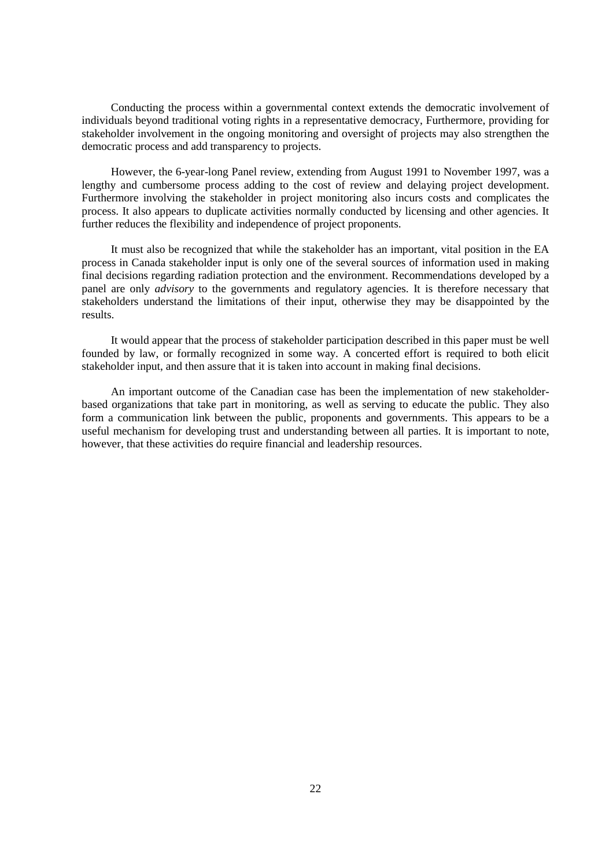Conducting the process within a governmental context extends the democratic involvement of individuals beyond traditional voting rights in a representative democracy, Furthermore, providing for stakeholder involvement in the ongoing monitoring and oversight of projects may also strengthen the democratic process and add transparency to projects.

However, the 6-year-long Panel review, extending from August 1991 to November 1997, was a lengthy and cumbersome process adding to the cost of review and delaying project development. Furthermore involving the stakeholder in project monitoring also incurs costs and complicates the process. It also appears to duplicate activities normally conducted by licensing and other agencies. It further reduces the flexibility and independence of project proponents.

It must also be recognized that while the stakeholder has an important, vital position in the EA process in Canada stakeholder input is only one of the several sources of information used in making final decisions regarding radiation protection and the environment. Recommendations developed by a panel are only *advisory* to the governments and regulatory agencies. It is therefore necessary that stakeholders understand the limitations of their input, otherwise they may be disappointed by the results.

It would appear that the process of stakeholder participation described in this paper must be well founded by law, or formally recognized in some way. A concerted effort is required to both elicit stakeholder input, and then assure that it is taken into account in making final decisions.

An important outcome of the Canadian case has been the implementation of new stakeholderbased organizations that take part in monitoring, as well as serving to educate the public. They also form a communication link between the public, proponents and governments. This appears to be a useful mechanism for developing trust and understanding between all parties. It is important to note, however, that these activities do require financial and leadership resources.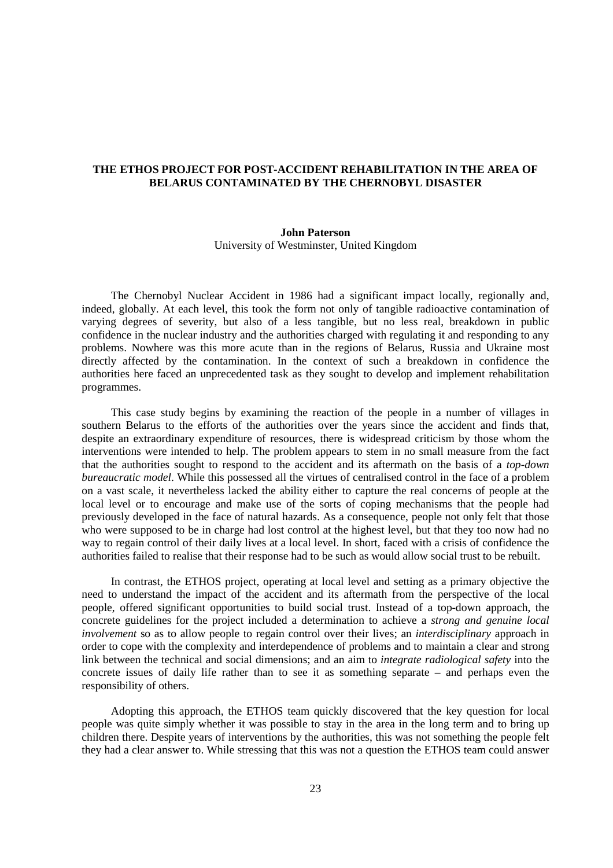#### **THE ETHOS PROJECT FOR POST-ACCIDENT REHABILITATION IN THE AREA OF BELARUS CONTAMINATED BY THE CHERNOBYL DISASTER**

#### **John Paterson**  University of Westminster, United Kingdom

The Chernobyl Nuclear Accident in 1986 had a significant impact locally, regionally and, indeed, globally. At each level, this took the form not only of tangible radioactive contamination of varying degrees of severity, but also of a less tangible, but no less real, breakdown in public confidence in the nuclear industry and the authorities charged with regulating it and responding to any problems. Nowhere was this more acute than in the regions of Belarus, Russia and Ukraine most directly affected by the contamination. In the context of such a breakdown in confidence the authorities here faced an unprecedented task as they sought to develop and implement rehabilitation programmes.

This case study begins by examining the reaction of the people in a number of villages in southern Belarus to the efforts of the authorities over the years since the accident and finds that, despite an extraordinary expenditure of resources, there is widespread criticism by those whom the interventions were intended to help. The problem appears to stem in no small measure from the fact that the authorities sought to respond to the accident and its aftermath on the basis of a *top-down bureaucratic model*. While this possessed all the virtues of centralised control in the face of a problem on a vast scale, it nevertheless lacked the ability either to capture the real concerns of people at the local level or to encourage and make use of the sorts of coping mechanisms that the people had previously developed in the face of natural hazards. As a consequence, people not only felt that those who were supposed to be in charge had lost control at the highest level, but that they too now had no way to regain control of their daily lives at a local level. In short, faced with a crisis of confidence the authorities failed to realise that their response had to be such as would allow social trust to be rebuilt.

In contrast, the ETHOS project, operating at local level and setting as a primary objective the need to understand the impact of the accident and its aftermath from the perspective of the local people, offered significant opportunities to build social trust. Instead of a top-down approach, the concrete guidelines for the project included a determination to achieve a *strong and genuine local involvement* so as to allow people to regain control over their lives; an *interdisciplinary* approach in order to cope with the complexity and interdependence of problems and to maintain a clear and strong link between the technical and social dimensions; and an aim to *integrate radiological safety* into the concrete issues of daily life rather than to see it as something separate – and perhaps even the responsibility of others.

Adopting this approach, the ETHOS team quickly discovered that the key question for local people was quite simply whether it was possible to stay in the area in the long term and to bring up children there. Despite years of interventions by the authorities, this was not something the people felt they had a clear answer to. While stressing that this was not a question the ETHOS team could answer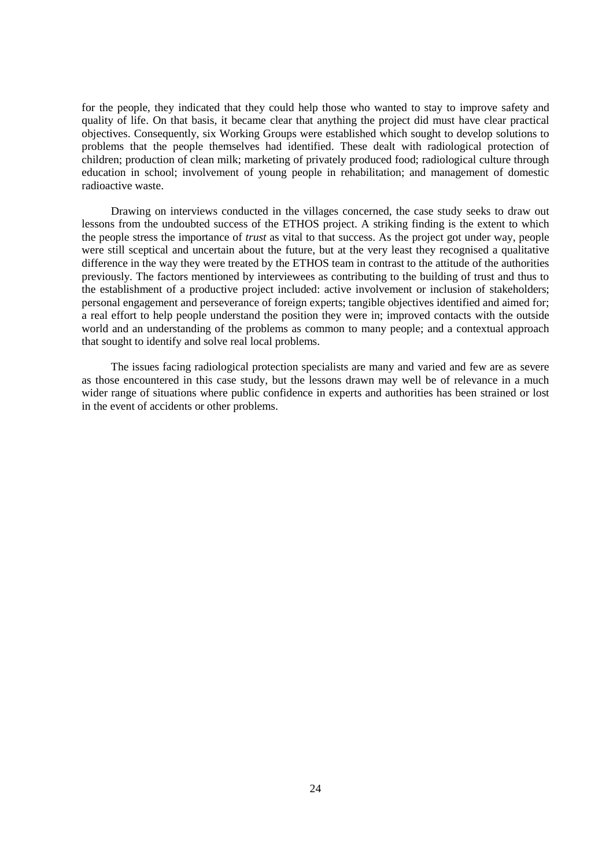for the people, they indicated that they could help those who wanted to stay to improve safety and quality of life. On that basis, it became clear that anything the project did must have clear practical objectives. Consequently, six Working Groups were established which sought to develop solutions to problems that the people themselves had identified. These dealt with radiological protection of children; production of clean milk; marketing of privately produced food; radiological culture through education in school; involvement of young people in rehabilitation; and management of domestic radioactive waste.

Drawing on interviews conducted in the villages concerned, the case study seeks to draw out lessons from the undoubted success of the ETHOS project. A striking finding is the extent to which the people stress the importance of *trust* as vital to that success. As the project got under way, people were still sceptical and uncertain about the future, but at the very least they recognised a qualitative difference in the way they were treated by the ETHOS team in contrast to the attitude of the authorities previously. The factors mentioned by interviewees as contributing to the building of trust and thus to the establishment of a productive project included: active involvement or inclusion of stakeholders; personal engagement and perseverance of foreign experts; tangible objectives identified and aimed for; a real effort to help people understand the position they were in; improved contacts with the outside world and an understanding of the problems as common to many people; and a contextual approach that sought to identify and solve real local problems.

The issues facing radiological protection specialists are many and varied and few are as severe as those encountered in this case study, but the lessons drawn may well be of relevance in a much wider range of situations where public confidence in experts and authorities has been strained or lost in the event of accidents or other problems.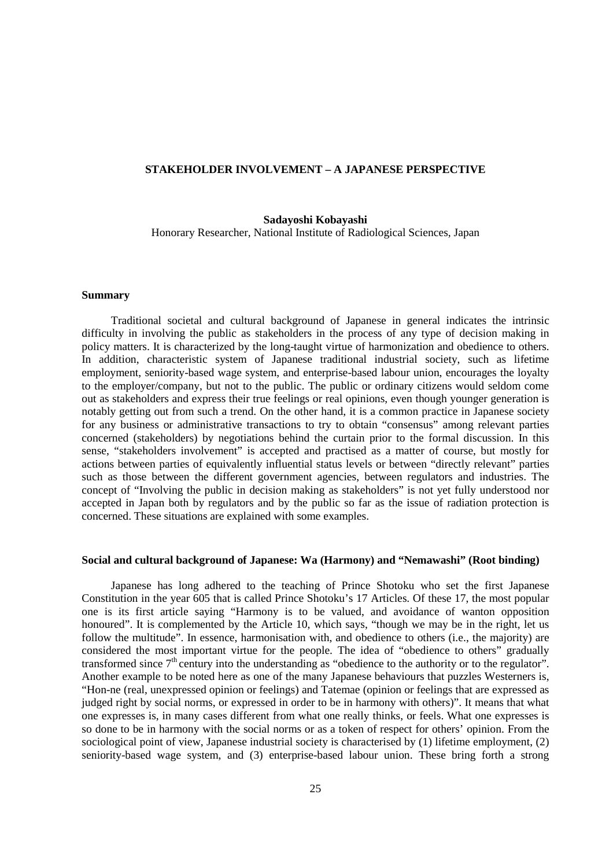#### **STAKEHOLDER INVOLVEMENT – A JAPANESE PERSPECTIVE**

#### **Sadayoshi Kobayashi**

Honorary Researcher, National Institute of Radiological Sciences, Japan

#### **Summary**

Traditional societal and cultural background of Japanese in general indicates the intrinsic difficulty in involving the public as stakeholders in the process of any type of decision making in policy matters. It is characterized by the long-taught virtue of harmonization and obedience to others. In addition, characteristic system of Japanese traditional industrial society, such as lifetime employment, seniority-based wage system, and enterprise-based labour union, encourages the loyalty to the employer/company, but not to the public. The public or ordinary citizens would seldom come out as stakeholders and express their true feelings or real opinions, even though younger generation is notably getting out from such a trend. On the other hand, it is a common practice in Japanese society for any business or administrative transactions to try to obtain "consensus" among relevant parties concerned (stakeholders) by negotiations behind the curtain prior to the formal discussion. In this sense, "stakeholders involvement" is accepted and practised as a matter of course, but mostly for actions between parties of equivalently influential status levels or between "directly relevant" parties such as those between the different government agencies, between regulators and industries. The concept of "Involving the public in decision making as stakeholders" is not yet fully understood nor accepted in Japan both by regulators and by the public so far as the issue of radiation protection is concerned. These situations are explained with some examples.

#### **Social and cultural background of Japanese: Wa (Harmony) and "Nemawashi" (Root binding)**

Japanese has long adhered to the teaching of Prince Shotoku who set the first Japanese Constitution in the year 605 that is called Prince Shotoku's 17 Articles. Of these 17, the most popular one is its first article saying "Harmony is to be valued, and avoidance of wanton opposition honoured". It is complemented by the Article 10, which says, "though we may be in the right, let us follow the multitude". In essence, harmonisation with, and obedience to others (i.e., the majority) are considered the most important virtue for the people. The idea of "obedience to others" gradually transformed since  $7<sup>th</sup>$  century into the understanding as "obedience to the authority or to the regulator". Another example to be noted here as one of the many Japanese behaviours that puzzles Westerners is, "Hon-ne (real, unexpressed opinion or feelings) and Tatemae (opinion or feelings that are expressed as judged right by social norms, or expressed in order to be in harmony with others)". It means that what one expresses is, in many cases different from what one really thinks, or feels. What one expresses is so done to be in harmony with the social norms or as a token of respect for others' opinion. From the sociological point of view, Japanese industrial society is characterised by (1) lifetime employment, (2) seniority-based wage system, and (3) enterprise-based labour union. These bring forth a strong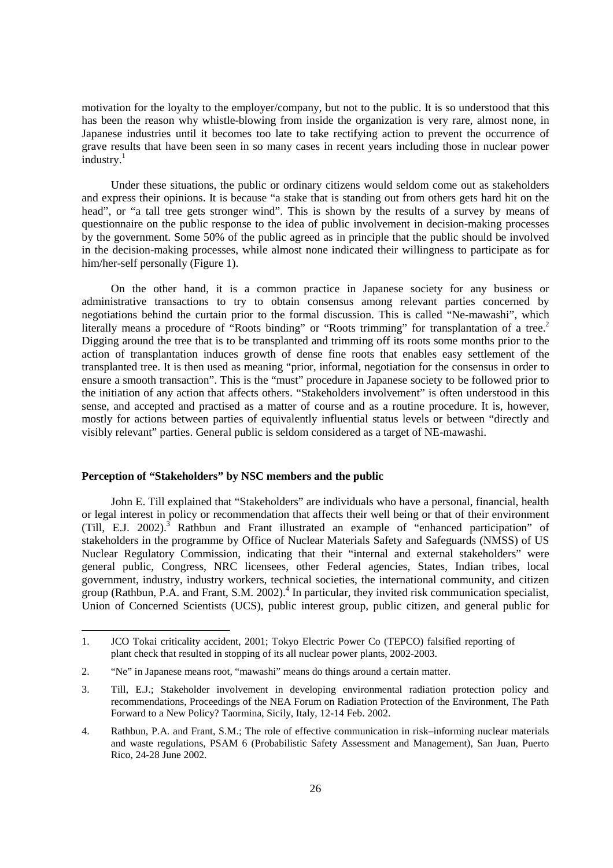motivation for the loyalty to the employer/company, but not to the public. It is so understood that this has been the reason why whistle-blowing from inside the organization is very rare, almost none, in Japanese industries until it becomes too late to take rectifying action to prevent the occurrence of grave results that have been seen in so many cases in recent years including those in nuclear power industry. $1$ 

Under these situations, the public or ordinary citizens would seldom come out as stakeholders and express their opinions. It is because "a stake that is standing out from others gets hard hit on the head", or "a tall tree gets stronger wind". This is shown by the results of a survey by means of questionnaire on the public response to the idea of public involvement in decision-making processes by the government. Some 50% of the public agreed as in principle that the public should be involved in the decision-making processes, while almost none indicated their willingness to participate as for him/her-self personally (Figure 1).

On the other hand, it is a common practice in Japanese society for any business or administrative transactions to try to obtain consensus among relevant parties concerned by negotiations behind the curtain prior to the formal discussion. This is called "Ne-mawashi", which literally means a procedure of "Roots binding" or "Roots trimming" for transplantation of a tree.<sup>2</sup> Digging around the tree that is to be transplanted and trimming off its roots some months prior to the action of transplantation induces growth of dense fine roots that enables easy settlement of the transplanted tree. It is then used as meaning "prior, informal, negotiation for the consensus in order to ensure a smooth transaction". This is the "must" procedure in Japanese society to be followed prior to the initiation of any action that affects others. "Stakeholders involvement" is often understood in this sense, and accepted and practised as a matter of course and as a routine procedure. It is, however, mostly for actions between parties of equivalently influential status levels or between "directly and visibly relevant" parties. General public is seldom considered as a target of NE-mawashi.

#### **Perception of "Stakeholders" by NSC members and the public**

 $\overline{a}$ 

John E. Till explained that "Stakeholders" are individuals who have a personal, financial, health or legal interest in policy or recommendation that affects their well being or that of their environment (Till, E.J. 2002).<sup>3</sup> Rathbun and Frant illustrated an example of "enhanced participation" of stakeholders in the programme by Office of Nuclear Materials Safety and Safeguards (NMSS) of US Nuclear Regulatory Commission, indicating that their "internal and external stakeholders" were general public, Congress, NRC licensees, other Federal agencies, States, Indian tribes, local government, industry, industry workers, technical societies, the international community, and citizen group (Rathbun, P.A. and Frant, S.M. 2002). $^4$  In particular, they invited risk communication specialist, Union of Concerned Scientists (UCS), public interest group, public citizen, and general public for

<sup>1.</sup> JCO Tokai criticality accident, 2001; Tokyo Electric Power Co (TEPCO) falsified reporting of plant check that resulted in stopping of its all nuclear power plants, 2002-2003.

<sup>2. &</sup>quot;Ne" in Japanese means root, "mawashi" means do things around a certain matter.

<sup>3.</sup> Till, E.J.; Stakeholder involvement in developing environmental radiation protection policy and recommendations, Proceedings of the NEA Forum on Radiation Protection of the Environment, The Path Forward to a New Policy? Taormina, Sicily, Italy, 12-14 Feb. 2002.

<sup>4.</sup> Rathbun, P.A. and Frant, S.M.; The role of effective communication in risk–informing nuclear materials and waste regulations, PSAM 6 (Probabilistic Safety Assessment and Management), San Juan, Puerto Rico, 24-28 June 2002.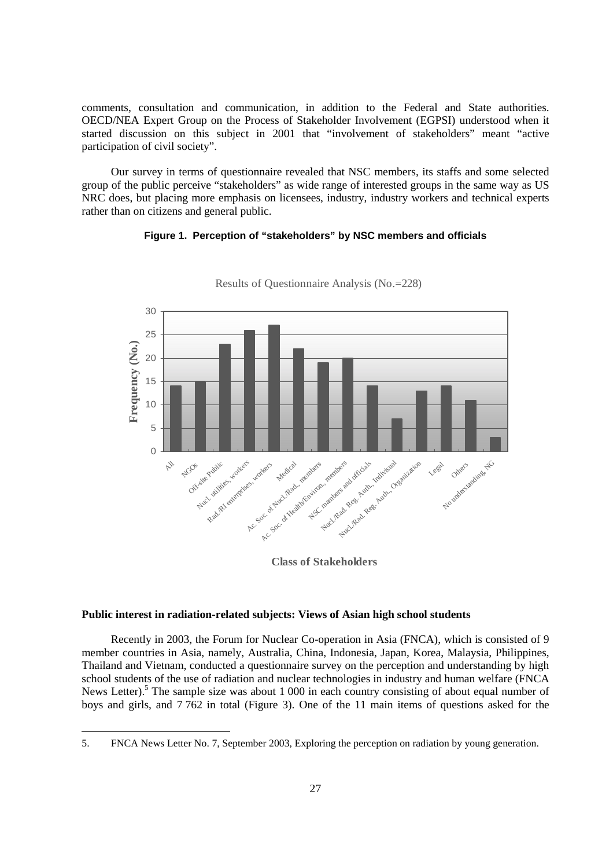comments, consultation and communication, in addition to the Federal and State authorities. OECD/NEA Expert Group on the Process of Stakeholder Involvement (EGPSI) understood when it started discussion on this subject in 2001 that "involvement of stakeholders" meant "active participation of civil society".

Our survey in terms of questionnaire revealed that NSC members, its staffs and some selected group of the public perceive "stakeholders" as wide range of interested groups in the same way as US NRC does, but placing more emphasis on licensees, industry, industry workers and technical experts rather than on citizens and general public.

#### **Figure 1. Perception of "stakeholders" by NSC members and officials**



Results of Questionnaire Analysis (No.=228)

**Class of Stakeholders**

#### **Public interest in radiation-related subjects: Views of Asian high school students**

 $\overline{a}$ 

Recently in 2003, the Forum for Nuclear Co-operation in Asia (FNCA), which is consisted of 9 member countries in Asia, namely, Australia, China, Indonesia, Japan, Korea, Malaysia, Philippines, Thailand and Vietnam, conducted a questionnaire survey on the perception and understanding by high school students of the use of radiation and nuclear technologies in industry and human welfare (FNCA News Letter).<sup>5</sup> The sample size was about 1 000 in each country consisting of about equal number of boys and girls, and 7 762 in total (Figure 3). One of the 11 main items of questions asked for the

<sup>5.</sup> FNCA News Letter No. 7, September 2003, Exploring the perception on radiation by young generation.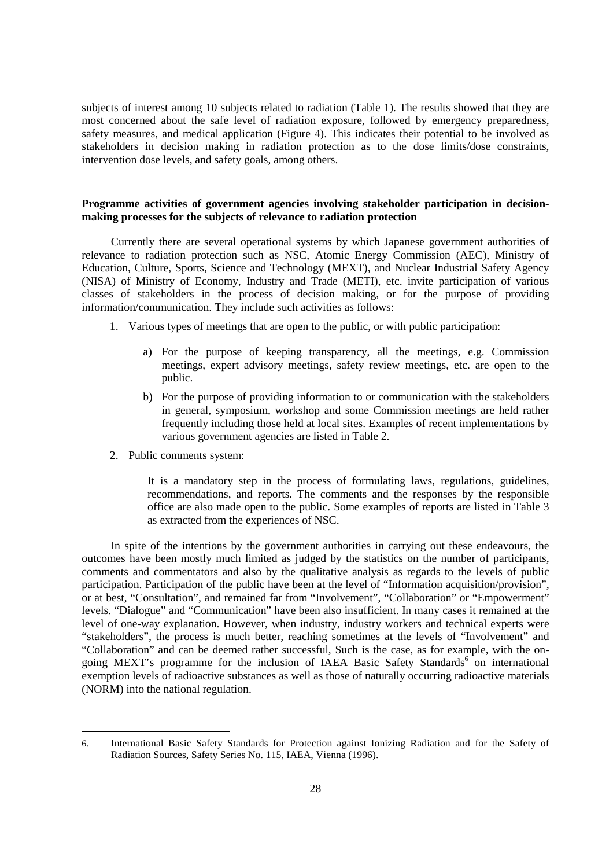subjects of interest among 10 subjects related to radiation (Table 1). The results showed that they are most concerned about the safe level of radiation exposure, followed by emergency preparedness, safety measures, and medical application (Figure 4). This indicates their potential to be involved as stakeholders in decision making in radiation protection as to the dose limits/dose constraints, intervention dose levels, and safety goals, among others.

#### **Programme activities of government agencies involving stakeholder participation in decisionmaking processes for the subjects of relevance to radiation protection**

Currently there are several operational systems by which Japanese government authorities of relevance to radiation protection such as NSC, Atomic Energy Commission (AEC), Ministry of Education, Culture, Sports, Science and Technology (MEXT), and Nuclear Industrial Safety Agency (NISA) of Ministry of Economy, Industry and Trade (METI), etc. invite participation of various classes of stakeholders in the process of decision making, or for the purpose of providing information/communication. They include such activities as follows:

- 1. Various types of meetings that are open to the public, or with public participation:
	- a) For the purpose of keeping transparency, all the meetings, e.g. Commission meetings, expert advisory meetings, safety review meetings, etc. are open to the public.
	- b) For the purpose of providing information to or communication with the stakeholders in general, symposium, workshop and some Commission meetings are held rather frequently including those held at local sites. Examples of recent implementations by various government agencies are listed in Table 2.
- 2. Public comments system:

It is a mandatory step in the process of formulating laws, regulations, guidelines, recommendations, and reports. The comments and the responses by the responsible office are also made open to the public. Some examples of reports are listed in Table 3 as extracted from the experiences of NSC.

In spite of the intentions by the government authorities in carrying out these endeavours, the outcomes have been mostly much limited as judged by the statistics on the number of participants, comments and commentators and also by the qualitative analysis as regards to the levels of public participation. Participation of the public have been at the level of "Information acquisition/provision", or at best, "Consultation", and remained far from "Involvement", "Collaboration" or "Empowerment" levels. "Dialogue" and "Communication" have been also insufficient. In many cases it remained at the level of one-way explanation. However, when industry, industry workers and technical experts were "stakeholders", the process is much better, reaching sometimes at the levels of "Involvement" and "Collaboration" and can be deemed rather successful, Such is the case, as for example, with the ongoing MEXT's programme for the inclusion of IAEA Basic Safety Standards<sup>6</sup> on international exemption levels of radioactive substances as well as those of naturally occurring radioactive materials (NORM) into the national regulation.

 $\overline{a}$ 6. International Basic Safety Standards for Protection against Ionizing Radiation and for the Safety of Radiation Sources, Safety Series No. 115, IAEA, Vienna (1996).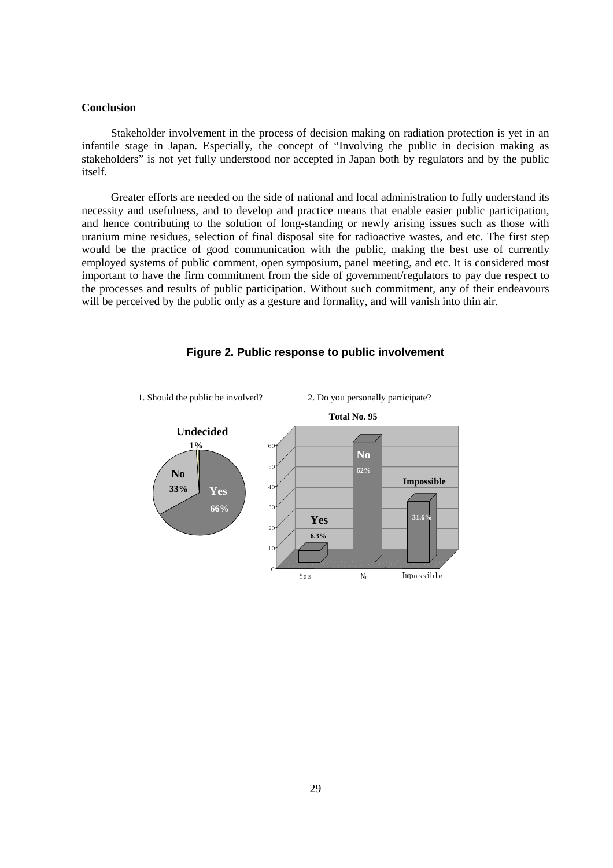#### **Conclusion**

Stakeholder involvement in the process of decision making on radiation protection is yet in an infantile stage in Japan. Especially, the concept of "Involving the public in decision making as stakeholders" is not yet fully understood nor accepted in Japan both by regulators and by the public itself.

Greater efforts are needed on the side of national and local administration to fully understand its necessity and usefulness, and to develop and practice means that enable easier public participation, and hence contributing to the solution of long-standing or newly arising issues such as those with uranium mine residues, selection of final disposal site for radioactive wastes, and etc. The first step would be the practice of good communication with the public, making the best use of currently employed systems of public comment, open symposium, panel meeting, and etc. It is considered most important to have the firm commitment from the side of government/regulators to pay due respect to the processes and results of public participation. Without such commitment, any of their endeavours will be perceived by the public only as a gesture and formality, and will vanish into thin air.



**Figure 2. Public response to public involvement**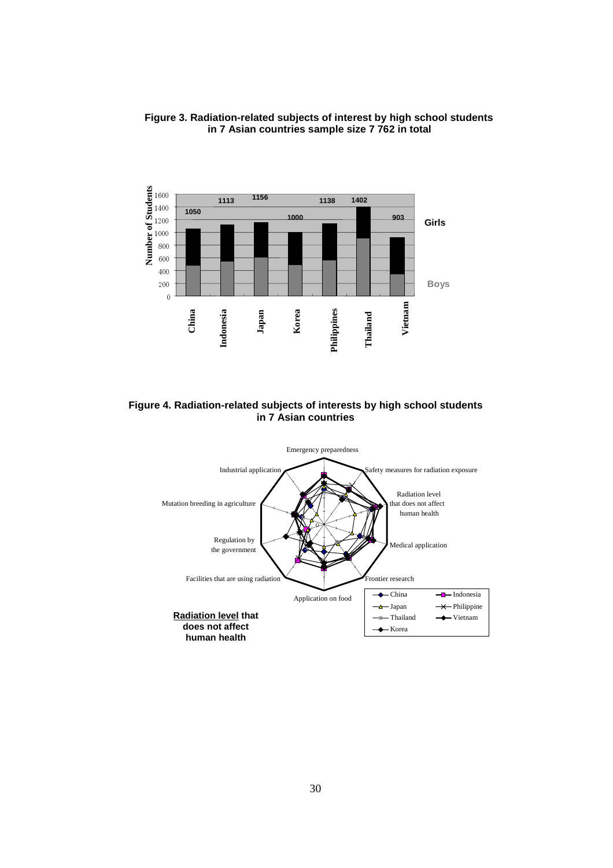



**Figure 4. Radiation-related subjects of interests by high school students in 7 Asian countries** 

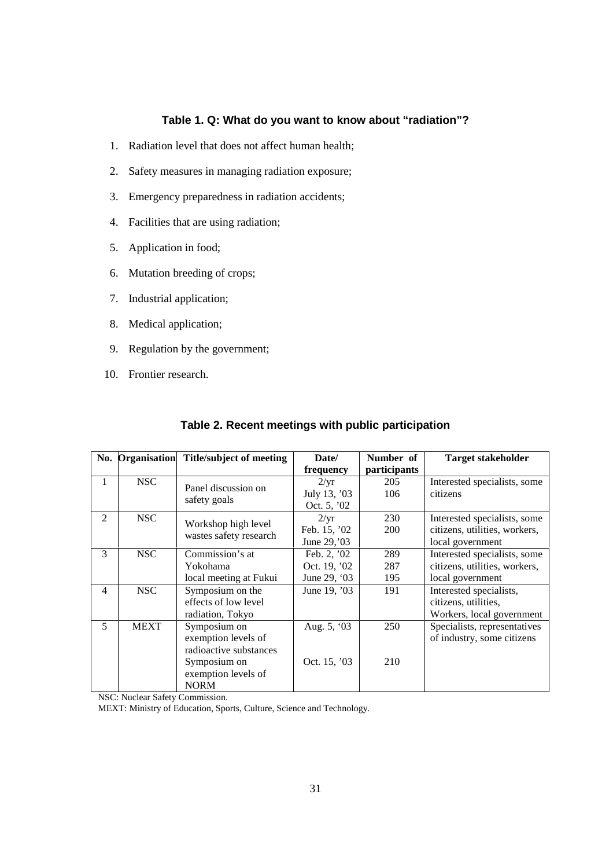# **Table 1. Q: What do you want to know about "radiation"?**

- 1. Radiation level that does not affect human health;
- 2. Safety measures in managing radiation exposure;
- 3. Emergency preparedness in radiation accidents;
- 4. Facilities that are using radiation;
- 5. Application in food;
- 6. Mutation breeding of crops;
- 7. Industrial application;
- 8. Medical application;
- 9. Regulation by the government;
- 10. Frontier research.

|   | No. Organisation | Title/subject of meeting                      | Date/        | Number of           | <b>Target stakeholder</b>     |
|---|------------------|-----------------------------------------------|--------------|---------------------|-------------------------------|
|   |                  |                                               | frequency    | <i>participants</i> |                               |
| 1 | <b>NSC</b>       | Panel discussion on                           | 2/yr         | 205                 | Interested specialists, some  |
|   |                  |                                               | July 13, '03 | 106                 | citizens                      |
|   |                  | safety goals                                  | Oct. 5, '02  |                     |                               |
| 2 | NSC              |                                               | 2/yr         | 230                 | Interested specialists, some  |
|   |                  | Workshop high level<br>wastes safety research | Feb. 15, '02 | <b>200</b>          | citizens, utilities, workers, |
|   |                  |                                               | June 29,'03  |                     | local government              |
| 3 | <b>NSC</b>       | Commission's at                               | Feb. 2, '02  | 289                 | Interested specialists, some  |
|   |                  | Yokohama                                      | Oct. 19, '02 | 287                 | citizens, utilities, workers, |
|   |                  | local meeting at Fukui                        | June 29, '03 | 195                 | local government              |
| 4 | <b>NSC</b>       | Symposium on the                              | June 19, '03 | 191                 | Interested specialists,       |
|   |                  | effects of low level                          |              |                     | citizens, utilities,          |
|   |                  | radiation, Tokyo                              |              |                     | Workers, local government     |
| 5 | <b>MEXT</b>      | Symposium on                                  | Aug. 5, '03  | 250                 | Specialists, representatives  |
|   |                  | exemption levels of                           |              |                     | of industry, some citizens    |
|   |                  | radioactive substances                        |              |                     |                               |
|   |                  | Symposium on                                  | Oct. 15, '03 | 210                 |                               |
|   |                  | exemption levels of                           |              |                     |                               |
|   |                  | <b>NORM</b>                                   |              |                     |                               |

# **Table 2. Recent meetings with public participation**

NSC: Nuclear Safety Commission.

MEXT: Ministry of Education, Sports, Culture, Science and Technology.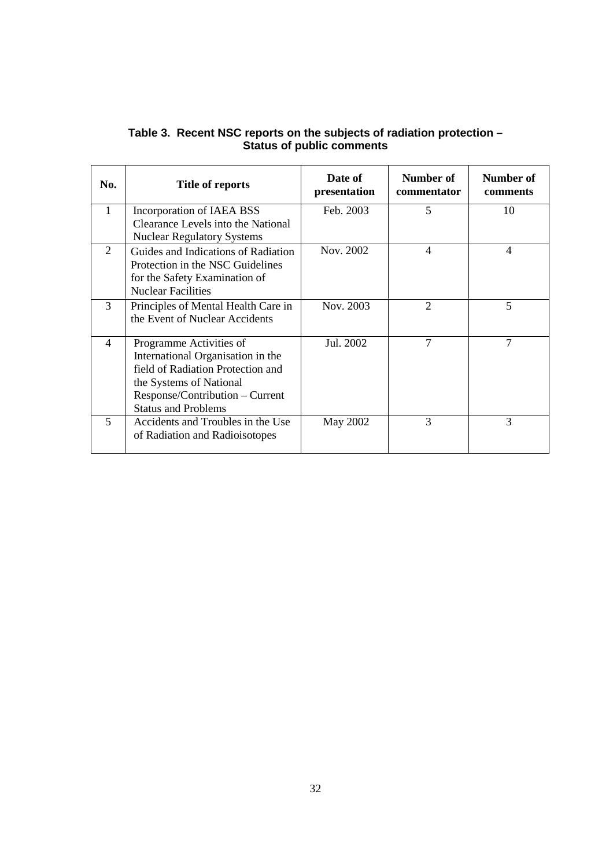| No.                      | Title of reports                                                                                                                                                                              | Date of<br>presentation | Number of<br>commentator    | Number of<br>comments |
|--------------------------|-----------------------------------------------------------------------------------------------------------------------------------------------------------------------------------------------|-------------------------|-----------------------------|-----------------------|
| 1                        | Incorporation of IAEA BSS<br>Clearance Levels into the National<br><b>Nuclear Regulatory Systems</b>                                                                                          | Feb. 2003               | 5                           | 10                    |
| 2                        | Guides and Indications of Radiation<br>Protection in the NSC Guidelines<br>for the Safety Examination of<br><b>Nuclear Facilities</b>                                                         | Nov. 2002               | 4                           | $\overline{4}$        |
| 3                        | Principles of Mental Health Care in<br>the Event of Nuclear Accidents                                                                                                                         | Nov. 2003               | $\mathcal{D}_{\mathcal{L}}$ | 5                     |
| $\overline{\mathcal{A}}$ | Programme Activities of<br>International Organisation in the<br>field of Radiation Protection and<br>the Systems of National<br>Response/Contribution – Current<br><b>Status and Problems</b> | Jul. 2002               | 7                           | 7                     |
| 5                        | Accidents and Troubles in the Use<br>of Radiation and Radioisotopes                                                                                                                           | May 2002                | 3                           | 3                     |

# **Table 3. Recent NSC reports on the subjects of radiation protection – Status of public comments**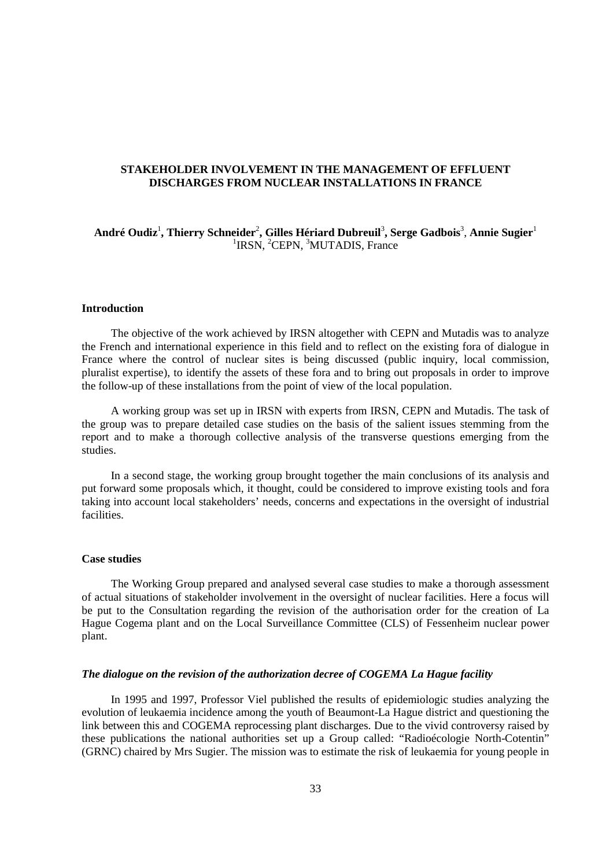#### **STAKEHOLDER INVOLVEMENT IN THE MANAGEMENT OF EFFLUENT DISCHARGES FROM NUCLEAR INSTALLATIONS IN FRANCE**

#### $\mathbf{Andr}$ é  $\mathbf{O}$ udiz<sup>1</sup>, Thierry Schneider $^2$ , Gilles Hériard Dubreuil $^3$ , Serge Gadbois $^3$ , Annie Sugier $^1$ <sup>1</sup>IRSN, <sup>2</sup>CEPN, <sup>3</sup>MUTADIS, France

#### **Introduction**

The objective of the work achieved by IRSN altogether with CEPN and Mutadis was to analyze the French and international experience in this field and to reflect on the existing fora of dialogue in France where the control of nuclear sites is being discussed (public inquiry, local commission, pluralist expertise), to identify the assets of these fora and to bring out proposals in order to improve the follow-up of these installations from the point of view of the local population.

A working group was set up in IRSN with experts from IRSN, CEPN and Mutadis. The task of the group was to prepare detailed case studies on the basis of the salient issues stemming from the report and to make a thorough collective analysis of the transverse questions emerging from the studies.

In a second stage, the working group brought together the main conclusions of its analysis and put forward some proposals which, it thought, could be considered to improve existing tools and fora taking into account local stakeholders' needs, concerns and expectations in the oversight of industrial facilities.

#### **Case studies**

The Working Group prepared and analysed several case studies to make a thorough assessment of actual situations of stakeholder involvement in the oversight of nuclear facilities. Here a focus will be put to the Consultation regarding the revision of the authorisation order for the creation of La Hague Cogema plant and on the Local Surveillance Committee (CLS) of Fessenheim nuclear power plant.

#### *The dialogue on the revision of the authorization decree of COGEMA La Hague facility*

In 1995 and 1997, Professor Viel published the results of epidemiologic studies analyzing the evolution of leukaemia incidence among the youth of Beaumont-La Hague district and questioning the link between this and COGEMA reprocessing plant discharges. Due to the vivid controversy raised by these publications the national authorities set up a Group called: "Radioécologie North-Cotentin" (GRNC) chaired by Mrs Sugier. The mission was to estimate the risk of leukaemia for young people in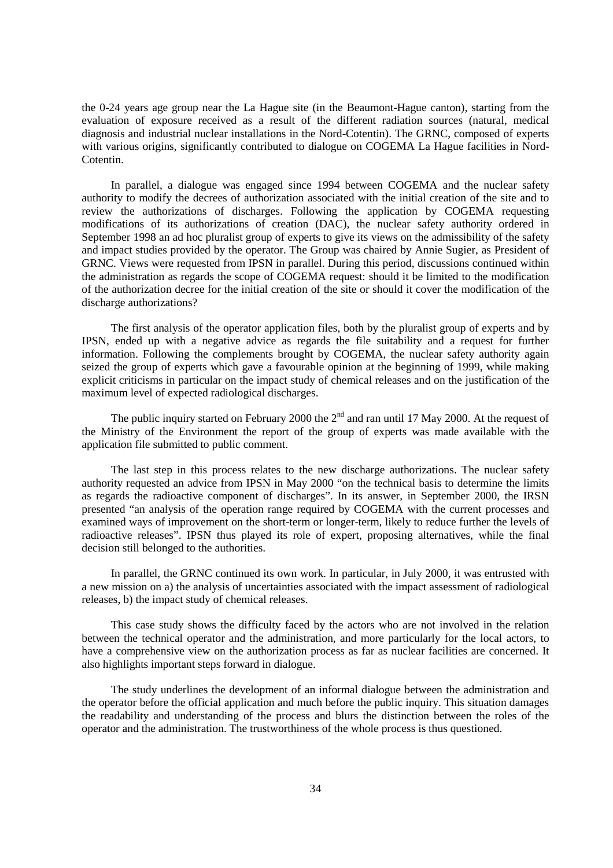the 0-24 years age group near the La Hague site (in the Beaumont-Hague canton), starting from the evaluation of exposure received as a result of the different radiation sources (natural, medical diagnosis and industrial nuclear installations in the Nord-Cotentin). The GRNC, composed of experts with various origins, significantly contributed to dialogue on COGEMA La Hague facilities in Nord-**Cotentin** 

In parallel, a dialogue was engaged since 1994 between COGEMA and the nuclear safety authority to modify the decrees of authorization associated with the initial creation of the site and to review the authorizations of discharges. Following the application by COGEMA requesting modifications of its authorizations of creation (DAC), the nuclear safety authority ordered in September 1998 an ad hoc pluralist group of experts to give its views on the admissibility of the safety and impact studies provided by the operator. The Group was chaired by Annie Sugier, as President of GRNC. Views were requested from IPSN in parallel. During this period, discussions continued within the administration as regards the scope of COGEMA request: should it be limited to the modification of the authorization decree for the initial creation of the site or should it cover the modification of the discharge authorizations?

The first analysis of the operator application files, both by the pluralist group of experts and by IPSN, ended up with a negative advice as regards the file suitability and a request for further information. Following the complements brought by COGEMA, the nuclear safety authority again seized the group of experts which gave a favourable opinion at the beginning of 1999, while making explicit criticisms in particular on the impact study of chemical releases and on the justification of the maximum level of expected radiological discharges.

The public inquiry started on February 2000 the  $2<sup>nd</sup>$  and ran until 17 May 2000. At the request of the Ministry of the Environment the report of the group of experts was made available with the application file submitted to public comment.

The last step in this process relates to the new discharge authorizations. The nuclear safety authority requested an advice from IPSN in May 2000 "on the technical basis to determine the limits as regards the radioactive component of discharges". In its answer, in September 2000, the IRSN presented "an analysis of the operation range required by COGEMA with the current processes and examined ways of improvement on the short-term or longer-term, likely to reduce further the levels of radioactive releases". IPSN thus played its role of expert, proposing alternatives, while the final decision still belonged to the authorities.

In parallel, the GRNC continued its own work. In particular, in July 2000, it was entrusted with a new mission on a) the analysis of uncertainties associated with the impact assessment of radiological releases, b) the impact study of chemical releases.

This case study shows the difficulty faced by the actors who are not involved in the relation between the technical operator and the administration, and more particularly for the local actors, to have a comprehensive view on the authorization process as far as nuclear facilities are concerned. It also highlights important steps forward in dialogue.

The study underlines the development of an informal dialogue between the administration and the operator before the official application and much before the public inquiry. This situation damages the readability and understanding of the process and blurs the distinction between the roles of the operator and the administration. The trustworthiness of the whole process is thus questioned.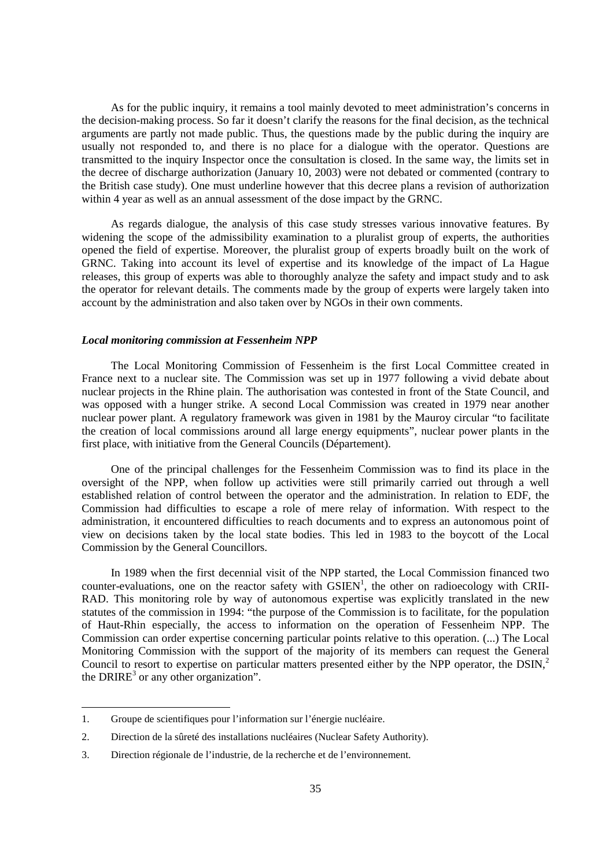As for the public inquiry, it remains a tool mainly devoted to meet administration's concerns in the decision-making process. So far it doesn't clarify the reasons for the final decision, as the technical arguments are partly not made public. Thus, the questions made by the public during the inquiry are usually not responded to, and there is no place for a dialogue with the operator. Questions are transmitted to the inquiry Inspector once the consultation is closed. In the same way, the limits set in the decree of discharge authorization (January 10, 2003) were not debated or commented (contrary to the British case study). One must underline however that this decree plans a revision of authorization within 4 year as well as an annual assessment of the dose impact by the GRNC.

As regards dialogue, the analysis of this case study stresses various innovative features. By widening the scope of the admissibility examination to a pluralist group of experts, the authorities opened the field of expertise. Moreover, the pluralist group of experts broadly built on the work of GRNC. Taking into account its level of expertise and its knowledge of the impact of La Hague releases, this group of experts was able to thoroughly analyze the safety and impact study and to ask the operator for relevant details. The comments made by the group of experts were largely taken into account by the administration and also taken over by NGOs in their own comments.

#### *Local monitoring commission at Fessenheim NPP*

The Local Monitoring Commission of Fessenheim is the first Local Committee created in France next to a nuclear site. The Commission was set up in 1977 following a vivid debate about nuclear projects in the Rhine plain. The authorisation was contested in front of the State Council, and was opposed with a hunger strike. A second Local Commission was created in 1979 near another nuclear power plant. A regulatory framework was given in 1981 by the Mauroy circular "to facilitate the creation of local commissions around all large energy equipments", nuclear power plants in the first place, with initiative from the General Councils (Département).

One of the principal challenges for the Fessenheim Commission was to find its place in the oversight of the NPP, when follow up activities were still primarily carried out through a well established relation of control between the operator and the administration. In relation to EDF, the Commission had difficulties to escape a role of mere relay of information. With respect to the administration, it encountered difficulties to reach documents and to express an autonomous point of view on decisions taken by the local state bodies. This led in 1983 to the boycott of the Local Commission by the General Councillors.

In 1989 when the first decennial visit of the NPP started, the Local Commission financed two counter-evaluations, one on the reactor safety with  $GSIEN<sup>1</sup>$ , the other on radioecology with CRII-RAD. This monitoring role by way of autonomous expertise was explicitly translated in the new statutes of the commission in 1994: "the purpose of the Commission is to facilitate, for the population of Haut-Rhin especially, the access to information on the operation of Fessenheim NPP. The Commission can order expertise concerning particular points relative to this operation. (...) The Local Monitoring Commission with the support of the majority of its members can request the General Council to resort to expertise on particular matters presented either by the NPP operator, the DSIN,<sup>2</sup> the DRIRE<sup>3</sup> or any other organization".

 $\overline{a}$ 

<sup>1.</sup> Groupe de scientifiques pour l'information sur l'énergie nucléaire.

<sup>2.</sup> Direction de la sûreté des installations nucléaires (Nuclear Safety Authority).

<sup>3.</sup> Direction régionale de l'industrie, de la recherche et de l'environnement.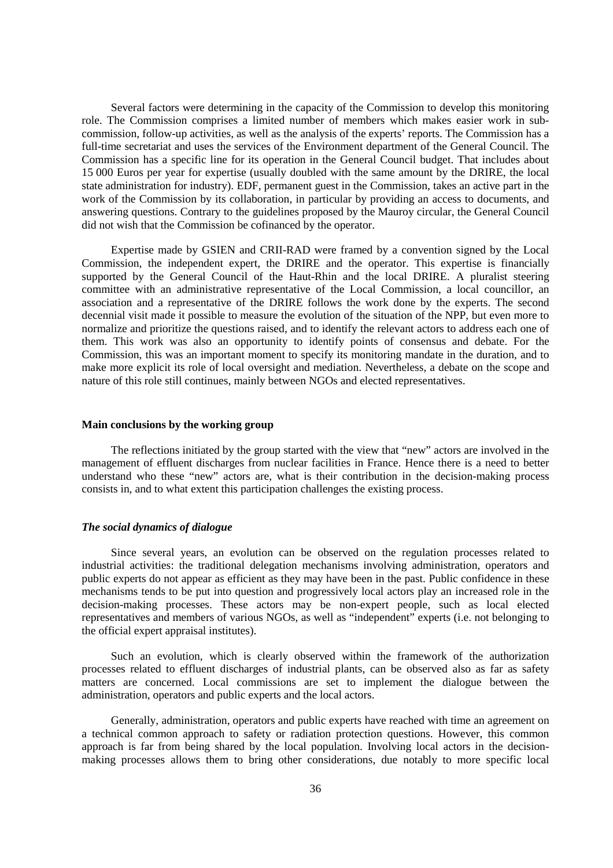Several factors were determining in the capacity of the Commission to develop this monitoring role. The Commission comprises a limited number of members which makes easier work in subcommission, follow-up activities, as well as the analysis of the experts' reports. The Commission has a full-time secretariat and uses the services of the Environment department of the General Council. The Commission has a specific line for its operation in the General Council budget. That includes about 15 000 Euros per year for expertise (usually doubled with the same amount by the DRIRE, the local state administration for industry). EDF, permanent guest in the Commission, takes an active part in the work of the Commission by its collaboration, in particular by providing an access to documents, and answering questions. Contrary to the guidelines proposed by the Mauroy circular, the General Council did not wish that the Commission be cofinanced by the operator.

Expertise made by GSIEN and CRII-RAD were framed by a convention signed by the Local Commission, the independent expert, the DRIRE and the operator. This expertise is financially supported by the General Council of the Haut-Rhin and the local DRIRE. A pluralist steering committee with an administrative representative of the Local Commission, a local councillor, an association and a representative of the DRIRE follows the work done by the experts. The second decennial visit made it possible to measure the evolution of the situation of the NPP, but even more to normalize and prioritize the questions raised, and to identify the relevant actors to address each one of them. This work was also an opportunity to identify points of consensus and debate. For the Commission, this was an important moment to specify its monitoring mandate in the duration, and to make more explicit its role of local oversight and mediation. Nevertheless, a debate on the scope and nature of this role still continues, mainly between NGOs and elected representatives.

#### **Main conclusions by the working group**

The reflections initiated by the group started with the view that "new" actors are involved in the management of effluent discharges from nuclear facilities in France. Hence there is a need to better understand who these "new" actors are, what is their contribution in the decision-making process consists in, and to what extent this participation challenges the existing process.

#### *The social dynamics of dialogue*

Since several years, an evolution can be observed on the regulation processes related to industrial activities: the traditional delegation mechanisms involving administration, operators and public experts do not appear as efficient as they may have been in the past. Public confidence in these mechanisms tends to be put into question and progressively local actors play an increased role in the decision-making processes. These actors may be non-expert people, such as local elected representatives and members of various NGOs, as well as "independent" experts (i.e. not belonging to the official expert appraisal institutes).

Such an evolution, which is clearly observed within the framework of the authorization processes related to effluent discharges of industrial plants, can be observed also as far as safety matters are concerned. Local commissions are set to implement the dialogue between the administration, operators and public experts and the local actors.

Generally, administration, operators and public experts have reached with time an agreement on a technical common approach to safety or radiation protection questions. However, this common approach is far from being shared by the local population. Involving local actors in the decisionmaking processes allows them to bring other considerations, due notably to more specific local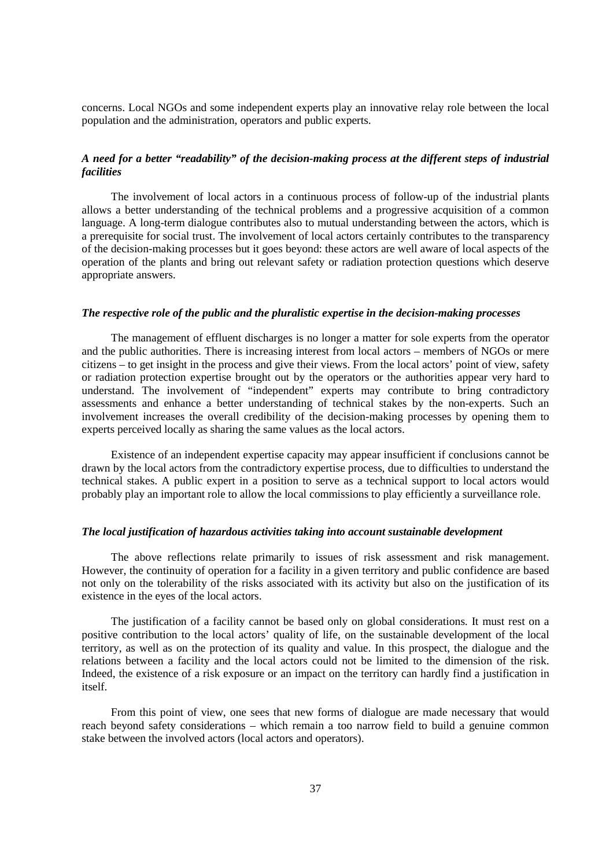concerns. Local NGOs and some independent experts play an innovative relay role between the local population and the administration, operators and public experts.

#### *A need for a better "readability" of the decision-making process at the different steps of industrial facilities*

The involvement of local actors in a continuous process of follow-up of the industrial plants allows a better understanding of the technical problems and a progressive acquisition of a common language. A long-term dialogue contributes also to mutual understanding between the actors, which is a prerequisite for social trust. The involvement of local actors certainly contributes to the transparency of the decision-making processes but it goes beyond: these actors are well aware of local aspects of the operation of the plants and bring out relevant safety or radiation protection questions which deserve appropriate answers.

#### *The respective role of the public and the pluralistic expertise in the decision-making processes*

The management of effluent discharges is no longer a matter for sole experts from the operator and the public authorities. There is increasing interest from local actors – members of NGOs or mere citizens – to get insight in the process and give their views. From the local actors' point of view, safety or radiation protection expertise brought out by the operators or the authorities appear very hard to understand. The involvement of "independent" experts may contribute to bring contradictory assessments and enhance a better understanding of technical stakes by the non-experts. Such an involvement increases the overall credibility of the decision-making processes by opening them to experts perceived locally as sharing the same values as the local actors.

Existence of an independent expertise capacity may appear insufficient if conclusions cannot be drawn by the local actors from the contradictory expertise process, due to difficulties to understand the technical stakes. A public expert in a position to serve as a technical support to local actors would probably play an important role to allow the local commissions to play efficiently a surveillance role.

#### *The local justification of hazardous activities taking into account sustainable development*

The above reflections relate primarily to issues of risk assessment and risk management. However, the continuity of operation for a facility in a given territory and public confidence are based not only on the tolerability of the risks associated with its activity but also on the justification of its existence in the eyes of the local actors.

The justification of a facility cannot be based only on global considerations. It must rest on a positive contribution to the local actors' quality of life, on the sustainable development of the local territory, as well as on the protection of its quality and value. In this prospect, the dialogue and the relations between a facility and the local actors could not be limited to the dimension of the risk. Indeed, the existence of a risk exposure or an impact on the territory can hardly find a justification in itself.

From this point of view, one sees that new forms of dialogue are made necessary that would reach beyond safety considerations – which remain a too narrow field to build a genuine common stake between the involved actors (local actors and operators).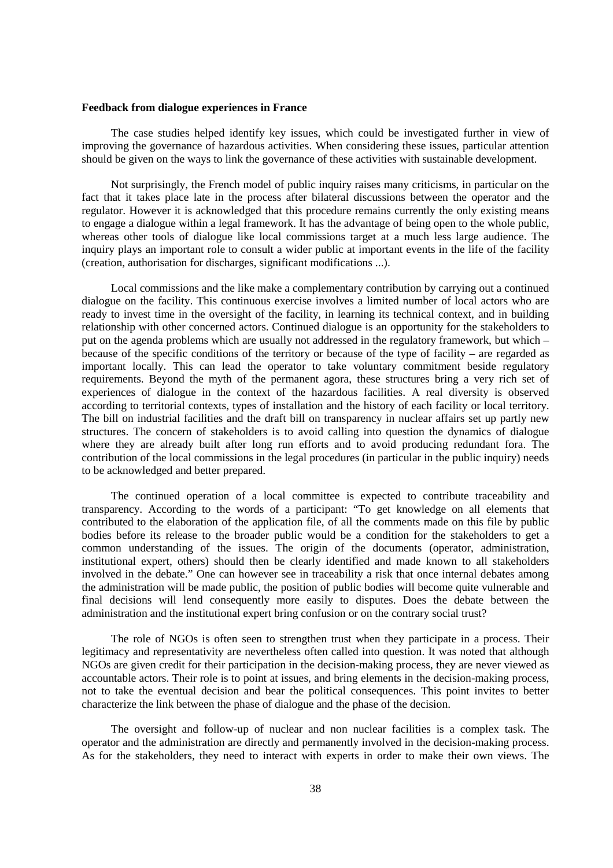#### **Feedback from dialogue experiences in France**

The case studies helped identify key issues, which could be investigated further in view of improving the governance of hazardous activities. When considering these issues, particular attention should be given on the ways to link the governance of these activities with sustainable development.

Not surprisingly, the French model of public inquiry raises many criticisms, in particular on the fact that it takes place late in the process after bilateral discussions between the operator and the regulator. However it is acknowledged that this procedure remains currently the only existing means to engage a dialogue within a legal framework. It has the advantage of being open to the whole public, whereas other tools of dialogue like local commissions target at a much less large audience. The inquiry plays an important role to consult a wider public at important events in the life of the facility (creation, authorisation for discharges, significant modifications ...).

Local commissions and the like make a complementary contribution by carrying out a continued dialogue on the facility. This continuous exercise involves a limited number of local actors who are ready to invest time in the oversight of the facility, in learning its technical context, and in building relationship with other concerned actors. Continued dialogue is an opportunity for the stakeholders to put on the agenda problems which are usually not addressed in the regulatory framework, but which – because of the specific conditions of the territory or because of the type of facility – are regarded as important locally. This can lead the operator to take voluntary commitment beside regulatory requirements. Beyond the myth of the permanent agora, these structures bring a very rich set of experiences of dialogue in the context of the hazardous facilities. A real diversity is observed according to territorial contexts, types of installation and the history of each facility or local territory. The bill on industrial facilities and the draft bill on transparency in nuclear affairs set up partly new structures. The concern of stakeholders is to avoid calling into question the dynamics of dialogue where they are already built after long run efforts and to avoid producing redundant fora. The contribution of the local commissions in the legal procedures (in particular in the public inquiry) needs to be acknowledged and better prepared.

The continued operation of a local committee is expected to contribute traceability and transparency. According to the words of a participant: "To get knowledge on all elements that contributed to the elaboration of the application file, of all the comments made on this file by public bodies before its release to the broader public would be a condition for the stakeholders to get a common understanding of the issues. The origin of the documents (operator, administration, institutional expert, others) should then be clearly identified and made known to all stakeholders involved in the debate." One can however see in traceability a risk that once internal debates among the administration will be made public, the position of public bodies will become quite vulnerable and final decisions will lend consequently more easily to disputes. Does the debate between the administration and the institutional expert bring confusion or on the contrary social trust?

The role of NGOs is often seen to strengthen trust when they participate in a process. Their legitimacy and representativity are nevertheless often called into question. It was noted that although NGOs are given credit for their participation in the decision-making process, they are never viewed as accountable actors. Their role is to point at issues, and bring elements in the decision-making process, not to take the eventual decision and bear the political consequences. This point invites to better characterize the link between the phase of dialogue and the phase of the decision.

The oversight and follow-up of nuclear and non nuclear facilities is a complex task. The operator and the administration are directly and permanently involved in the decision-making process. As for the stakeholders, they need to interact with experts in order to make their own views. The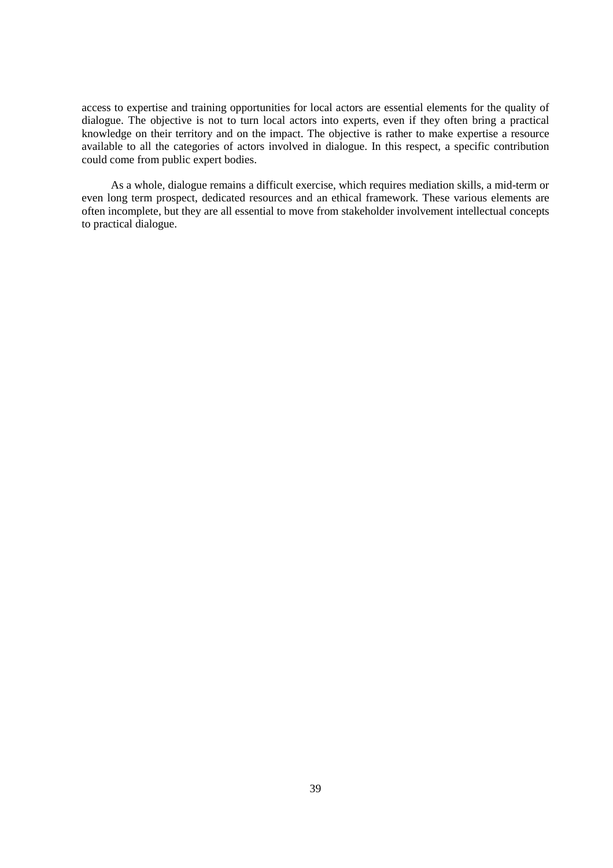access to expertise and training opportunities for local actors are essential elements for the quality of dialogue. The objective is not to turn local actors into experts, even if they often bring a practical knowledge on their territory and on the impact. The objective is rather to make expertise a resource available to all the categories of actors involved in dialogue. In this respect, a specific contribution could come from public expert bodies.

As a whole, dialogue remains a difficult exercise, which requires mediation skills, a mid-term or even long term prospect, dedicated resources and an ethical framework. These various elements are often incomplete, but they are all essential to move from stakeholder involvement intellectual concepts to practical dialogue.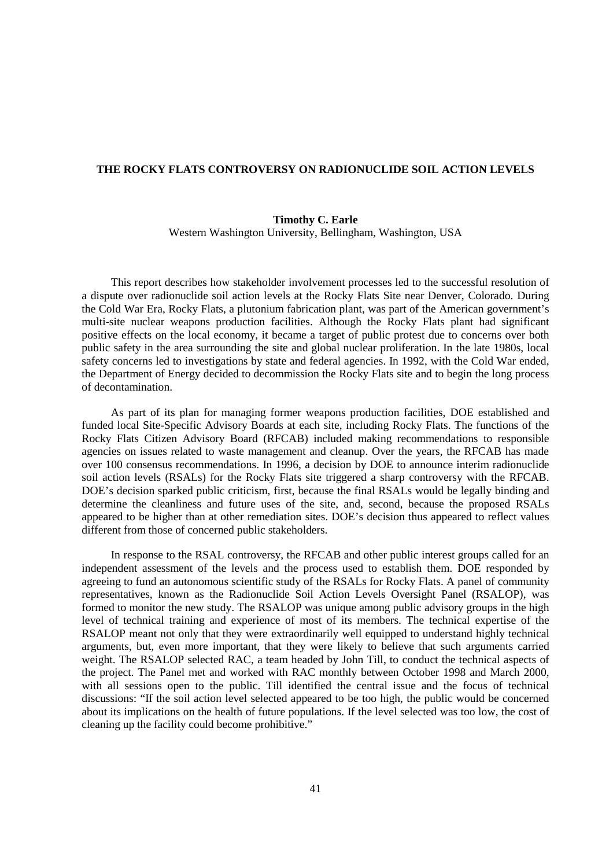#### **THE ROCKY FLATS CONTROVERSY ON RADIONUCLIDE SOIL ACTION LEVELS**

#### **Timothy C. Earle**

Western Washington University, Bellingham, Washington, USA

This report describes how stakeholder involvement processes led to the successful resolution of a dispute over radionuclide soil action levels at the Rocky Flats Site near Denver, Colorado. During the Cold War Era, Rocky Flats, a plutonium fabrication plant, was part of the American government's multi-site nuclear weapons production facilities. Although the Rocky Flats plant had significant positive effects on the local economy, it became a target of public protest due to concerns over both public safety in the area surrounding the site and global nuclear proliferation. In the late 1980s, local safety concerns led to investigations by state and federal agencies. In 1992, with the Cold War ended, the Department of Energy decided to decommission the Rocky Flats site and to begin the long process of decontamination.

As part of its plan for managing former weapons production facilities, DOE established and funded local Site-Specific Advisory Boards at each site, including Rocky Flats. The functions of the Rocky Flats Citizen Advisory Board (RFCAB) included making recommendations to responsible agencies on issues related to waste management and cleanup. Over the years, the RFCAB has made over 100 consensus recommendations. In 1996, a decision by DOE to announce interim radionuclide soil action levels (RSALs) for the Rocky Flats site triggered a sharp controversy with the RFCAB. DOE's decision sparked public criticism, first, because the final RSALs would be legally binding and determine the cleanliness and future uses of the site, and, second, because the proposed RSALs appeared to be higher than at other remediation sites. DOE's decision thus appeared to reflect values different from those of concerned public stakeholders.

In response to the RSAL controversy, the RFCAB and other public interest groups called for an independent assessment of the levels and the process used to establish them. DOE responded by agreeing to fund an autonomous scientific study of the RSALs for Rocky Flats. A panel of community representatives, known as the Radionuclide Soil Action Levels Oversight Panel (RSALOP), was formed to monitor the new study. The RSALOP was unique among public advisory groups in the high level of technical training and experience of most of its members. The technical expertise of the RSALOP meant not only that they were extraordinarily well equipped to understand highly technical arguments, but, even more important, that they were likely to believe that such arguments carried weight. The RSALOP selected RAC, a team headed by John Till, to conduct the technical aspects of the project. The Panel met and worked with RAC monthly between October 1998 and March 2000, with all sessions open to the public. Till identified the central issue and the focus of technical discussions: "If the soil action level selected appeared to be too high, the public would be concerned about its implications on the health of future populations. If the level selected was too low, the cost of cleaning up the facility could become prohibitive."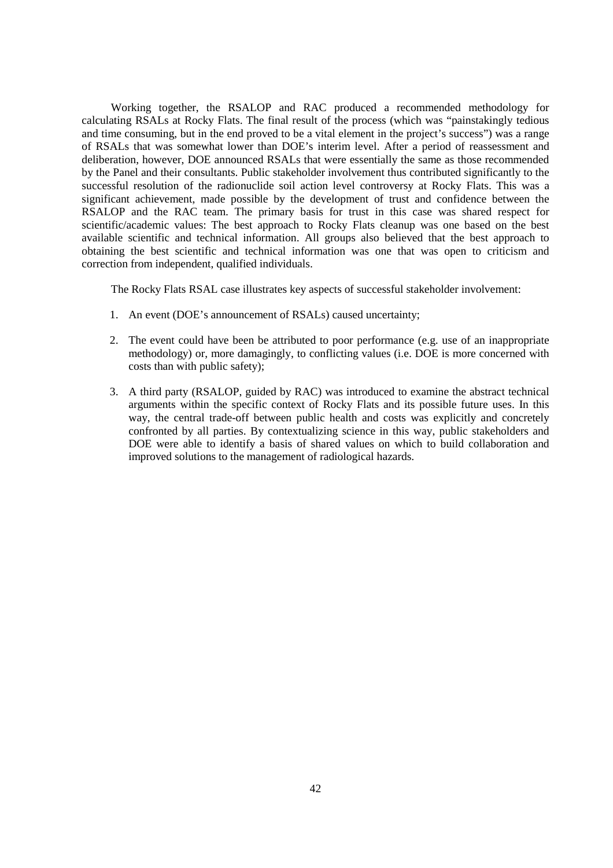Working together, the RSALOP and RAC produced a recommended methodology for calculating RSALs at Rocky Flats. The final result of the process (which was "painstakingly tedious and time consuming, but in the end proved to be a vital element in the project's success") was a range of RSALs that was somewhat lower than DOE's interim level. After a period of reassessment and deliberation, however, DOE announced RSALs that were essentially the same as those recommended by the Panel and their consultants. Public stakeholder involvement thus contributed significantly to the successful resolution of the radionuclide soil action level controversy at Rocky Flats. This was a significant achievement, made possible by the development of trust and confidence between the RSALOP and the RAC team. The primary basis for trust in this case was shared respect for scientific/academic values: The best approach to Rocky Flats cleanup was one based on the best available scientific and technical information. All groups also believed that the best approach to obtaining the best scientific and technical information was one that was open to criticism and correction from independent, qualified individuals.

The Rocky Flats RSAL case illustrates key aspects of successful stakeholder involvement:

- 1. An event (DOE's announcement of RSALs) caused uncertainty;
- 2. The event could have been be attributed to poor performance (e.g. use of an inappropriate methodology) or, more damagingly, to conflicting values (i.e. DOE is more concerned with costs than with public safety);
- 3. A third party (RSALOP, guided by RAC) was introduced to examine the abstract technical arguments within the specific context of Rocky Flats and its possible future uses. In this way, the central trade-off between public health and costs was explicitly and concretely confronted by all parties. By contextualizing science in this way, public stakeholders and DOE were able to identify a basis of shared values on which to build collaboration and improved solutions to the management of radiological hazards.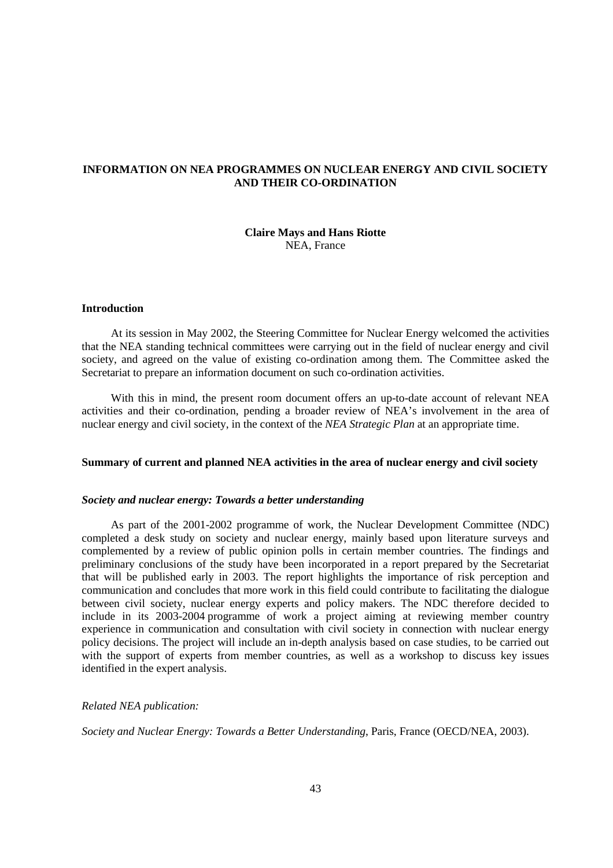#### **INFORMATION ON NEA PROGRAMMES ON NUCLEAR ENERGY AND CIVIL SOCIETY AND THEIR CO-ORDINATION**

#### **Claire Mays and Hans Riotte**  NEA, France

#### **Introduction**

At its session in May 2002, the Steering Committee for Nuclear Energy welcomed the activities that the NEA standing technical committees were carrying out in the field of nuclear energy and civil society, and agreed on the value of existing co-ordination among them. The Committee asked the Secretariat to prepare an information document on such co-ordination activities.

With this in mind, the present room document offers an up-to-date account of relevant NEA activities and their co-ordination, pending a broader review of NEA's involvement in the area of nuclear energy and civil society, in the context of the *NEA Strategic Plan* at an appropriate time.

#### **Summary of current and planned NEA activities in the area of nuclear energy and civil society**

#### *Society and nuclear energy: Towards a better understanding*

As part of the 2001-2002 programme of work, the Nuclear Development Committee (NDC) completed a desk study on society and nuclear energy, mainly based upon literature surveys and complemented by a review of public opinion polls in certain member countries. The findings and preliminary conclusions of the study have been incorporated in a report prepared by the Secretariat that will be published early in 2003. The report highlights the importance of risk perception and communication and concludes that more work in this field could contribute to facilitating the dialogue between civil society, nuclear energy experts and policy makers. The NDC therefore decided to include in its 2003-2004 programme of work a project aiming at reviewing member country experience in communication and consultation with civil society in connection with nuclear energy policy decisions. The project will include an in-depth analysis based on case studies, to be carried out with the support of experts from member countries, as well as a workshop to discuss key issues identified in the expert analysis.

#### *Related NEA publication:*

*Society and Nuclear Energy: Towards a Better Understanding*, Paris, France (OECD/NEA, 2003).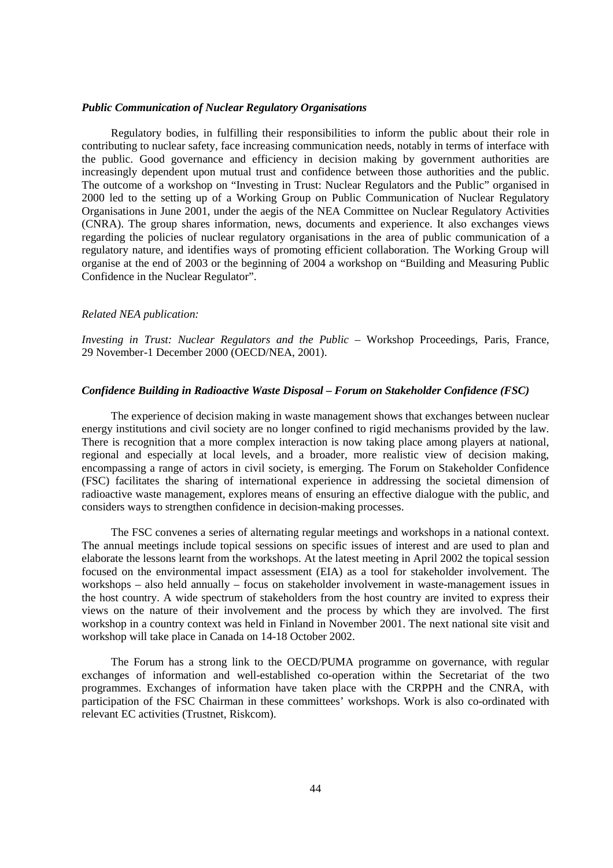#### *Public Communication of Nuclear Regulatory Organisations*

Regulatory bodies, in fulfilling their responsibilities to inform the public about their role in contributing to nuclear safety, face increasing communication needs, notably in terms of interface with the public. Good governance and efficiency in decision making by government authorities are increasingly dependent upon mutual trust and confidence between those authorities and the public. The outcome of a workshop on "Investing in Trust: Nuclear Regulators and the Public" organised in 2000 led to the setting up of a Working Group on Public Communication of Nuclear Regulatory Organisations in June 2001, under the aegis of the NEA Committee on Nuclear Regulatory Activities (CNRA). The group shares information, news, documents and experience. It also exchanges views regarding the policies of nuclear regulatory organisations in the area of public communication of a regulatory nature, and identifies ways of promoting efficient collaboration. The Working Group will organise at the end of 2003 or the beginning of 2004 a workshop on "Building and Measuring Public Confidence in the Nuclear Regulator".

#### *Related NEA publication:*

*Investing in Trust: Nuclear Regulators and the Public - Workshop Proceedings, Paris, France,* 29 November-1 December 2000 (OECD/NEA, 2001).

#### *Confidence Building in Radioactive Waste Disposal – Forum on Stakeholder Confidence (FSC)*

The experience of decision making in waste management shows that exchanges between nuclear energy institutions and civil society are no longer confined to rigid mechanisms provided by the law. There is recognition that a more complex interaction is now taking place among players at national, regional and especially at local levels, and a broader, more realistic view of decision making, encompassing a range of actors in civil society, is emerging. The Forum on Stakeholder Confidence (FSC) facilitates the sharing of international experience in addressing the societal dimension of radioactive waste management, explores means of ensuring an effective dialogue with the public, and considers ways to strengthen confidence in decision-making processes.

The FSC convenes a series of alternating regular meetings and workshops in a national context. The annual meetings include topical sessions on specific issues of interest and are used to plan and elaborate the lessons learnt from the workshops. At the latest meeting in April 2002 the topical session focused on the environmental impact assessment (EIA) as a tool for stakeholder involvement. The workshops – also held annually – focus on stakeholder involvement in waste-management issues in the host country. A wide spectrum of stakeholders from the host country are invited to express their views on the nature of their involvement and the process by which they are involved. The first workshop in a country context was held in Finland in November 2001. The next national site visit and workshop will take place in Canada on 14-18 October 2002.

The Forum has a strong link to the OECD/PUMA programme on governance, with regular exchanges of information and well-established co-operation within the Secretariat of the two programmes. Exchanges of information have taken place with the CRPPH and the CNRA, with participation of the FSC Chairman in these committees' workshops. Work is also co-ordinated with relevant EC activities (Trustnet, Riskcom).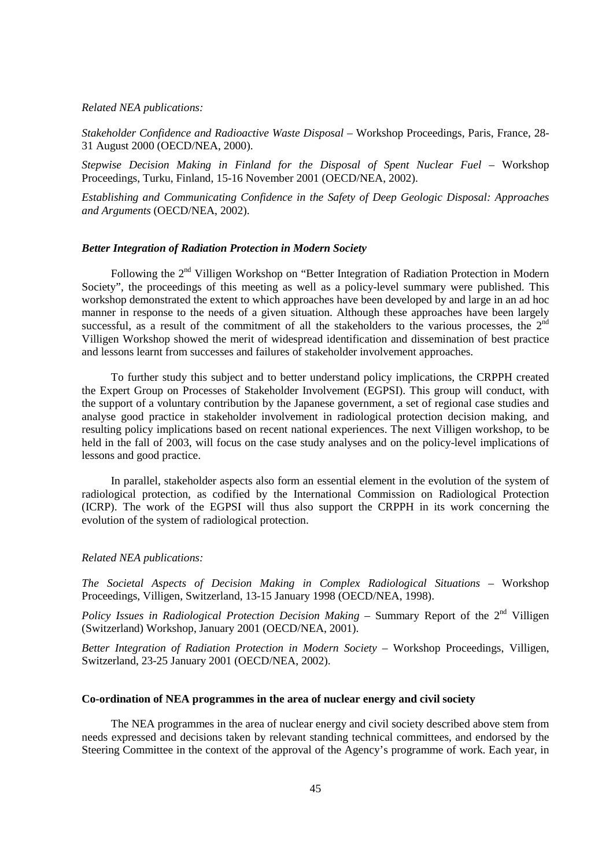#### *Related NEA publications:*

*Stakeholder Confidence and Radioactive Waste Disposal* – Workshop Proceedings, Paris, France, 28- 31 August 2000 (OECD/NEA, 2000).

*Stepwise Decision Making in Finland for the Disposal of Spent Nuclear Fuel* – Workshop Proceedings, Turku, Finland, 15-16 November 2001 (OECD/NEA, 2002).

*Establishing and Communicating Confidence in the Safety of Deep Geologic Disposal: Approaches and Arguments* (OECD/NEA, 2002).

#### *Better Integration of Radiation Protection in Modern Society*

Following the 2<sup>nd</sup> Villigen Workshop on "Better Integration of Radiation Protection in Modern Society", the proceedings of this meeting as well as a policy-level summary were published. This workshop demonstrated the extent to which approaches have been developed by and large in an ad hoc manner in response to the needs of a given situation. Although these approaches have been largely successful, as a result of the commitment of all the stakeholders to the various processes, the  $2<sup>nd</sup>$ Villigen Workshop showed the merit of widespread identification and dissemination of best practice and lessons learnt from successes and failures of stakeholder involvement approaches.

To further study this subject and to better understand policy implications, the CRPPH created the Expert Group on Processes of Stakeholder Involvement (EGPSI). This group will conduct, with the support of a voluntary contribution by the Japanese government, a set of regional case studies and analyse good practice in stakeholder involvement in radiological protection decision making, and resulting policy implications based on recent national experiences. The next Villigen workshop, to be held in the fall of 2003, will focus on the case study analyses and on the policy-level implications of lessons and good practice.

In parallel, stakeholder aspects also form an essential element in the evolution of the system of radiological protection, as codified by the International Commission on Radiological Protection (ICRP). The work of the EGPSI will thus also support the CRPPH in its work concerning the evolution of the system of radiological protection.

#### *Related NEA publications:*

*The Societal Aspects of Decision Making in Complex Radiological Situations* – Workshop Proceedings, Villigen, Switzerland, 13-15 January 1998 (OECD/NEA, 1998).

*Policy Issues in Radiological Protection Decision Making* – Summary Report of the 2<sup>nd</sup> Villigen (Switzerland) Workshop, January 2001 (OECD/NEA, 2001).

*Better Integration of Radiation Protection in Modern Society* – Workshop Proceedings, Villigen, Switzerland, 23-25 January 2001 (OECD/NEA, 2002).

#### **Co-ordination of NEA programmes in the area of nuclear energy and civil society**

The NEA programmes in the area of nuclear energy and civil society described above stem from needs expressed and decisions taken by relevant standing technical committees, and endorsed by the Steering Committee in the context of the approval of the Agency's programme of work. Each year, in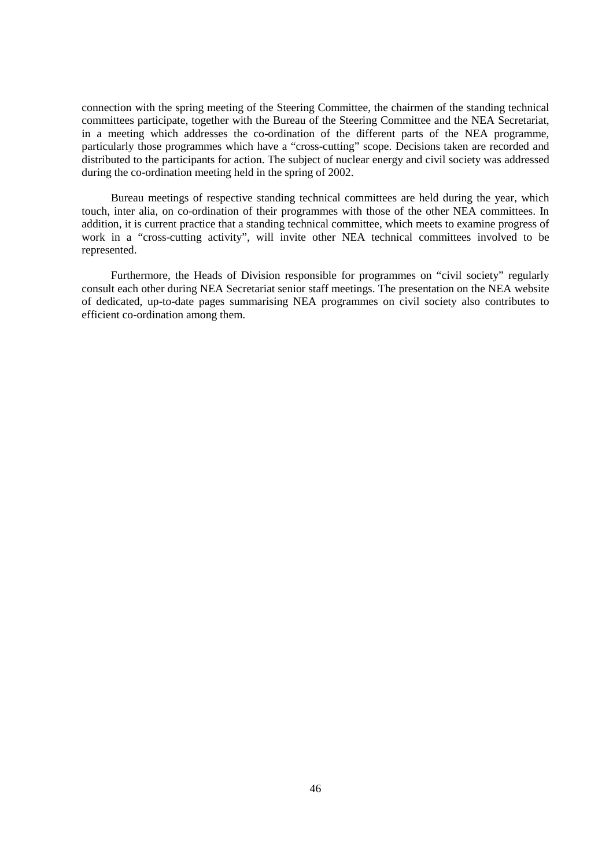connection with the spring meeting of the Steering Committee, the chairmen of the standing technical committees participate, together with the Bureau of the Steering Committee and the NEA Secretariat, in a meeting which addresses the co-ordination of the different parts of the NEA programme, particularly those programmes which have a "cross-cutting" scope. Decisions taken are recorded and distributed to the participants for action. The subject of nuclear energy and civil society was addressed during the co-ordination meeting held in the spring of 2002.

Bureau meetings of respective standing technical committees are held during the year, which touch, inter alia, on co-ordination of their programmes with those of the other NEA committees. In addition, it is current practice that a standing technical committee, which meets to examine progress of work in a "cross-cutting activity", will invite other NEA technical committees involved to be represented.

Furthermore, the Heads of Division responsible for programmes on "civil society" regularly consult each other during NEA Secretariat senior staff meetings. The presentation on the NEA website of dedicated, up-to-date pages summarising NEA programmes on civil society also contributes to efficient co-ordination among them.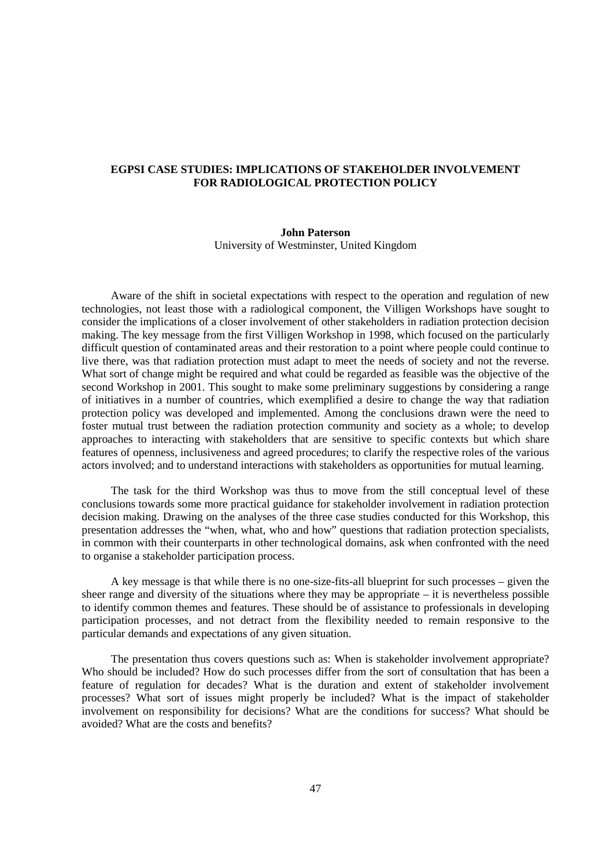#### **EGPSI CASE STUDIES: IMPLICATIONS OF STAKEHOLDER INVOLVEMENT FOR RADIOLOGICAL PROTECTION POLICY**

#### **John Paterson**  University of Westminster, United Kingdom

Aware of the shift in societal expectations with respect to the operation and regulation of new technologies, not least those with a radiological component, the Villigen Workshops have sought to consider the implications of a closer involvement of other stakeholders in radiation protection decision making. The key message from the first Villigen Workshop in 1998, which focused on the particularly difficult question of contaminated areas and their restoration to a point where people could continue to live there, was that radiation protection must adapt to meet the needs of society and not the reverse. What sort of change might be required and what could be regarded as feasible was the objective of the second Workshop in 2001. This sought to make some preliminary suggestions by considering a range of initiatives in a number of countries, which exemplified a desire to change the way that radiation protection policy was developed and implemented. Among the conclusions drawn were the need to foster mutual trust between the radiation protection community and society as a whole; to develop approaches to interacting with stakeholders that are sensitive to specific contexts but which share features of openness, inclusiveness and agreed procedures; to clarify the respective roles of the various actors involved; and to understand interactions with stakeholders as opportunities for mutual learning.

The task for the third Workshop was thus to move from the still conceptual level of these conclusions towards some more practical guidance for stakeholder involvement in radiation protection decision making. Drawing on the analyses of the three case studies conducted for this Workshop, this presentation addresses the "when, what, who and how" questions that radiation protection specialists, in common with their counterparts in other technological domains, ask when confronted with the need to organise a stakeholder participation process.

A key message is that while there is no one-size-fits-all blueprint for such processes – given the sheer range and diversity of the situations where they may be appropriate – it is nevertheless possible to identify common themes and features. These should be of assistance to professionals in developing participation processes, and not detract from the flexibility needed to remain responsive to the particular demands and expectations of any given situation.

The presentation thus covers questions such as: When is stakeholder involvement appropriate? Who should be included? How do such processes differ from the sort of consultation that has been a feature of regulation for decades? What is the duration and extent of stakeholder involvement processes? What sort of issues might properly be included? What is the impact of stakeholder involvement on responsibility for decisions? What are the conditions for success? What should be avoided? What are the costs and benefits?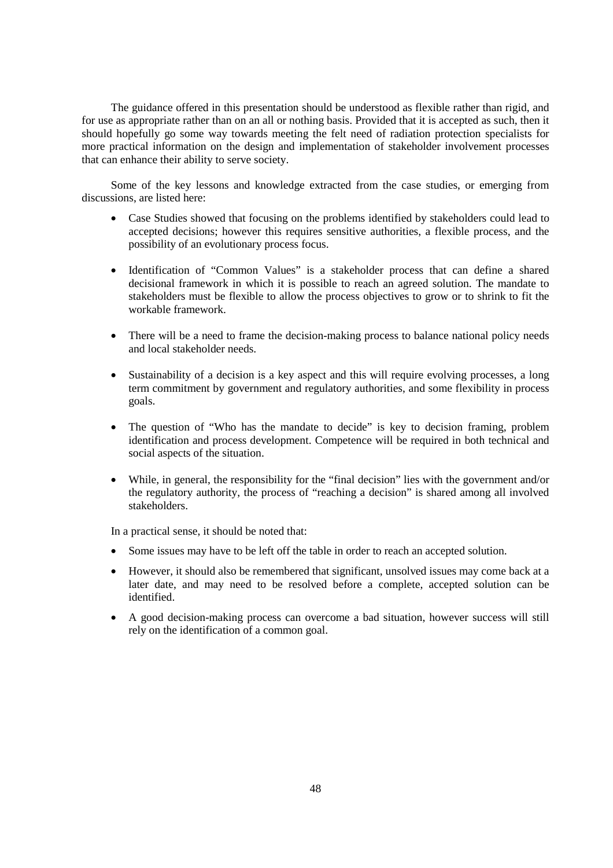The guidance offered in this presentation should be understood as flexible rather than rigid, and for use as appropriate rather than on an all or nothing basis. Provided that it is accepted as such, then it should hopefully go some way towards meeting the felt need of radiation protection specialists for more practical information on the design and implementation of stakeholder involvement processes that can enhance their ability to serve society.

Some of the key lessons and knowledge extracted from the case studies, or emerging from discussions, are listed here:

- Case Studies showed that focusing on the problems identified by stakeholders could lead to accepted decisions; however this requires sensitive authorities, a flexible process, and the possibility of an evolutionary process focus.
- Identification of "Common Values" is a stakeholder process that can define a shared decisional framework in which it is possible to reach an agreed solution. The mandate to stakeholders must be flexible to allow the process objectives to grow or to shrink to fit the workable framework.
- There will be a need to frame the decision-making process to balance national policy needs and local stakeholder needs.
- Sustainability of a decision is a key aspect and this will require evolving processes, a long term commitment by government and regulatory authorities, and some flexibility in process goals.
- The question of "Who has the mandate to decide" is key to decision framing, problem identification and process development. Competence will be required in both technical and social aspects of the situation.
- While, in general, the responsibility for the "final decision" lies with the government and/or the regulatory authority, the process of "reaching a decision" is shared among all involved stakeholders.

In a practical sense, it should be noted that:

- Some issues may have to be left off the table in order to reach an accepted solution.
- However, it should also be remembered that significant, unsolved issues may come back at a later date, and may need to be resolved before a complete, accepted solution can be identified.
- A good decision-making process can overcome a bad situation, however success will still rely on the identification of a common goal.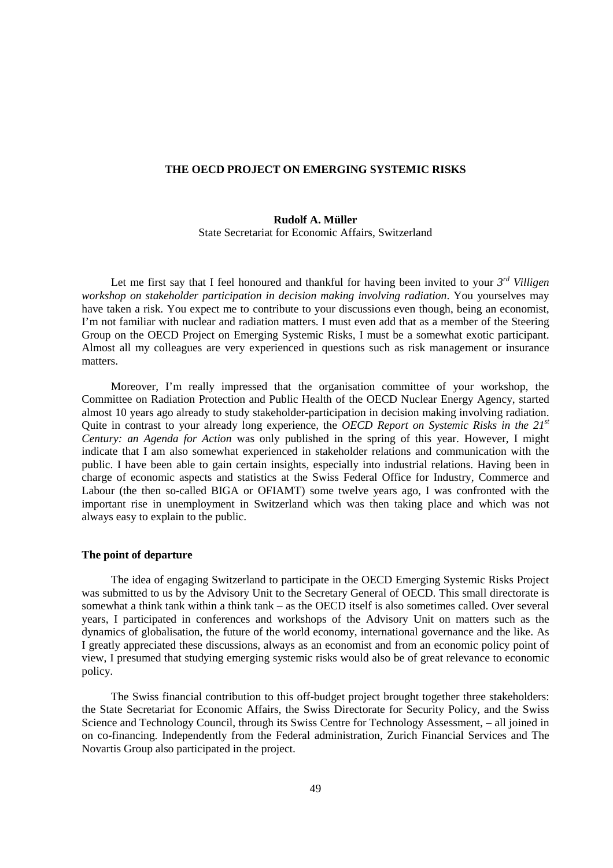#### **THE OECD PROJECT ON EMERGING SYSTEMIC RISKS**

#### **Rudolf A. Müller**

State Secretariat for Economic Affairs, Switzerland

Let me first say that I feel honoured and thankful for having been invited to your *3rd Villigen workshop on stakeholder participation in decision making involving radiation*. You yourselves may have taken a risk. You expect me to contribute to your discussions even though, being an economist, I'm not familiar with nuclear and radiation matters. I must even add that as a member of the Steering Group on the OECD Project on Emerging Systemic Risks, I must be a somewhat exotic participant. Almost all my colleagues are very experienced in questions such as risk management or insurance matters.

Moreover, I'm really impressed that the organisation committee of your workshop, the Committee on Radiation Protection and Public Health of the OECD Nuclear Energy Agency, started almost 10 years ago already to study stakeholder-participation in decision making involving radiation. Quite in contrast to your already long experience, the *OECD Report on Systemic Risks in the 21st Century: an Agenda for Action* was only published in the spring of this year. However, I might indicate that I am also somewhat experienced in stakeholder relations and communication with the public. I have been able to gain certain insights, especially into industrial relations. Having been in charge of economic aspects and statistics at the Swiss Federal Office for Industry, Commerce and Labour (the then so-called BIGA or OFIAMT) some twelve years ago, I was confronted with the important rise in unemployment in Switzerland which was then taking place and which was not always easy to explain to the public.

#### **The point of departure**

The idea of engaging Switzerland to participate in the OECD Emerging Systemic Risks Project was submitted to us by the Advisory Unit to the Secretary General of OECD. This small directorate is somewhat a think tank within a think tank – as the OECD itself is also sometimes called. Over several years, I participated in conferences and workshops of the Advisory Unit on matters such as the dynamics of globalisation, the future of the world economy, international governance and the like. As I greatly appreciated these discussions, always as an economist and from an economic policy point of view, I presumed that studying emerging systemic risks would also be of great relevance to economic policy.

The Swiss financial contribution to this off-budget project brought together three stakeholders: the State Secretariat for Economic Affairs, the Swiss Directorate for Security Policy, and the Swiss Science and Technology Council, through its Swiss Centre for Technology Assessment, – all joined in on co-financing. Independently from the Federal administration, Zurich Financial Services and The Novartis Group also participated in the project.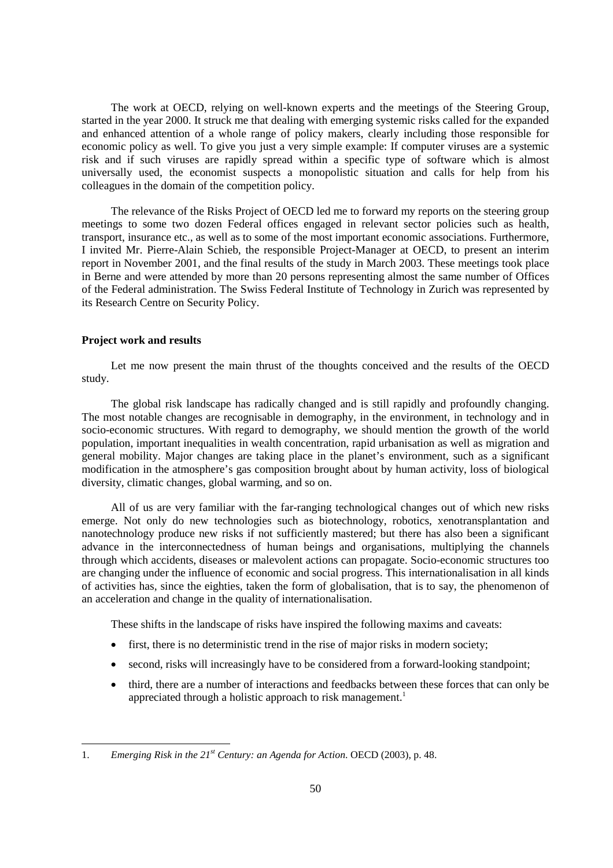The work at OECD, relying on well-known experts and the meetings of the Steering Group, started in the year 2000. It struck me that dealing with emerging systemic risks called for the expanded and enhanced attention of a whole range of policy makers, clearly including those responsible for economic policy as well. To give you just a very simple example: If computer viruses are a systemic risk and if such viruses are rapidly spread within a specific type of software which is almost universally used, the economist suspects a monopolistic situation and calls for help from his colleagues in the domain of the competition policy.

The relevance of the Risks Project of OECD led me to forward my reports on the steering group meetings to some two dozen Federal offices engaged in relevant sector policies such as health, transport, insurance etc., as well as to some of the most important economic associations. Furthermore, I invited Mr. Pierre-Alain Schieb, the responsible Project-Manager at OECD, to present an interim report in November 2001, and the final results of the study in March 2003. These meetings took place in Berne and were attended by more than 20 persons representing almost the same number of Offices of the Federal administration. The Swiss Federal Institute of Technology in Zurich was represented by its Research Centre on Security Policy.

#### **Project work and results**

Let me now present the main thrust of the thoughts conceived and the results of the OECD study.

The global risk landscape has radically changed and is still rapidly and profoundly changing. The most notable changes are recognisable in demography, in the environment, in technology and in socio-economic structures. With regard to demography, we should mention the growth of the world population, important inequalities in wealth concentration, rapid urbanisation as well as migration and general mobility. Major changes are taking place in the planet's environment, such as a significant modification in the atmosphere's gas composition brought about by human activity, loss of biological diversity, climatic changes, global warming, and so on.

All of us are very familiar with the far-ranging technological changes out of which new risks emerge. Not only do new technologies such as biotechnology, robotics, xenotransplantation and nanotechnology produce new risks if not sufficiently mastered; but there has also been a significant advance in the interconnectedness of human beings and organisations, multiplying the channels through which accidents, diseases or malevolent actions can propagate. Socio-economic structures too are changing under the influence of economic and social progress. This internationalisation in all kinds of activities has, since the eighties, taken the form of globalisation, that is to say, the phenomenon of an acceleration and change in the quality of internationalisation.

These shifts in the landscape of risks have inspired the following maxims and caveats:

- first, there is no deterministic trend in the rise of major risks in modern society;
- second, risks will increasingly have to be considered from a forward-looking standpoint;
- third, there are a number of interactions and feedbacks between these forces that can only be appreciated through a holistic approach to risk management.<sup>1</sup>

 $\overline{a}$ 1. *Emerging Risk in the 21st Century: an Agenda for Action*. OECD (2003), p. 48.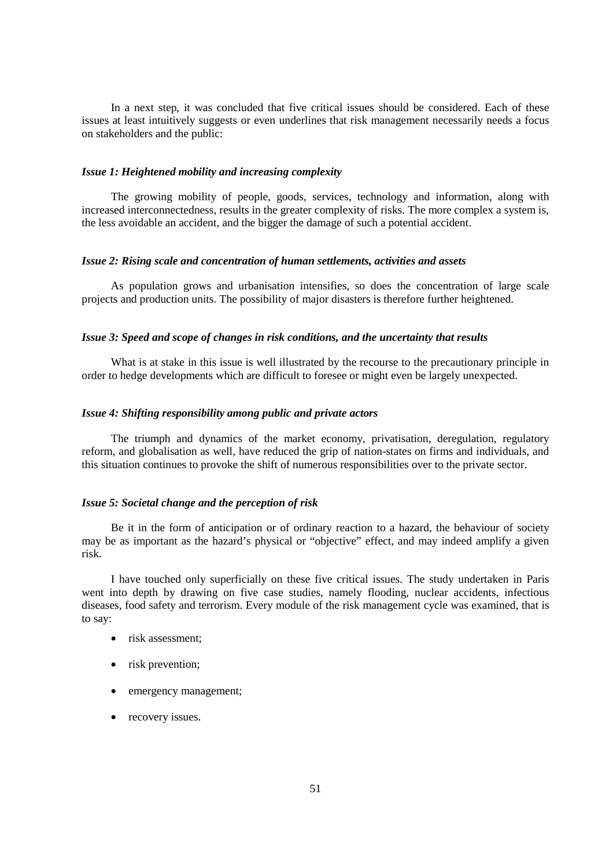In a next step, it was concluded that five critical issues should be considered. Each of these issues at least intuitively suggests or even underlines that risk management necessarily needs a focus on stakeholders and the public:

#### *Issue 1: Heightened mobility and increasing complexity*

The growing mobility of people, goods, services, technology and information, along with increased interconnectedness, results in the greater complexity of risks. The more complex a system is, the less avoidable an accident, and the bigger the damage of such a potential accident.

#### *Issue 2: Rising scale and concentration of human settlements, activities and assets*

As population grows and urbanisation intensifies, so does the concentration of large scale projects and production units. The possibility of major disasters is therefore further heightened.

#### *Issue 3: Speed and scope of changes in risk conditions, and the uncertainty that results*

What is at stake in this issue is well illustrated by the recourse to the precautionary principle in order to hedge developments which are difficult to foresee or might even be largely unexpected.

#### *Issue 4: Shifting responsibility among public and private actors*

The triumph and dynamics of the market economy, privatisation, deregulation, regulatory reform, and globalisation as well, have reduced the grip of nation-states on firms and individuals, and this situation continues to provoke the shift of numerous responsibilities over to the private sector.

#### *Issue 5: Societal change and the perception of risk*

Be it in the form of anticipation or of ordinary reaction to a hazard, the behaviour of society may be as important as the hazard's physical or "objective" effect, and may indeed amplify a given risk.

I have touched only superficially on these five critical issues. The study undertaken in Paris went into depth by drawing on five case studies, namely flooding, nuclear accidents, infectious diseases, food safety and terrorism. Every module of the risk management cycle was examined, that is to say:

- risk assessment;
- risk prevention;
- emergency management;
- recovery issues.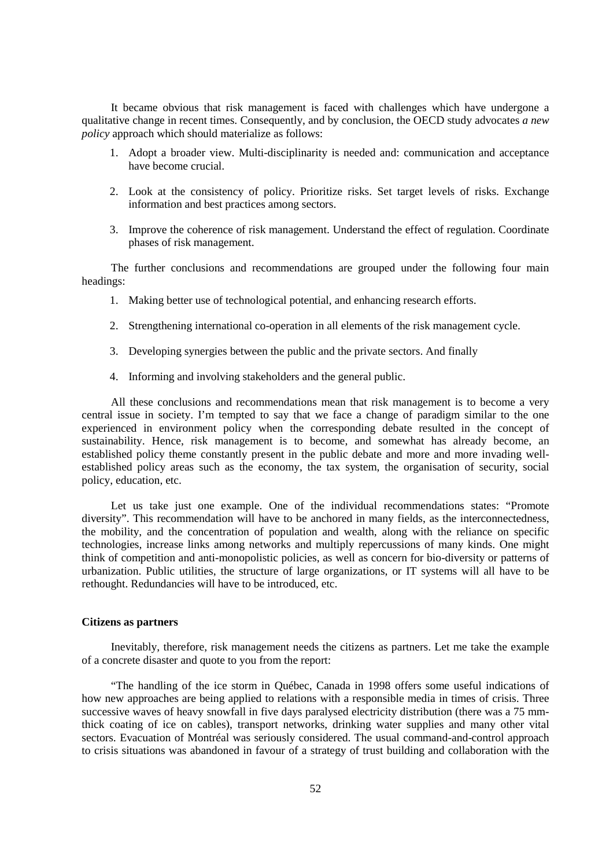It became obvious that risk management is faced with challenges which have undergone a qualitative change in recent times. Consequently, and by conclusion, the OECD study advocates *a new policy* approach which should materialize as follows:

- 1. Adopt a broader view. Multi-disciplinarity is needed and: communication and acceptance have become crucial.
- 2. Look at the consistency of policy. Prioritize risks. Set target levels of risks. Exchange information and best practices among sectors.
- 3. Improve the coherence of risk management. Understand the effect of regulation. Coordinate phases of risk management.

The further conclusions and recommendations are grouped under the following four main headings:

- 1. Making better use of technological potential, and enhancing research efforts.
- 2. Strengthening international co-operation in all elements of the risk management cycle.
- 3. Developing synergies between the public and the private sectors. And finally
- 4. Informing and involving stakeholders and the general public.

All these conclusions and recommendations mean that risk management is to become a very central issue in society. I'm tempted to say that we face a change of paradigm similar to the one experienced in environment policy when the corresponding debate resulted in the concept of sustainability. Hence, risk management is to become, and somewhat has already become, an established policy theme constantly present in the public debate and more and more invading wellestablished policy areas such as the economy, the tax system, the organisation of security, social policy, education, etc.

Let us take just one example. One of the individual recommendations states: "Promote diversity". This recommendation will have to be anchored in many fields, as the interconnectedness, the mobility, and the concentration of population and wealth, along with the reliance on specific technologies, increase links among networks and multiply repercussions of many kinds. One might think of competition and anti-monopolistic policies, as well as concern for bio-diversity or patterns of urbanization. Public utilities, the structure of large organizations, or IT systems will all have to be rethought. Redundancies will have to be introduced, etc.

#### **Citizens as partners**

Inevitably, therefore, risk management needs the citizens as partners. Let me take the example of a concrete disaster and quote to you from the report:

"The handling of the ice storm in Québec, Canada in 1998 offers some useful indications of how new approaches are being applied to relations with a responsible media in times of crisis. Three successive waves of heavy snowfall in five days paralysed electricity distribution (there was a 75 mmthick coating of ice on cables), transport networks, drinking water supplies and many other vital sectors. Evacuation of Montréal was seriously considered. The usual command-and-control approach to crisis situations was abandoned in favour of a strategy of trust building and collaboration with the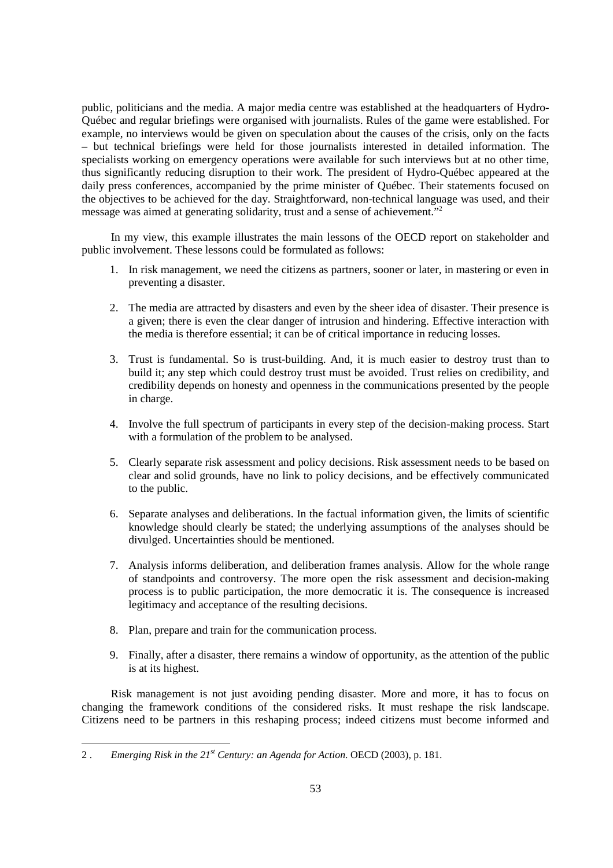public, politicians and the media. A major media centre was established at the headquarters of Hydro-Québec and regular briefings were organised with journalists. Rules of the game were established. For example, no interviews would be given on speculation about the causes of the crisis, only on the facts – but technical briefings were held for those journalists interested in detailed information. The specialists working on emergency operations were available for such interviews but at no other time, thus significantly reducing disruption to their work. The president of Hydro-Québec appeared at the daily press conferences, accompanied by the prime minister of Québec. Their statements focused on the objectives to be achieved for the day. Straightforward, non-technical language was used, and their message was aimed at generating solidarity, trust and a sense of achievement."2

In my view, this example illustrates the main lessons of the OECD report on stakeholder and public involvement. These lessons could be formulated as follows:

- 1. In risk management, we need the citizens as partners, sooner or later, in mastering or even in preventing a disaster.
- 2. The media are attracted by disasters and even by the sheer idea of disaster. Their presence is a given; there is even the clear danger of intrusion and hindering. Effective interaction with the media is therefore essential; it can be of critical importance in reducing losses.
- 3. Trust is fundamental. So is trust-building. And, it is much easier to destroy trust than to build it; any step which could destroy trust must be avoided. Trust relies on credibility, and credibility depends on honesty and openness in the communications presented by the people in charge.
- 4. Involve the full spectrum of participants in every step of the decision-making process. Start with a formulation of the problem to be analysed.
- 5. Clearly separate risk assessment and policy decisions. Risk assessment needs to be based on clear and solid grounds, have no link to policy decisions, and be effectively communicated to the public.
- 6. Separate analyses and deliberations. In the factual information given, the limits of scientific knowledge should clearly be stated; the underlying assumptions of the analyses should be divulged. Uncertainties should be mentioned.
- 7. Analysis informs deliberation, and deliberation frames analysis. Allow for the whole range of standpoints and controversy. The more open the risk assessment and decision-making process is to public participation, the more democratic it is. The consequence is increased legitimacy and acceptance of the resulting decisions.
- 8. Plan, prepare and train for the communication process.
- 9. Finally, after a disaster, there remains a window of opportunity, as the attention of the public is at its highest.

Risk management is not just avoiding pending disaster. More and more, it has to focus on changing the framework conditions of the considered risks. It must reshape the risk landscape. Citizens need to be partners in this reshaping process; indeed citizens must become informed and

 $\overline{a}$ 2 . *Emerging Risk in the 21st Century: an Agenda for Action*. OECD (2003), p. 181.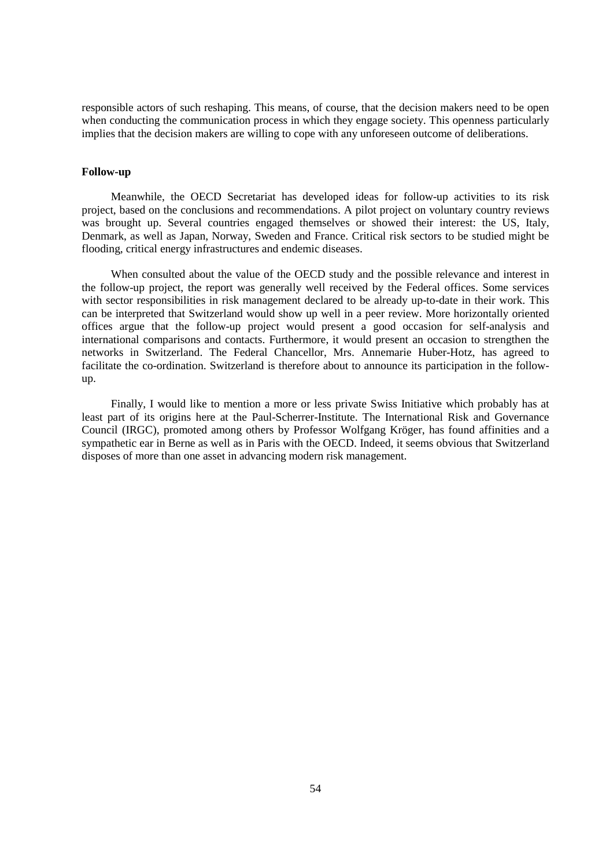responsible actors of such reshaping. This means, of course, that the decision makers need to be open when conducting the communication process in which they engage society. This openness particularly implies that the decision makers are willing to cope with any unforeseen outcome of deliberations.

#### **Follow-up**

Meanwhile, the OECD Secretariat has developed ideas for follow-up activities to its risk project, based on the conclusions and recommendations. A pilot project on voluntary country reviews was brought up. Several countries engaged themselves or showed their interest: the US, Italy, Denmark, as well as Japan, Norway, Sweden and France. Critical risk sectors to be studied might be flooding, critical energy infrastructures and endemic diseases.

When consulted about the value of the OECD study and the possible relevance and interest in the follow-up project, the report was generally well received by the Federal offices. Some services with sector responsibilities in risk management declared to be already up-to-date in their work. This can be interpreted that Switzerland would show up well in a peer review. More horizontally oriented offices argue that the follow-up project would present a good occasion for self-analysis and international comparisons and contacts. Furthermore, it would present an occasion to strengthen the networks in Switzerland. The Federal Chancellor, Mrs. Annemarie Huber-Hotz, has agreed to facilitate the co-ordination. Switzerland is therefore about to announce its participation in the followup.

Finally, I would like to mention a more or less private Swiss Initiative which probably has at least part of its origins here at the Paul-Scherrer-Institute. The International Risk and Governance Council (IRGC), promoted among others by Professor Wolfgang Kröger, has found affinities and a sympathetic ear in Berne as well as in Paris with the OECD. Indeed, it seems obvious that Switzerland disposes of more than one asset in advancing modern risk management.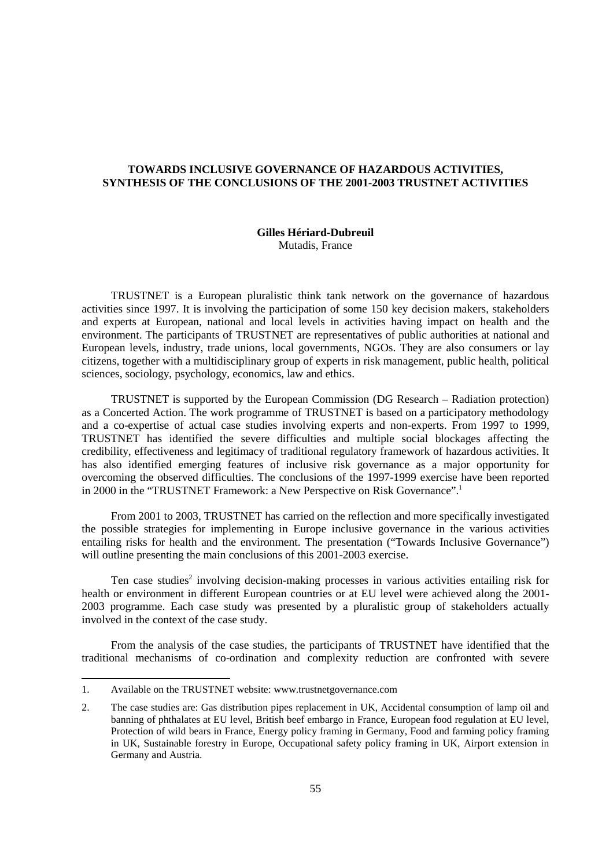#### **TOWARDS INCLUSIVE GOVERNANCE OF HAZARDOUS ACTIVITIES, SYNTHESIS OF THE CONCLUSIONS OF THE 2001-2003 TRUSTNET ACTIVITIES**

#### **Gilles Hériard-Dubreuil**  Mutadis, France

TRUSTNET is a European pluralistic think tank network on the governance of hazardous activities since 1997. It is involving the participation of some 150 key decision makers, stakeholders and experts at European, national and local levels in activities having impact on health and the environment. The participants of TRUSTNET are representatives of public authorities at national and European levels, industry, trade unions, local governments, NGOs. They are also consumers or lay citizens, together with a multidisciplinary group of experts in risk management, public health, political sciences, sociology, psychology, economics, law and ethics.

TRUSTNET is supported by the European Commission (DG Research – Radiation protection) as a Concerted Action. The work programme of TRUSTNET is based on a participatory methodology and a co-expertise of actual case studies involving experts and non-experts. From 1997 to 1999, TRUSTNET has identified the severe difficulties and multiple social blockages affecting the credibility, effectiveness and legitimacy of traditional regulatory framework of hazardous activities. It has also identified emerging features of inclusive risk governance as a major opportunity for overcoming the observed difficulties. The conclusions of the 1997-1999 exercise have been reported in 2000 in the "TRUSTNET Framework: a New Perspective on Risk Governance".<sup>1</sup>

From 2001 to 2003, TRUSTNET has carried on the reflection and more specifically investigated the possible strategies for implementing in Europe inclusive governance in the various activities entailing risks for health and the environment. The presentation ("Towards Inclusive Governance") will outline presenting the main conclusions of this 2001-2003 exercise.

Ten case studies<sup>2</sup> involving decision-making processes in various activities entailing risk for health or environment in different European countries or at EU level were achieved along the 2001- 2003 programme. Each case study was presented by a pluralistic group of stakeholders actually involved in the context of the case study.

From the analysis of the case studies, the participants of TRUSTNET have identified that the traditional mechanisms of co-ordination and complexity reduction are confronted with severe

 $\overline{a}$ 

<sup>1.</sup> Available on the TRUSTNET website: www.trustnetgovernance.com

<sup>2.</sup> The case studies are: Gas distribution pipes replacement in UK, Accidental consumption of lamp oil and banning of phthalates at EU level, British beef embargo in France, European food regulation at EU level, Protection of wild bears in France, Energy policy framing in Germany, Food and farming policy framing in UK, Sustainable forestry in Europe, Occupational safety policy framing in UK, Airport extension in Germany and Austria.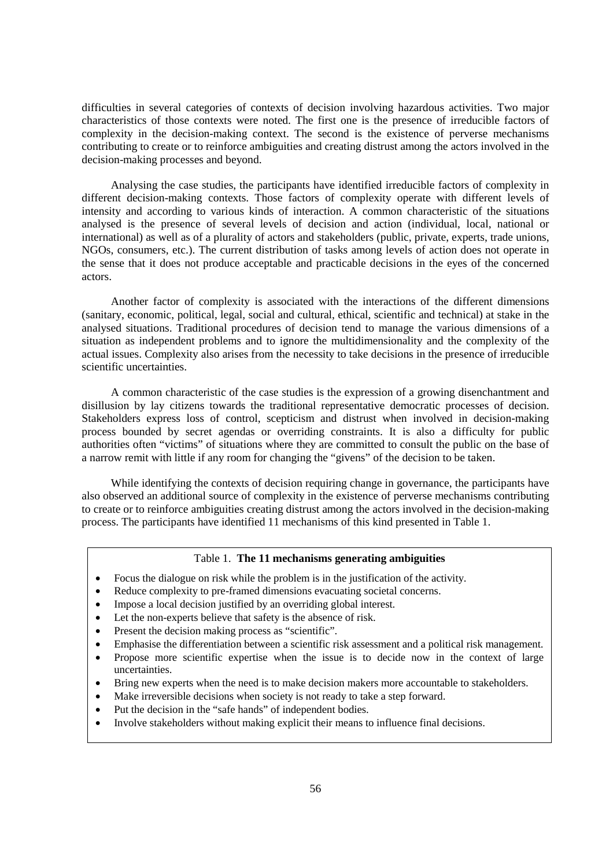difficulties in several categories of contexts of decision involving hazardous activities. Two major characteristics of those contexts were noted. The first one is the presence of irreducible factors of complexity in the decision-making context. The second is the existence of perverse mechanisms contributing to create or to reinforce ambiguities and creating distrust among the actors involved in the decision-making processes and beyond.

Analysing the case studies, the participants have identified irreducible factors of complexity in different decision-making contexts. Those factors of complexity operate with different levels of intensity and according to various kinds of interaction. A common characteristic of the situations analysed is the presence of several levels of decision and action (individual, local, national or international) as well as of a plurality of actors and stakeholders (public, private, experts, trade unions, NGOs, consumers, etc.). The current distribution of tasks among levels of action does not operate in the sense that it does not produce acceptable and practicable decisions in the eyes of the concerned actors.

Another factor of complexity is associated with the interactions of the different dimensions (sanitary, economic, political, legal, social and cultural, ethical, scientific and technical) at stake in the analysed situations. Traditional procedures of decision tend to manage the various dimensions of a situation as independent problems and to ignore the multidimensionality and the complexity of the actual issues. Complexity also arises from the necessity to take decisions in the presence of irreducible scientific uncertainties.

A common characteristic of the case studies is the expression of a growing disenchantment and disillusion by lay citizens towards the traditional representative democratic processes of decision. Stakeholders express loss of control, scepticism and distrust when involved in decision-making process bounded by secret agendas or overriding constraints. It is also a difficulty for public authorities often "victims" of situations where they are committed to consult the public on the base of a narrow remit with little if any room for changing the "givens" of the decision to be taken.

While identifying the contexts of decision requiring change in governance, the participants have also observed an additional source of complexity in the existence of perverse mechanisms contributing to create or to reinforce ambiguities creating distrust among the actors involved in the decision-making process. The participants have identified 11 mechanisms of this kind presented in Table 1.

#### Table 1. **The 11 mechanisms generating ambiguities**

- Focus the dialogue on risk while the problem is in the justification of the activity.
- Reduce complexity to pre-framed dimensions evacuating societal concerns.
- Impose a local decision justified by an overriding global interest.
- Let the non-experts believe that safety is the absence of risk.
- Present the decision making process as "scientific".
- Emphasise the differentiation between a scientific risk assessment and a political risk management.
- Propose more scientific expertise when the issue is to decide now in the context of large uncertainties.
- Bring new experts when the need is to make decision makers more accountable to stakeholders.
- Make irreversible decisions when society is not ready to take a step forward.
- Put the decision in the "safe hands" of independent bodies.
- Involve stakeholders without making explicit their means to influence final decisions.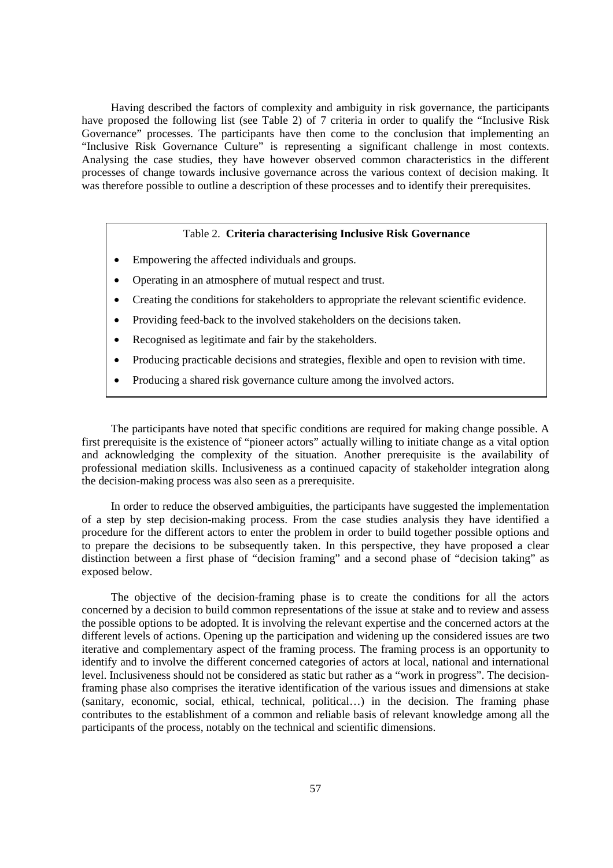Having described the factors of complexity and ambiguity in risk governance, the participants have proposed the following list (see Table 2) of 7 criteria in order to qualify the "Inclusive Risk Governance" processes. The participants have then come to the conclusion that implementing an "Inclusive Risk Governance Culture" is representing a significant challenge in most contexts. Analysing the case studies, they have however observed common characteristics in the different processes of change towards inclusive governance across the various context of decision making. It was therefore possible to outline a description of these processes and to identify their prerequisites.

#### Table 2. **Criteria characterising Inclusive Risk Governance**

- Empowering the affected individuals and groups.
- Operating in an atmosphere of mutual respect and trust.
- Creating the conditions for stakeholders to appropriate the relevant scientific evidence.
- Providing feed-back to the involved stakeholders on the decisions taken.
- Recognised as legitimate and fair by the stakeholders.
- Producing practicable decisions and strategies, flexible and open to revision with time.
- Producing a shared risk governance culture among the involved actors.

The participants have noted that specific conditions are required for making change possible. A first prerequisite is the existence of "pioneer actors" actually willing to initiate change as a vital option and acknowledging the complexity of the situation. Another prerequisite is the availability of professional mediation skills. Inclusiveness as a continued capacity of stakeholder integration along the decision-making process was also seen as a prerequisite.

In order to reduce the observed ambiguities, the participants have suggested the implementation of a step by step decision-making process. From the case studies analysis they have identified a procedure for the different actors to enter the problem in order to build together possible options and to prepare the decisions to be subsequently taken. In this perspective, they have proposed a clear distinction between a first phase of "decision framing" and a second phase of "decision taking" as exposed below.

The objective of the decision-framing phase is to create the conditions for all the actors concerned by a decision to build common representations of the issue at stake and to review and assess the possible options to be adopted. It is involving the relevant expertise and the concerned actors at the different levels of actions. Opening up the participation and widening up the considered issues are two iterative and complementary aspect of the framing process. The framing process is an opportunity to identify and to involve the different concerned categories of actors at local, national and international level. Inclusiveness should not be considered as static but rather as a "work in progress". The decisionframing phase also comprises the iterative identification of the various issues and dimensions at stake (sanitary, economic, social, ethical, technical, political…) in the decision. The framing phase contributes to the establishment of a common and reliable basis of relevant knowledge among all the participants of the process, notably on the technical and scientific dimensions.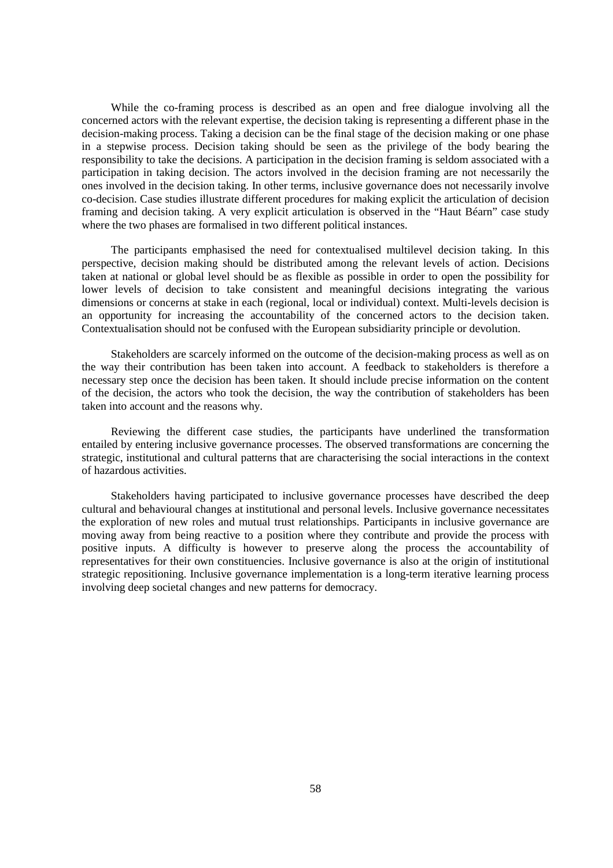While the co-framing process is described as an open and free dialogue involving all the concerned actors with the relevant expertise, the decision taking is representing a different phase in the decision-making process. Taking a decision can be the final stage of the decision making or one phase in a stepwise process. Decision taking should be seen as the privilege of the body bearing the responsibility to take the decisions. A participation in the decision framing is seldom associated with a participation in taking decision. The actors involved in the decision framing are not necessarily the ones involved in the decision taking. In other terms, inclusive governance does not necessarily involve co-decision. Case studies illustrate different procedures for making explicit the articulation of decision framing and decision taking. A very explicit articulation is observed in the "Haut Béarn" case study where the two phases are formalised in two different political instances.

The participants emphasised the need for contextualised multilevel decision taking. In this perspective, decision making should be distributed among the relevant levels of action. Decisions taken at national or global level should be as flexible as possible in order to open the possibility for lower levels of decision to take consistent and meaningful decisions integrating the various dimensions or concerns at stake in each (regional, local or individual) context. Multi-levels decision is an opportunity for increasing the accountability of the concerned actors to the decision taken. Contextualisation should not be confused with the European subsidiarity principle or devolution.

Stakeholders are scarcely informed on the outcome of the decision-making process as well as on the way their contribution has been taken into account. A feedback to stakeholders is therefore a necessary step once the decision has been taken. It should include precise information on the content of the decision, the actors who took the decision, the way the contribution of stakeholders has been taken into account and the reasons why.

Reviewing the different case studies, the participants have underlined the transformation entailed by entering inclusive governance processes. The observed transformations are concerning the strategic, institutional and cultural patterns that are characterising the social interactions in the context of hazardous activities.

Stakeholders having participated to inclusive governance processes have described the deep cultural and behavioural changes at institutional and personal levels. Inclusive governance necessitates the exploration of new roles and mutual trust relationships. Participants in inclusive governance are moving away from being reactive to a position where they contribute and provide the process with positive inputs. A difficulty is however to preserve along the process the accountability of representatives for their own constituencies. Inclusive governance is also at the origin of institutional strategic repositioning. Inclusive governance implementation is a long-term iterative learning process involving deep societal changes and new patterns for democracy.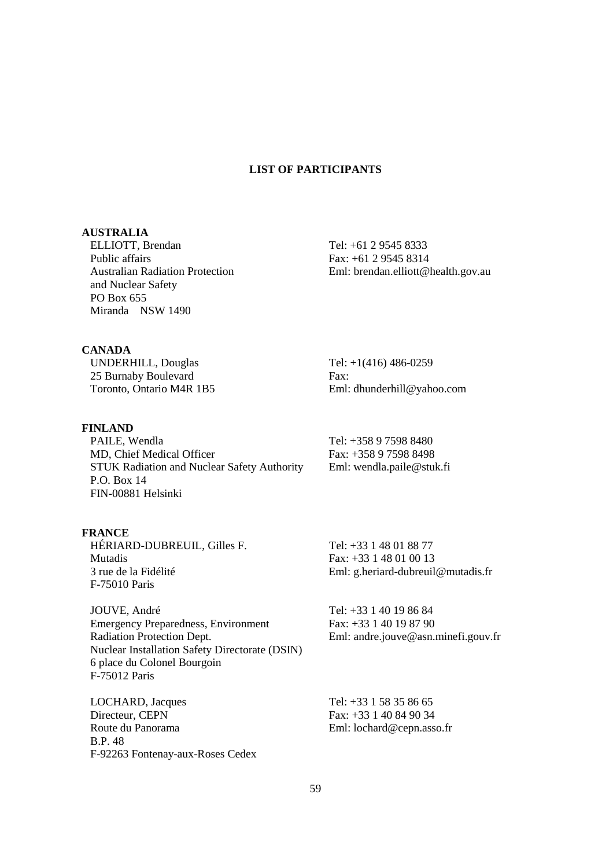# **LIST OF PARTICIPANTS**

# **AUSTRALIA**

ELLIOTT, Brendan Tel: +61 2 9545 8333 Public affairs<br>Australian Radiation Protection<br>Eml: brendan.elliott@ and Nuclear Safety PO Box 655 Miranda NSW 1490

Eml: brendan.elliott@health.gov.au

#### **CANADA**

UNDERHILL, Douglas Tel: +1(416) 486-0259 25 Burnaby Boulevard Fax:<br>
Toronto, Ontario M4R 1B5 Eml:

#### **FINLAND**

PAILE, Wendla Tel: +358 9 7598 8480 MD, Chief Medical Officer Fax: +358 9 7598 8498 STUK Radiation and Nuclear Safety Authority Eml: wendla.paile@stuk.fi P.O. Box 14 FIN-00881 Helsinki

#### **FRANCE**

 HÉRIARD-DUBREUIL, Gilles F. Tel: +33 1 48 01 88 77 Mutadis Fax: +33 1 48 01 00 13 F-75010 Paris

 JOUVE, André Tel: +33 1 40 19 86 84 Emergency Preparedness, Environment Fax: +33 1 40 19 87 90 Radiation Protection Dept. Eml: andre.jouve@asn.minefi.gouv.fr Nuclear Installation Safety Directorate (DSIN) 6 place du Colonel Bourgoin F-75012 Paris

LOCHARD, Jacques Tel: +33 1 58 35 86 65<br>Directeur. CEPN Fax: +33 1 40 84 90 34 Route du Panorama **Eml:** lochard@cepn.asso.fr B.P. 48 F-92263 Fontenay-aux-Roses Cedex

Eml: dhunderhill@yahoo.com

3 rue de la Fidélité Eml: g.heriard-dubreuil@mutadis.fr

Fax: +33 1 40 84 90 34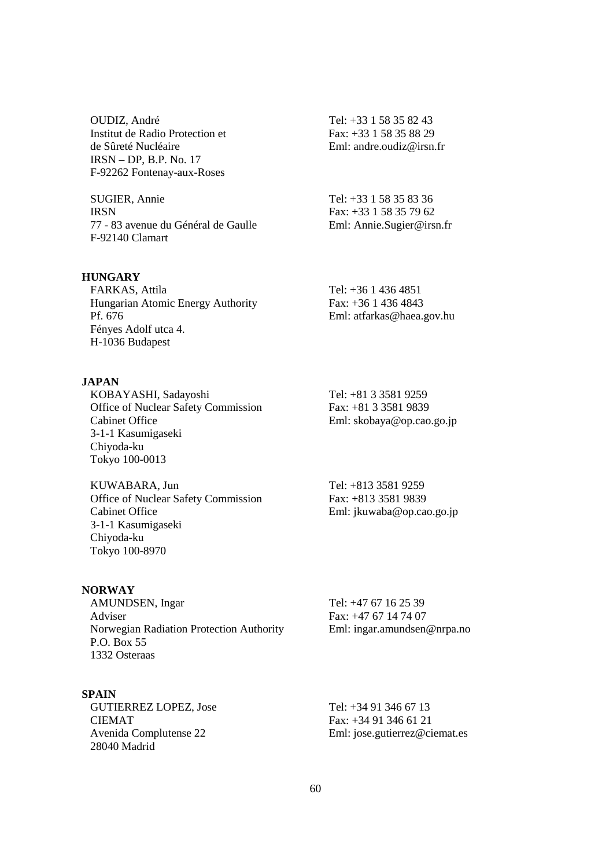OUDIZ, André Tel: +33 1 58 35 82 43 Institut de Radio Protection et<br>
de Sûreté Nucléaire<br>
Eml: andre.oudiz@irsn. IRSN – DP, B.P. No. 17 F-92262 Fontenay-aux-Roses

 SUGIER, Annie Tel: +33 1 58 35 83 36 IRSN Fax: +33 1 58 35 79 62 77 - 83 avenue du Général de Gaulle Eml: Annie.Sugier@irsn.fr F-92140 Clamart

# Eml: andre.oudiz@irsn.fr

 FARKAS, Attila Tel: +36 1 436 4851 Hungarian Atomic Energy Authority Fax: +36 1 436 4843 Pf. 676 Eml: atfarkas@haea.gov.hu

#### **JAPAN**

**HUNGARY**

 Fényes Adolf utca 4. H-1036 Budapest

KOBAYASHI, Sadayoshi Tel: +81 3 3581 9259 Office of Nuclear Safety Commission Fax: +81 3 3581 9839 Cabinet Office Eml: skobaya@op.cao.go.jp 3-1-1 Kasumigaseki Chiyoda-ku Tokyo 100-0013

 KUWABARA, Jun Tel: +813 3581 9259 Office of Nuclear Safety Commission Fax: +813 3581 9839 Cabinet Office Eml: jkuwaba@op.cao.go.jp 3-1-1 Kasumigaseki Chiyoda-ku Tokyo 100-8970

#### **NORWAY**

AMUNDSEN, Ingar Tel: +47 67 16 25 39 Adviser Fax: +47 67 14 74 07 Norwegian Radiation Protection Authority Eml: ingar.amundsen@nrpa.no P.O. Box 55 1332 Osteraas

#### **SPAIN**

GUTIERREZ LOPEZ, Jose Tel: +34 91 346 67 13 CIEMAT Fax: +34 91 346 61 21 28040 Madrid

Avenida Complutense 22 Eml: jose.gutierrez@ciemat.es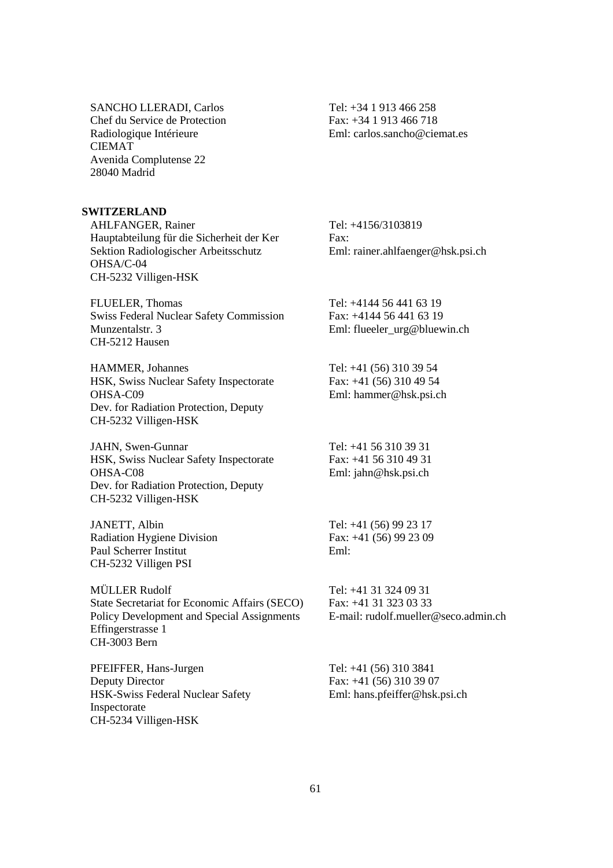SANCHO LLERADI, Carlos Tel: +34 1 913 466 258 Chef du Service de Protection Fax: +34 1 913 466 718 CIEMAT Avenida Complutense 22 28040 Madrid

Radiologique Intérieure Eml: carlos.sancho@ciemat.es

#### **SWITZERLAND**

AHLFANGER, Rainer Tel: +4156/3103819 Hauptabteilung für die Sicherheit der Ker Fax: Sektion Radiologischer Arbeitsschutz Eml: rainer.ahlfaenger@hsk.psi.ch OHSA/C-04 CH-5232 Villigen-HSK

FLUELER, Thomas Tel: +4144 56 441 63 19 Swiss Federal Nuclear Safety Commission Fax: +4144 56 441 63 19 Munzentalstr. 3 Eml: flueeler\_urg@bluewin.ch CH-5212 Hausen

 HAMMER, Johannes Tel: +41 (56) 310 39 54 HSK, Swiss Nuclear Safety Inspectorate Fax: +41 (56) 310 49 54 OHSA-C09 Eml: hammer@hsk.psi.ch Dev. for Radiation Protection, Deputy CH-5232 Villigen-HSK

JAHN, Swen-Gunnar<br>
HSK, Swiss Nuclear Safety Inspectorate<br>
Fax: +41 56 310 49 31 HSK, Swiss Nuclear Safety Inspectorate OHSA-C08 Eml: jahn@hsk.psi.ch Dev. for Radiation Protection, Deputy CH-5232 Villigen-HSK

JANETT, Albin Tel: +41 (56) 99 23 17 Radiation Hygiene Division Fax: +41 (56) 99 23 09 Paul Scherrer Institut Eml: CH-5232 Villigen PSI

 MÜLLER Rudolf Tel: +41 31 324 09 31 State Secretariat for Economic Affairs (SECO) Fax: +41 31 323 03 33 Policy Development and Special Assignments E-mail: rudolf.mueller@seco.admin.ch Effingerstrasse 1 CH-3003 Bern

PFEIFFER, Hans-Jurgen Tel: +41 (56) 310 3841 Deputy Director Fax: +41 (56) 310 39 07 HSK-Swiss Federal Nuclear Safety Eml: hans.pfeiffer@hsk.psi.ch Inspectorate CH-5234 Villigen-HSK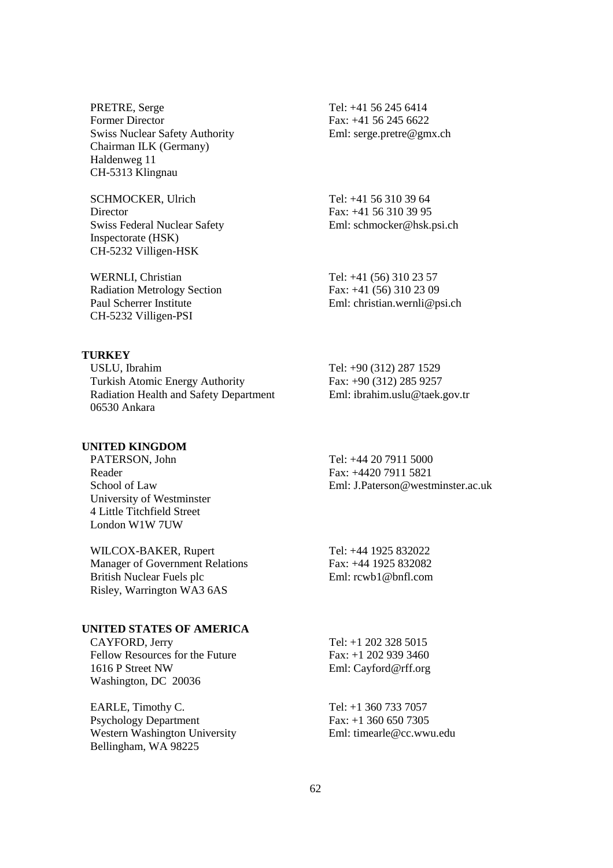PRETRE, Serge Tel: +41 56 245 6414 Former Director Fax: +41 56 245 6622 Swiss Nuclear Safety Authority Eml: serge.pretre@gmx.ch Chairman ILK (Germany) Haldenweg 11 CH-5313 Klingnau

SCHMOCKER, Ulrich Tel: +41 56 310 39 64 Director Fax: +41 56 310 39 95 Swiss Federal Nuclear Safety Eml: schmocker@hsk.psi.ch Inspectorate (HSK) CH-5232 Villigen-HSK

WERNLI, Christian Tel: +41 (56) 310 23 57 Radiation Metrology Section Fax: +41 (56) 310 23 09<br>Paul Scherrer Institute Eml: christian.wernli@ps Eml: christian.wernli@psi.ch

**TURKEY** 

 USLU, Ibrahim Tel: +90 (312) 287 1529 Turkish Atomic Energy Authority Fax: +90 (312) 285 9257 Radiation Health and Safety Department Eml: ibrahim.uslu@taek.gov.tr 06530 Ankara

**UNITED KINGDOM** 

CH-5232 Villigen-PSI

PATERSON, John Tel: +44 20 7911 5000<br>Reader Fax: +4420 7911 5821 University of Westminster 4 Little Titchfield Street London W1W 7UW

WILCOX-BAKER, Rupert Tel: +44 1925 832022 Manager of Government Relations Fax: +44 1925 832082 British Nuclear Fuels plc Eml: rcwb1@bnfl.com Risley, Warrington WA3 6AS

#### **UNITED STATES OF AMERICA**

 CAYFORD, Jerry Tel: +1 202 328 5015 Fellow Resources for the Future Fax:  $+1, 202, 939, 3460$  1616 P Street NW Eml: Cayford@rff.org Washington, DC 20036

EARLE, Timothy C. Tel: +1 360 733 7057 Psychology Department Fax: +1 360 650 7305 Western Washington University **Eml:** timearle@cc.wwu.edu Bellingham, WA 98225

Fax: +4420 7911 5821 School of Law Eml: J.Paterson@westminster.ac.uk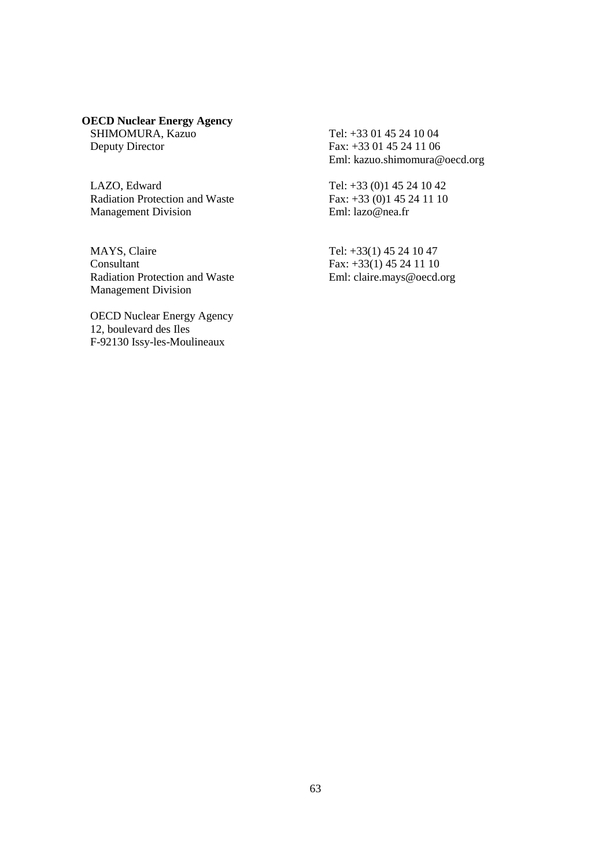#### **OECD Nuclear Energy Agency**

LAZO, Edward Tel: +33 (0)1 45 24 10 42 Radiation Protection and Waste Fax: +33 (0) 145 24 11 10 Management Division Eml: lazo@nea.fr

MAYS, Claire Tel: +33(1) 45 24 10 47<br>Consultant Fax: +33(1) 45 24 11 10 Consultant Fax: +33(1) 45 24 11 10<br>Radiation Protection and Waste Fax: +33(1) 45 24 11 10 Management Division

 OECD Nuclear Energy Agency 12, boulevard des Iles F-92130 Issy-les-Moulineaux

SHIMOMURA, Kazuo Tel: +33 01 45 24 10 04<br>Deputy Director Fax: +33 01 45 24 11 06 Fax: +33 01 45 24 11 06 Eml: kazuo.shimomura@oecd.org

Eml: claire.mays@oecd.org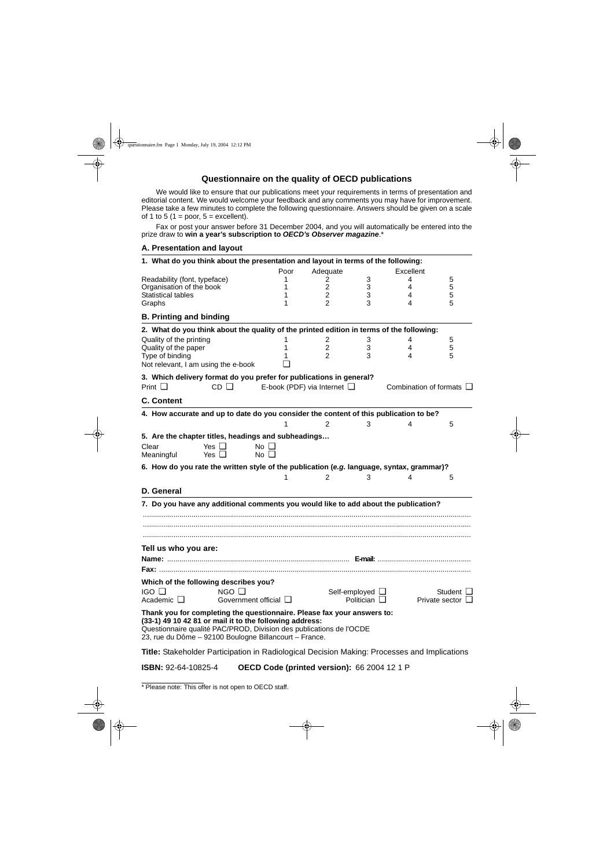questionnaire.fm Page 1 Monday, July 19, 2004 12:12 PM

**A. Presentation and layout**

# $\frac{\phi}{\phi}$

# **Questionnaire on the quality of OECD publications**

We would like to ensure that our publications meet your requirements in terms of presentation and editorial content. We would welcome your feedback and any comments you may have for improvement. Please take a few minutes to complete the following questionnaire. Answers should be given on a scale of 1 to 5 (1 = poor,  $5 =$  excellent).

Fax or post your answer before 31 December 2004, and you will automatically be entered into the prize draw to **win a year's subscription to OECD's Observer magazine**.\*

| 1. What do you think about the presentation and layout in terms of the following:                                                                                                                                                                                                                                                                                                                                                                                                                                                                                                                                                                           |                 |                       |                                             |                      |           |                               |  |
|-------------------------------------------------------------------------------------------------------------------------------------------------------------------------------------------------------------------------------------------------------------------------------------------------------------------------------------------------------------------------------------------------------------------------------------------------------------------------------------------------------------------------------------------------------------------------------------------------------------------------------------------------------------|-----------------|-----------------------|---------------------------------------------|----------------------|-----------|-------------------------------|--|
|                                                                                                                                                                                                                                                                                                                                                                                                                                                                                                                                                                                                                                                             |                 | Poor                  | Adequate                                    |                      | Excellent |                               |  |
| Readability (font, typeface)                                                                                                                                                                                                                                                                                                                                                                                                                                                                                                                                                                                                                                |                 | 1                     | 2                                           | 3                    | 4         | 5                             |  |
| Organisation of the book<br>Statistical tables                                                                                                                                                                                                                                                                                                                                                                                                                                                                                                                                                                                                              |                 |                       | 2<br>2                                      | 3<br>3               | 4<br>4    | 5<br>5                        |  |
| Graphs                                                                                                                                                                                                                                                                                                                                                                                                                                                                                                                                                                                                                                                      |                 |                       | $\overline{2}$                              | 3                    |           | 5                             |  |
| <b>B. Printing and binding</b>                                                                                                                                                                                                                                                                                                                                                                                                                                                                                                                                                                                                                              |                 |                       |                                             |                      |           |                               |  |
| 2. What do you think about the quality of the printed edition in terms of the following:                                                                                                                                                                                                                                                                                                                                                                                                                                                                                                                                                                    |                 |                       |                                             |                      |           |                               |  |
| Quality of the printing                                                                                                                                                                                                                                                                                                                                                                                                                                                                                                                                                                                                                                     |                 |                       | $\overline{c}$                              | 3                    | 4         | 5                             |  |
| Quality of the paper                                                                                                                                                                                                                                                                                                                                                                                                                                                                                                                                                                                                                                        |                 |                       | 2                                           | 3                    | 4         | 5                             |  |
| Type of binding                                                                                                                                                                                                                                                                                                                                                                                                                                                                                                                                                                                                                                             |                 |                       | $\overline{2}$                              | 3                    | 4         | 5                             |  |
| Not relevant, I am using the e-book                                                                                                                                                                                                                                                                                                                                                                                                                                                                                                                                                                                                                         |                 |                       |                                             |                      |           |                               |  |
| 3. Which delivery format do you prefer for publications in general?                                                                                                                                                                                                                                                                                                                                                                                                                                                                                                                                                                                         |                 |                       |                                             |                      |           |                               |  |
| Print $\Box$                                                                                                                                                                                                                                                                                                                                                                                                                                                                                                                                                                                                                                                | $CD$ $\Box$     |                       | E-book (PDF) via Internet $\Box$            |                      |           | Combination of formats $\Box$ |  |
| <b>C. Content</b>                                                                                                                                                                                                                                                                                                                                                                                                                                                                                                                                                                                                                                           |                 |                       |                                             |                      |           |                               |  |
| 4. How accurate and up to date do you consider the content of this publication to be?                                                                                                                                                                                                                                                                                                                                                                                                                                                                                                                                                                       |                 |                       |                                             |                      |           |                               |  |
|                                                                                                                                                                                                                                                                                                                                                                                                                                                                                                                                                                                                                                                             |                 |                       | 2                                           | 3                    |           | 5                             |  |
| 5. Are the chapter titles, headings and subheadings                                                                                                                                                                                                                                                                                                                                                                                                                                                                                                                                                                                                         |                 |                       |                                             |                      |           |                               |  |
| Clear                                                                                                                                                                                                                                                                                                                                                                                                                                                                                                                                                                                                                                                       | Yes $\Box$      | No $\Box$             |                                             |                      |           |                               |  |
| Meaningful                                                                                                                                                                                                                                                                                                                                                                                                                                                                                                                                                                                                                                                  | Yes $\Box$      | No $\Box$             |                                             |                      |           |                               |  |
|                                                                                                                                                                                                                                                                                                                                                                                                                                                                                                                                                                                                                                                             |                 |                       |                                             |                      |           |                               |  |
|                                                                                                                                                                                                                                                                                                                                                                                                                                                                                                                                                                                                                                                             |                 |                       |                                             |                      | 4         |                               |  |
| 6. How do you rate the written style of the publication (e.g. language, syntax, grammar)?                                                                                                                                                                                                                                                                                                                                                                                                                                                                                                                                                                   |                 | 1                     | 2                                           | 3                    |           | 5                             |  |
|                                                                                                                                                                                                                                                                                                                                                                                                                                                                                                                                                                                                                                                             |                 |                       |                                             |                      |           |                               |  |
|                                                                                                                                                                                                                                                                                                                                                                                                                                                                                                                                                                                                                                                             |                 |                       |                                             |                      |           |                               |  |
|                                                                                                                                                                                                                                                                                                                                                                                                                                                                                                                                                                                                                                                             |                 |                       |                                             |                      |           |                               |  |
|                                                                                                                                                                                                                                                                                                                                                                                                                                                                                                                                                                                                                                                             |                 |                       |                                             |                      |           |                               |  |
|                                                                                                                                                                                                                                                                                                                                                                                                                                                                                                                                                                                                                                                             |                 |                       |                                             |                      |           |                               |  |
|                                                                                                                                                                                                                                                                                                                                                                                                                                                                                                                                                                                                                                                             | $NGO$ $\square$ |                       |                                             | Self-employed $\Box$ |           | Student L                     |  |
|                                                                                                                                                                                                                                                                                                                                                                                                                                                                                                                                                                                                                                                             |                 | Government official Q |                                             | Politician $\Box$    |           | Private sector $\Box$         |  |
|                                                                                                                                                                                                                                                                                                                                                                                                                                                                                                                                                                                                                                                             |                 |                       |                                             |                      |           |                               |  |
|                                                                                                                                                                                                                                                                                                                                                                                                                                                                                                                                                                                                                                                             |                 |                       |                                             |                      |           |                               |  |
|                                                                                                                                                                                                                                                                                                                                                                                                                                                                                                                                                                                                                                                             |                 |                       | OECD Code (printed version): 66 2004 12 1 P |                      |           |                               |  |
|                                                                                                                                                                                                                                                                                                                                                                                                                                                                                                                                                                                                                                                             |                 |                       |                                             |                      |           |                               |  |
|                                                                                                                                                                                                                                                                                                                                                                                                                                                                                                                                                                                                                                                             |                 |                       |                                             |                      |           |                               |  |
| D. General<br>7. Do you have any additional comments you would like to add about the publication?<br>Tell us who you are:<br>Which of the following describes you?<br>IGO □<br>Academic $\Box$<br>Thank you for completing the questionnaire. Please fax your answers to:<br>(33-1) 49 10 42 81 or mail it to the following address:<br>Questionnaire qualité PAC/PROD, Division des publications de l'OCDE<br>23, rue du Dôme - 92100 Boulogne Billancourt - France.<br><b>Title:</b> Stakeholder Participation in Radiological Decision Making: Processes and Implications<br>ISBN: 92-64-10825-4<br>* Please note: This offer is not open to OECD staff. |                 |                       |                                             |                      |           |                               |  |
|                                                                                                                                                                                                                                                                                                                                                                                                                                                                                                                                                                                                                                                             |                 |                       |                                             |                      |           |                               |  |